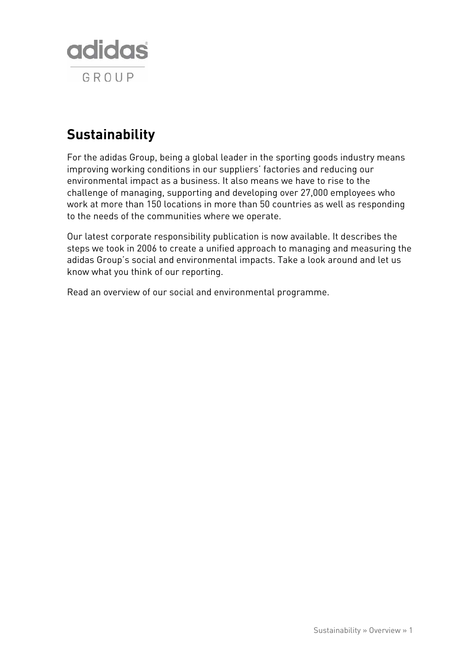

# **Sustainability**

For the adidas Group, being a global leader in the sporting goods industry means improving working conditions in our suppliers' factories and reducing our environmental impact as a business. It also means we have to rise to the challenge of managing, supporting and developing over 27,000 employees who work at more than 150 locations in more than 50 countries as well as responding to the needs of the communities where we operate.

Our latest corporate responsibility publication is now available. It describes the steps we took in 2006 to create a unified approach to managing and measuring the adidas Group's social and environmental impacts. Take a look around and let us know what you think of our reporting.

Read an overview of our social and environmental programme.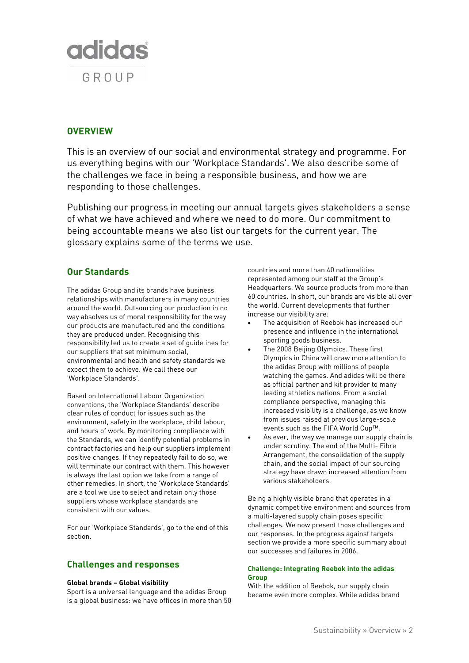

# **OVERVIEW**

This is an overview of our social and environmental strategy and programme. For us everything begins with our 'Workplace Standards'. We also describe some of the challenges we face in being a responsible business, and how we are responding to those challenges.

Publishing our progress in meeting our annual targets gives stakeholders a sense of what we have achieved and where we need to do more. Our commitment to being accountable means we also list our targets for the current year. The glossary explains some of the terms we use.

# **Our Standards**

The adidas Group and its brands have business relationships with manufacturers in many countries around the world. Outsourcing our production in no way absolves us of moral responsibility for the way our products are manufactured and the conditions they are produced under. Recognising this responsibility led us to create a set of guidelines for our suppliers that set minimum social, environmental and health and safety standards we expect them to achieve. We call these our 'Workplace Standards'.

Based on International Labour Organization conventions, the 'Workplace Standards' describe clear rules of conduct for issues such as the environment, safety in the workplace, child labour, and hours of work. By monitoring compliance with the Standards, we can identify potential problems in contract factories and help our suppliers implement positive changes. If they repeatedly fail to do so, we will terminate our contract with them. This however is always the last option we take from a range of other remedies. In short, the 'Workplace Standards' are a tool we use to select and retain only those suppliers whose workplace standards are consistent with our values.

For our 'Workplace Standards', go to the end of this section.

# **Challenges and responses**

#### **Global brands – Global visibility**

Sport is a universal language and the adidas Group is a global business: we have offices in more than 50 countries and more than 40 nationalities represented among our staff at the Group's Headquarters. We source products from more than 60 countries. In short, our brands are visible all over the world. Current developments that further increase our visibility are:

- The acquisition of Reebok has increased our presence and influence in the international sporting goods business.
- The 2008 Beijing Olympics. These first Olympics in China will draw more attention to the adidas Group with millions of people watching the games. And adidas will be there as official partner and kit provider to many leading athletics nations. From a social compliance perspective, managing this increased visibility is a challenge, as we know from issues raised at previous large-scale events such as the FIFA World Cup™.
- As ever, the way we manage our supply chain is under scrutiny. The end of the Multi- Fibre Arrangement, the consolidation of the supply chain, and the social impact of our sourcing strategy have drawn increased attention from various stakeholders.

Being a highly visible brand that operates in a dynamic competitive environment and sources from a multi-layered supply chain poses specific challenges. We now present those challenges and our responses. In the progress against targets section we provide a more specific summary about our successes and failures in 2006.

# **Challenge: Integrating Reebok into the adidas Group**

With the addition of Reebok, our supply chain became even more complex. While adidas brand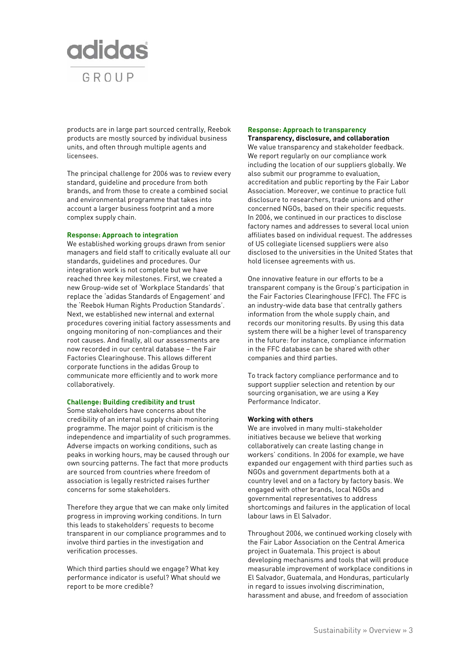

products are in large part sourced centrally, Reebok products are mostly sourced by individual business units, and often through multiple agents and licensees.

The principal challenge for 2006 was to review every standard, guideline and procedure from both brands, and from those to create a combined social and environmental programme that takes into account a larger business footprint and a more complex supply chain.

#### **Response: Approach to integration**

We established working groups drawn from senior managers and field staff to critically evaluate all our standards, guidelines and procedures. Our integration work is not complete but we have reached three key milestones. First, we created a new Group-wide set of 'Workplace Standards' that replace the 'adidas Standards of Engagement' and the 'Reebok Human Rights Production Standards'. Next, we established new internal and external procedures covering initial factory assessments and ongoing monitoring of non-compliances and their root causes. And finally, all our assessments are now recorded in our central database – the Fair Factories Clearinghouse. This allows different corporate functions in the adidas Group to communicate more efficiently and to work more collaboratively.

#### **Challenge: Building credibility and trust**

Some stakeholders have concerns about the credibility of an internal supply chain monitoring programme. The major point of criticism is the independence and impartiality of such programmes. Adverse impacts on working conditions, such as peaks in working hours, may be caused through our own sourcing patterns. The fact that more products are sourced from countries where freedom of association is legally restricted raises further concerns for some stakeholders.

Therefore they argue that we can make only limited progress in improving working conditions. In turn this leads to stakeholders' requests to become transparent in our compliance programmes and to involve third parties in the investigation and verification processes.

Which third parties should we engage? What key performance indicator is useful? What should we report to be more credible?

### **Response: Approach to transparency Transparency, disclosure, and collaboration**

We value transparency and stakeholder feedback. We report regularly on our compliance work including the location of our suppliers globally. We also submit our programme to evaluation, accreditation and public reporting by the Fair Labor Association. Moreover, we continue to practice full disclosure to researchers, trade unions and other concerned NGOs, based on their specific requests. In 2006, we continued in our practices to disclose factory names and addresses to several local union affiliates based on individual request. The addresses of US collegiate licensed suppliers were also disclosed to the universities in the United States that hold licensee agreements with us.

One innovative feature in our efforts to be a transparent company is the Group's participation in the Fair Factories Clearinghouse (FFC). The FFC is an industry-wide data base that centrally gathers information from the whole supply chain, and records our monitoring results. By using this data system there will be a higher level of transparency in the future: for instance, compliance information in the FFC database can be shared with other companies and third parties.

To track factory compliance performance and to support supplier selection and retention by our sourcing organisation, we are using a Key Performance Indicator.

#### **Working with others**

We are involved in many multi-stakeholder initiatives because we believe that working collaboratively can create lasting change in workers' conditions. In 2006 for example, we have expanded our engagement with third parties such as NGOs and government departments both at a country level and on a factory by factory basis. We engaged with other brands, local NGOs and governmental representatives to address shortcomings and failures in the application of local labour laws in El Salvador.

Throughout 2006, we continued working closely with the Fair Labor Association on the Central America project in Guatemala. This project is about developing mechanisms and tools that will produce measurable improvement of workplace conditions in El Salvador, Guatemala, and Honduras, particularly in regard to issues involving discrimination, harassment and abuse, and freedom of association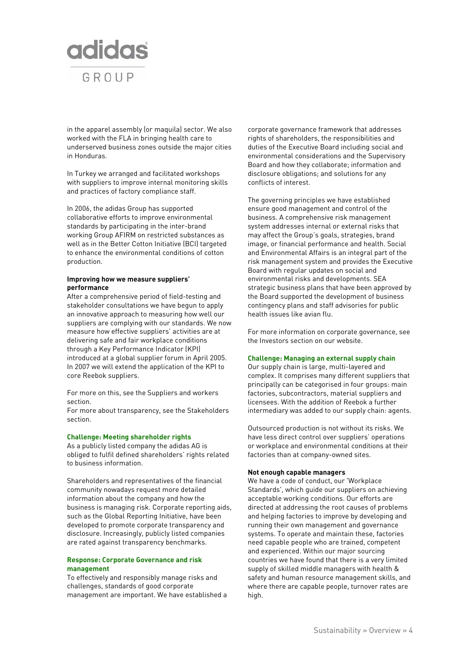

in the apparel assembly (or maquila) sector. We also worked with the FLA in bringing health care to underserved business zones outside the major cities in Honduras.

In Turkey we arranged and facilitated workshops with suppliers to improve internal monitoring skills and practices of factory compliance staff.

In 2006, the adidas Group has supported collaborative efforts to improve environmental standards by participating in the inter-brand working Group AFIRM on restricted substances as well as in the Better Cotton Initiative (BCI) targeted to enhance the environmental conditions of cotton production.

#### **Improving how we measure suppliers' performance**

After a comprehensive period of field-testing and stakeholder consultations we have begun to apply an innovative approach to measuring how well our suppliers are complying with our standards. We now measure how effective suppliers' activities are at delivering safe and fair workplace conditions through a Key Performance Indicator (KPI) introduced at a global supplier forum in April 2005. In 2007 we will extend the application of the KPI to core Reebok suppliers.

For more on this, see the Suppliers and workers section.

For more about transparency, see the Stakeholders section.

**Challenge: Meeting shareholder rights** 

As a publicly listed company the adidas AG is obliged to fulfil defined shareholders' rights related to business information.

Shareholders and representatives of the financial community nowadays request more detailed information about the company and how the business is managing risk. Corporate reporting aids, such as the Global Reporting Initiative, have been developed to promote corporate transparency and disclosure. Increasingly, publicly listed companies are rated against transparency benchmarks.

## **Response: Corporate Governance and risk management**

To effectively and responsibly manage risks and challenges, standards of good corporate management are important. We have established a corporate governance framework that addresses rights of shareholders, the responsibilities and duties of the Executive Board including social and environmental considerations and the Supervisory Board and how they collaborate; information and disclosure obligations; and solutions for any conflicts of interest.

The governing principles we have established ensure good management and control of the business. A comprehensive risk management system addresses internal or external risks that may affect the Group's goals, strategies, brand image, or financial performance and health. Social and Environmental Affairs is an integral part of the risk management system and provides the Executive Board with regular updates on social and environmental risks and developments. SEA strategic business plans that have been approved by the Board supported the development of business contingency plans and staff advisories for public health issues like avian flu.

For more information on corporate governance, see the Investors section on our website.

# **Challenge: Managing an external supply chain**

Our supply chain is large, multi-layered and complex. It comprises many different suppliers that principally can be categorised in four groups: main factories, subcontractors, material suppliers and licensees. With the addition of Reebok a further intermediary was added to our supply chain: agents.

Outsourced production is not without its risks. We have less direct control over suppliers' operations or workplace and environmental conditions at their factories than at company-owned sites.

#### **Not enough capable managers**

We have a code of conduct, our 'Workplace Standards', which guide our suppliers on achieving acceptable working conditions. Our efforts are directed at addressing the root causes of problems and helping factories to improve by developing and running their own management and governance systems. To operate and maintain these, factories need capable people who are trained, competent and experienced. Within our major sourcing countries we have found that there is a very limited supply of skilled middle managers with health & safety and human resource management skills, and where there are capable people, turnover rates are high.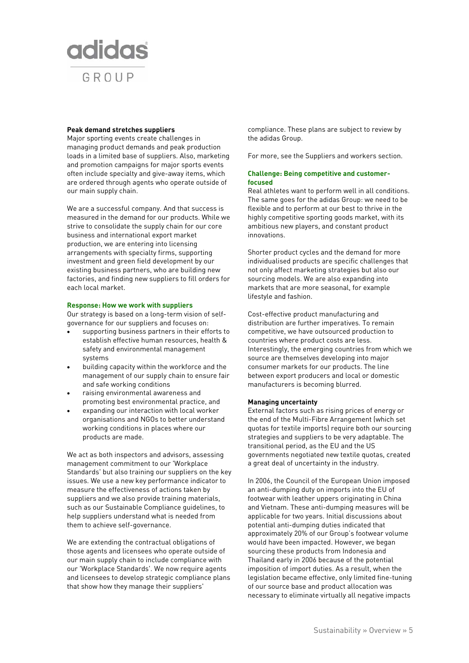

#### **Peak demand stretches suppliers**

Major sporting events create challenges in managing product demands and peak production loads in a limited base of suppliers. Also, marketing and promotion campaigns for major sports events often include specialty and give-away items, which are ordered through agents who operate outside of our main supply chain.

We are a successful company. And that success is measured in the demand for our products. While we strive to consolidate the supply chain for our core business and international export market production, we are entering into licensing arrangements with specialty firms, supporting investment and green field development by our existing business partners, who are building new factories, and finding new suppliers to fill orders for each local market.

#### **Response: How we work with suppliers**

Our strategy is based on a long-term vision of selfgovernance for our suppliers and focuses on:

- supporting business partners in their efforts to establish effective human resources, health & safety and environmental management systems
- building capacity within the workforce and the management of our supply chain to ensure fair and safe working conditions
- raising environmental awareness and promoting best environmental practice, and
- expanding our interaction with local worker organisations and NGOs to better understand working conditions in places where our products are made.

We act as both inspectors and advisors, assessing management commitment to our 'Workplace Standards' but also training our suppliers on the key issues. We use a new key performance indicator to measure the effectiveness of actions taken by suppliers and we also provide training materials, such as our Sustainable Compliance guidelines, to help suppliers understand what is needed from them to achieve self-governance.

We are extending the contractual obligations of those agents and licensees who operate outside of our main supply chain to include compliance with our 'Workplace Standards'. We now require agents and licensees to develop strategic compliance plans that show how they manage their suppliers'

compliance. These plans are subject to review by the adidas Group.

For more, see the Suppliers and workers section.

## **Challenge: Being competitive and customerfocused**

Real athletes want to perform well in all conditions. The same goes for the adidas Group: we need to be flexible and to perform at our best to thrive in the highly competitive sporting goods market, with its ambitious new players, and constant product innovations.

Shorter product cycles and the demand for more individualised products are specific challenges that not only affect marketing strategies but also our sourcing models. We are also expanding into markets that are more seasonal, for example lifestyle and fashion.

Cost-effective product manufacturing and distribution are further imperatives. To remain competitive, we have outsourced production to countries where product costs are less. Interestingly, the emerging countries from which we source are themselves developing into major consumer markets for our products. The line between export producers and local or domestic manufacturers is becoming blurred.

#### **Managing uncertainty**

External factors such as rising prices of energy or the end of the Multi-Fibre Arrangement (which set quotas for textile imports) require both our sourcing strategies and suppliers to be very adaptable. The transitional period, as the EU and the US governments negotiated new textile quotas, created a great deal of uncertainty in the industry.

In 2006, the Council of the European Union imposed an anti-dumping duty on imports into the EU of footwear with leather uppers originating in China and Vietnam. These anti-dumping measures will be applicable for two years. Initial discussions about potential anti-dumping duties indicated that approximately 20% of our Group's footwear volume would have been impacted. However, we began sourcing these products from Indonesia and Thailand early in 2006 because of the potential imposition of import duties. As a result, when the legislation became effective, only limited fine-tuning of our source base and product allocation was necessary to eliminate virtually all negative impacts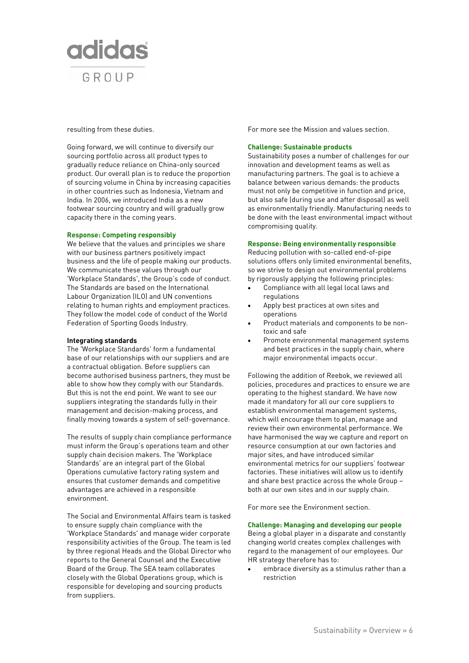

#### resulting from these duties.

Going forward, we will continue to diversify our sourcing portfolio across all product types to gradually reduce reliance on China-only sourced product. Our overall plan is to reduce the proportion of sourcing volume in China by increasing capacities in other countries such as Indonesia, Vietnam and India. In 2006, we introduced India as a new footwear sourcing country and will gradually grow capacity there in the coming years.

#### **Response: Competing responsibly**

We believe that the values and principles we share with our business partners positively impact business and the life of people making our products. We communicate these values through our 'Workplace Standards', the Group's code of conduct. The Standards are based on the International Labour Organization (ILO) and UN conventions relating to human rights and employment practices. They follow the model code of conduct of the World Federation of Sporting Goods Industry.

#### **Integrating standards**

The 'Workplace Standards' form a fundamental base of our relationships with our suppliers and are a contractual obligation. Before suppliers can become authorised business partners, they must be able to show how they comply with our Standards. But this is not the end point. We want to see our suppliers integrating the standards fully in their management and decision-making process, and finally moving towards a system of self-governance.

The results of supply chain compliance performance must inform the Group's operations team and other supply chain decision makers. The 'Workplace Standards' are an integral part of the Global Operations cumulative factory rating system and ensures that customer demands and competitive advantages are achieved in a responsible environment.

The Social and Environmental Affairs team is tasked to ensure supply chain compliance with the 'Workplace Standards' and manage wider corporate responsibility activities of the Group. The team is led by three regional Heads and the Global Director who reports to the General Counsel and the Executive Board of the Group. The SEA team collaborates closely with the Global Operations group, which is responsible for developing and sourcing products from suppliers.

For more see the Mission and values section.

# **Challenge: Sustainable products**

Sustainability poses a number of challenges for our innovation and development teams as well as manufacturing partners. The goal is to achieve a balance between various demands: the products must not only be competitive in function and price, but also safe (during use and after disposal) as well as environmentally friendly. Manufacturing needs to be done with the least environmental impact without compromising quality.

#### **Response: Being environmentally responsible**

Reducing pollution with so-called end-of-pipe solutions offers only limited environmental benefits, so we strive to design out environmental problems by rigorously applying the following principles:

- Compliance with all legal local laws and regulations
- Apply best practices at own sites and operations
- Product materials and components to be nontoxic and safe
- Promote environmental management systems and best practices in the supply chain, where major environmental impacts occur.

Following the addition of Reebok, we reviewed all policies, procedures and practices to ensure we are operating to the highest standard. We have now made it mandatory for all our core suppliers to establish environmental management systems, which will encourage them to plan, manage and review their own environmental performance. We have harmonised the way we capture and report on resource consumption at our own factories and major sites, and have introduced similar environmental metrics for our suppliers' footwear factories. These initiatives will allow us to identify and share best practice across the whole Group – both at our own sites and in our supply chain.

For more see the Environment section.

# **Challenge: Managing and developing our people**

Being a global player in a disparate and constantly changing world creates complex challenges with regard to the management of our employees. Our HR strategy therefore has to:

• embrace diversity as a stimulus rather than a restriction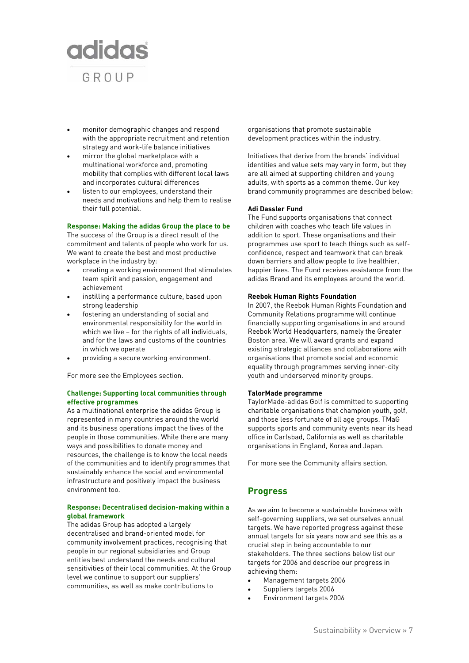

- monitor demographic changes and respond with the appropriate recruitment and retention strategy and work-life balance initiatives
- mirror the global marketplace with a multinational workforce and, promoting mobility that complies with different local laws and incorporates cultural differences
- listen to our employees, understand their needs and motivations and help them to realise their full potential.

#### **Response: Making the adidas Group the place to be**

The success of the Group is a direct result of the commitment and talents of people who work for us. We want to create the best and most productive workplace in the industry by:

- creating a working environment that stimulates team spirit and passion, engagement and achievement
- instilling a performance culture, based upon strong leadership
- fostering an understanding of social and environmental responsibility for the world in which we live – for the rights of all individuals, and for the laws and customs of the countries in which we operate
- providing a secure working environment.

For more see the Employees section.

# **Challenge: Supporting local communities through effective programmes**

As a multinational enterprise the adidas Group is represented in many countries around the world and its business operations impact the lives of the people in those communities. While there are many ways and possibilities to donate money and resources, the challenge is to know the local needs of the communities and to identify programmes that sustainably enhance the social and environmental infrastructure and positively impact the business environment too.

# **Response: Decentralised decision-making within a global framework**

The adidas Group has adopted a largely decentralised and brand-oriented model for community involvement practices, recognising that people in our regional subsidiaries and Group entities best understand the needs and cultural sensitivities of their local communities. At the Group level we continue to support our suppliers' communities, as well as make contributions to

organisations that promote sustainable development practices within the industry.

Initiatives that derive from the brands' individual identities and value sets may vary in form, but they are all aimed at supporting children and young adults, with sports as a common theme. Our key brand community programmes are described below:

#### **Adi Dassler Fund**

The Fund supports organisations that connect children with coaches who teach life values in addition to sport. These organisations and their programmes use sport to teach things such as selfconfidence, respect and teamwork that can break down barriers and allow people to live healthier, happier lives. The Fund receives assistance from the adidas Brand and its employees around the world.

## **Reebok Human Rights Foundation**

In 2007, the Reebok Human Rights Foundation and Community Relations programme will continue financially supporting organisations in and around Reebok World Headquarters, namely the Greater Boston area. We will award grants and expand existing strategic alliances and collaborations with organisations that promote social and economic equality through programmes serving inner-city youth and underserved minority groups.

#### **TalorMade programme**

TaylorMade-adidas Golf is committed to supporting charitable organisations that champion youth, golf, and those less fortunate of all age groups. TMaG supports sports and community events near its head office in Carlsbad, California as well as charitable organisations in England, Korea and Japan.

For more see the Community affairs section.

# **Progress**

As we aim to become a sustainable business with self-governing suppliers, we set ourselves annual targets. We have reported progress against these annual targets for six years now and see this as a crucial step in being accountable to our stakeholders. The three sections below list our targets for 2006 and describe our progress in achieving them:

- Management targets 2006
- Suppliers targets 2006
- Environment targets 2006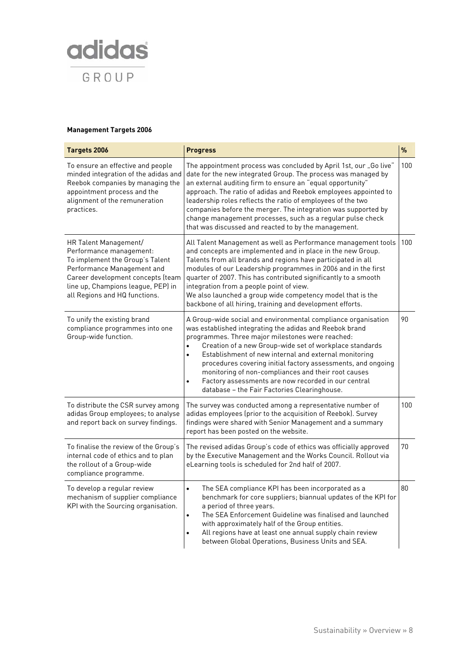

# **Management Targets 2006**

| Targets 2006                                                                                                                                                                                                                  | <b>Progress</b>                                                                                                                                                                                                                                                                                                                                                                                                                                                                                                                                                       | $\%$ |
|-------------------------------------------------------------------------------------------------------------------------------------------------------------------------------------------------------------------------------|-----------------------------------------------------------------------------------------------------------------------------------------------------------------------------------------------------------------------------------------------------------------------------------------------------------------------------------------------------------------------------------------------------------------------------------------------------------------------------------------------------------------------------------------------------------------------|------|
| To ensure an effective and people<br>minded integration of the adidas and<br>Reebok companies by managing the<br>appointment process and the<br>alignment of the remuneration<br>practices.                                   | The appointment process was concluded by April 1st, our "Go live"<br>date for the new integrated Group. The process was managed by<br>an external auditing firm to ensure an "equal opportunity"<br>approach. The ratio of adidas and Reebok employees appointed to<br>leadership roles reflects the ratio of employees of the two<br>companies before the merger. The integration was supported by<br>change management processes, such as a regular pulse check<br>that was discussed and reacted to by the management.                                             | 100  |
| HR Talent Management/<br>Performance management:<br>To implement the Group's Talent<br>Performance Management and<br>Career development concepts (team<br>line up, Champions league, PEP) in<br>all Regions and HQ functions. | All Talent Management as well as Performance management tools<br>and concepts are implemented and in place in the new Group.<br>Talents from all brands and regions have participated in all<br>modules of our Leadership programmes in 2006 and in the first<br>quarter of 2007. This has contributed significantly to a smooth<br>integration from a people point of view.<br>We also launched a group wide competency model that is the<br>backbone of all hiring, training and development efforts.                                                               | 100  |
| To unify the existing brand<br>compliance programmes into one<br>Group-wide function.                                                                                                                                         | A Group-wide social and environmental compliance organisation<br>was established integrating the adidas and Reebok brand<br>programmes. Three major milestones were reached:<br>Creation of a new Group-wide set of workplace standards<br>$\bullet$<br>Establishment of new internal and external monitoring<br>$\bullet$<br>procedures covering initial factory assessments, and ongoing<br>monitoring of non-compliances and their root causes<br>Factory assessments are now recorded in our central<br>$\bullet$<br>database - the Fair Factories Clearinghouse. | 90   |
| To distribute the CSR survey among<br>adidas Group employees; to analyse<br>and report back on survey findings.                                                                                                               | The survey was conducted among a representative number of<br>adidas employees (prior to the acquisition of Reebok). Survey<br>findings were shared with Senior Management and a summary<br>report has been posted on the website.                                                                                                                                                                                                                                                                                                                                     | 100  |
| To finalise the review of the Group's<br>internal code of ethics and to plan<br>the rollout of a Group-wide<br>compliance programme.                                                                                          | The revised adidas Group's code of ethics was officially approved<br>by the Executive Management and the Works Council. Rollout via<br>eLearning tools is scheduled for 2nd half of 2007.                                                                                                                                                                                                                                                                                                                                                                             | 70   |
| To develop a regular review<br>mechanism of supplier compliance<br>KPI with the Sourcing organisation.                                                                                                                        | The SEA compliance KPI has been incorporated as a<br>$\bullet$<br>benchmark for core suppliers; biannual updates of the KPI for<br>a period of three years.<br>The SEA Enforcement Guideline was finalised and launched<br>$\bullet$<br>with approximately half of the Group entities.<br>All regions have at least one annual supply chain review<br>between Global Operations, Business Units and SEA.                                                                                                                                                              | 80   |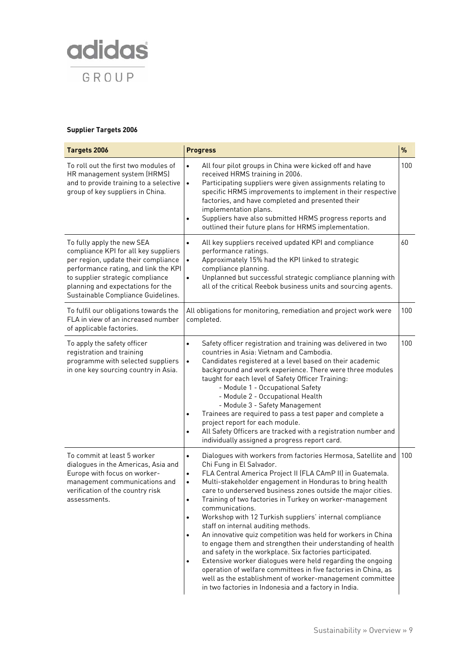

# **Supplier Targets 2006**

| Targets 2006                                                                                                                                                                                                                                                     | <b>Progress</b>                                                                                                                                                                                                                                                                                                                                                                                                                                                                                                                                                                                                                                                                                                                                                                                                                                                                                                                                                                                                | $\%$ |
|------------------------------------------------------------------------------------------------------------------------------------------------------------------------------------------------------------------------------------------------------------------|----------------------------------------------------------------------------------------------------------------------------------------------------------------------------------------------------------------------------------------------------------------------------------------------------------------------------------------------------------------------------------------------------------------------------------------------------------------------------------------------------------------------------------------------------------------------------------------------------------------------------------------------------------------------------------------------------------------------------------------------------------------------------------------------------------------------------------------------------------------------------------------------------------------------------------------------------------------------------------------------------------------|------|
| To roll out the first two modules of<br>HR management system (HRMS)<br>and to provide training to a selective<br>group of key suppliers in China.                                                                                                                | All four pilot groups in China were kicked off and have<br>$\bullet$<br>received HRMS training in 2006.<br>Participating suppliers were given assignments relating to<br>$\bullet$<br>specific HRMS improvements to implement in their respective<br>factories, and have completed and presented their<br>implementation plans.<br>Suppliers have also submitted HRMS progress reports and<br>$\bullet$<br>outlined their future plans for HRMS implementation.                                                                                                                                                                                                                                                                                                                                                                                                                                                                                                                                                | 100  |
| To fully apply the new SEA<br>compliance KPI for all key suppliers<br>per region, update their compliance<br>performance rating, and link the KPI<br>to supplier strategic compliance<br>planning and expectations for the<br>Sustainable Compliance Guidelines. | All key suppliers received updated KPI and compliance<br>$\bullet$<br>performance ratings.<br>Approximately 15% had the KPI linked to strategic<br>$\bullet$<br>compliance planning.<br>Unplanned but successful strategic compliance planning with<br>$\bullet$<br>all of the critical Reebok business units and sourcing agents.                                                                                                                                                                                                                                                                                                                                                                                                                                                                                                                                                                                                                                                                             | 60   |
| To fulfil our obligations towards the<br>FLA in view of an increased number<br>of applicable factories.                                                                                                                                                          | All obligations for monitoring, remediation and project work were<br>completed.                                                                                                                                                                                                                                                                                                                                                                                                                                                                                                                                                                                                                                                                                                                                                                                                                                                                                                                                | 100  |
| To apply the safety officer<br>registration and training<br>programme with selected suppliers<br>in one key sourcing country in Asia.                                                                                                                            | Safety officer registration and training was delivered in two<br>٠<br>countries in Asia: Vietnam and Cambodia.<br>Candidates registered at a level based on their academic<br>$\bullet$<br>background and work experience. There were three modules<br>taught for each level of Safety Officer Training:<br>- Module 1 - Occupational Safety<br>- Module 2 - Occupational Health<br>- Module 3 - Safety Management<br>Trainees are required to pass a test paper and complete a<br>٠<br>project report for each module.<br>All Safety Officers are tracked with a registration number and<br>$\bullet$<br>individually assigned a progress report card.                                                                                                                                                                                                                                                                                                                                                        | 100  |
| To commit at least 5 worker<br>dialogues in the Americas, Asia and<br>Europe with focus on worker-<br>management communications and<br>verification of the country risk<br>assessments.                                                                          | Dialogues with workers from factories Hermosa, Satellite and<br>$\bullet$<br>Chi Fung in El Salvador.<br>FLA Central America Project II (FLA CAmP II) in Guatemala.<br>$\bullet$<br>Multi-stakeholder engagement in Honduras to bring health<br>$\bullet$<br>care to underserved business zones outside the major cities.<br>Training of two factories in Turkey on worker-management<br>$\bullet$<br>communications.<br>Workshop with 12 Turkish suppliers' internal compliance<br>$\bullet$<br>staff on internal auditing methods.<br>An innovative quiz competition was held for workers in China<br>$\bullet$<br>to engage them and strengthen their understanding of health<br>and safety in the workplace. Six factories participated.<br>Extensive worker dialogues were held regarding the ongoing<br>$\bullet$<br>operation of welfare committees in five factories in China, as<br>well as the establishment of worker-management committee<br>in two factories in Indonesia and a factory in India. | 100  |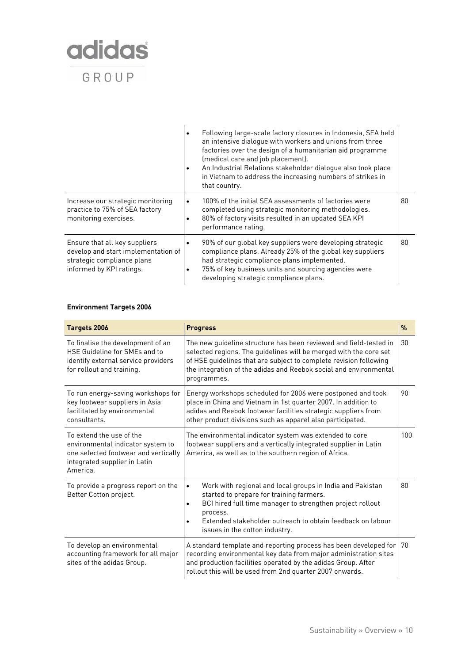

|                                                                                                                                |           | Following large-scale factory closures in Indonesia, SEA held<br>an intensive dialogue with workers and unions from three<br>factories over the design of a humanitarian aid programme<br>(medical care and job placement).<br>An Industrial Relations stakeholder dialogue also took place<br>in Vietnam to address the increasing numbers of strikes in<br>that country. |    |
|--------------------------------------------------------------------------------------------------------------------------------|-----------|----------------------------------------------------------------------------------------------------------------------------------------------------------------------------------------------------------------------------------------------------------------------------------------------------------------------------------------------------------------------------|----|
| Increase our strategic monitoring<br>practice to 75% of SEA factory<br>monitoring exercises.                                   | $\bullet$ | 100% of the initial SEA assessments of factories were<br>completed using strategic monitoring methodologies.<br>80% of factory visits resulted in an updated SEA KPI<br>performance rating.                                                                                                                                                                                | 80 |
| Ensure that all key suppliers<br>develop and start implementation of<br>strategic compliance plans<br>informed by KPI ratings. |           | 90% of our global key suppliers were developing strategic<br>compliance plans. Already 25% of the global key suppliers<br>had strategic compliance plans implemented.<br>75% of key business units and sourcing agencies were<br>developing strategic compliance plans.                                                                                                    | 80 |

# **Environment Targets 2006**

| Targets 2006                                                                                                                                      | <b>Progress</b>                                                                                                                                                                                                                                                                                  | $\frac{9}{6}$ |
|---------------------------------------------------------------------------------------------------------------------------------------------------|--------------------------------------------------------------------------------------------------------------------------------------------------------------------------------------------------------------------------------------------------------------------------------------------------|---------------|
| To finalise the development of an<br>HSE Guideline for SMEs and to<br>identify external service providers<br>for rollout and training.            | The new quideline structure has been reviewed and field-tested in<br>selected regions. The guidelines will be merged with the core set<br>of HSE guidelines that are subject to complete revision following<br>the integration of the adidas and Reebok social and environmental<br>programmes.  | 30            |
| To run energy-saving workshops for<br>key footwear suppliers in Asia<br>facilitated by environmental<br>consultants                               | Energy workshops scheduled for 2006 were postponed and took<br>place in China and Vietnam in 1st quarter 2007. In addition to<br>adidas and Reebok footwear facilities strategic suppliers from<br>other product divisions such as apparel also participated.                                    | 90            |
| To extend the use of the<br>environmental indicator system to<br>one selected footwear and vertically<br>integrated supplier in Latin<br>America. | The environmental indicator system was extended to core<br>footwear suppliers and a vertically integrated supplier in Latin<br>America, as well as to the southern region of Africa.                                                                                                             | 100           |
| To provide a progress report on the<br>Better Cotton project.                                                                                     | Work with regional and local groups in India and Pakistan<br>$\bullet$<br>started to prepare for training farmers.<br>BCI hired full time manager to strengthen project rollout<br>process.<br>Extended stakeholder outreach to obtain feedback on labour<br>٠<br>issues in the cotton industry. | 80            |
| To develop an environmental<br>accounting framework for all major<br>sites of the adidas Group.                                                   | A standard template and reporting process has been developed for   70<br>recording environmental key data from major administration sites<br>and production facilities operated by the adidas Group. After<br>rollout this will be used from 2nd quarter 2007 onwards.                           |               |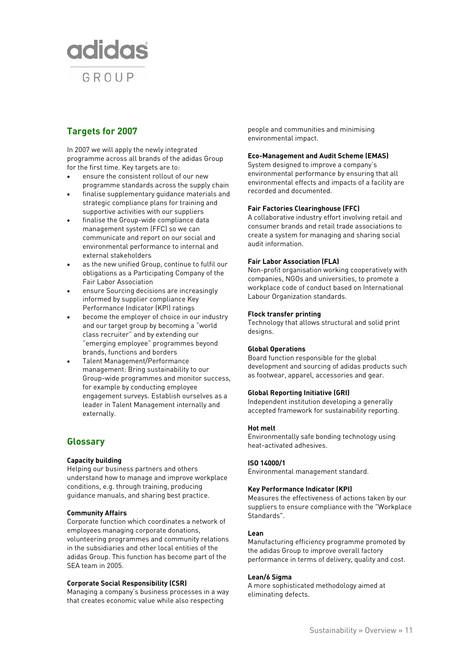

# **Targets for 2007**

In 2007 we will apply the newly integrated programme across all brands of the adidas Group for the first time. Key targets are to:

- ensure the consistent rollout of our new programme standards across the supply chain
- finalise supplementary guidance materials and strategic compliance plans for training and supportive activities with our suppliers
- finalise the Group-wide compliance data management system (FFC) so we can communicate and report on our social and environmental performance to internal and external stakeholders
- as the new unified Group, continue to fulfil our obligations as a Participating Company of the Fair Labor Association
- ensure Sourcing decisions are increasingly informed by supplier compliance Key Performance Indicator (KPI) ratings
- become the employer of choice in our industry and our target group by becoming a "world class recruiter" and by extending our "emerging employee" programmes beyond brands, functions and borders
- Talent Management/Performance management: Bring sustainability to our Group-wide programmes and monitor success, for example by conducting employee engagement surveys. Establish ourselves as a leader in Talent Management internally and externally.

# **Glossary**

# **Capacity building**

Helping our business partners and others understand how to manage and improve workplace conditions, e.g. through training, producing guidance manuals, and sharing best practice.

## **Community Affairs**

Corporate function which coordinates a network of employees managing corporate donations, volunteering programmes and community relations in the subsidiaries and other local entities of the adidas Group. This function has become part of the SEA team in 2005.

#### **Corporate Social Responsibility (CSR)**

Managing a company's business processes in a way that creates economic value while also respecting

people and communities and minimising environmental impact.

#### **Eco-Management and Audit Scheme (EMAS)**

System designed to improve a company's environmental performance by ensuring that all environmental effects and impacts of a facility are recorded and documented.

#### **Fair Factories Clearinghouse (FFC)**

A collaborative industry effort involving retail and consumer brands and retail trade associations to create a system for managing and sharing social audit information.

## **Fair Labor Association (FLA)**

Non-profit organisation working cooperatively with companies, NGOs and universities, to promote a workplace code of conduct based on International Labour Organization standards.

## **Flock transfer printing**

Technology that allows structural and solid print designs.

#### **Global Operations**

Board function responsible for the global development and sourcing of adidas products such as footwear, apparel, accessories and gear.

#### **Global Reporting Initiative (GRI)**

Independent institution developing a generally accepted framework for sustainability reporting.

#### **Hot melt**

Environmentally safe bonding technology using heat-activated adhesives.

#### **ISO 14000/1**

Environmental management standard.

# **Key Performance Indicator (KPI)**

Measures the effectiveness of actions taken by our suppliers to ensure compliance with the "Workplace Standards".

#### **Lean**

Manufacturing efficiency programme promoted by the adidas Group to improve overall factory performance in terms of delivery, quality and cost.

#### **Lean/6 Sigma**

A more sophisticated methodology aimed at eliminating defects.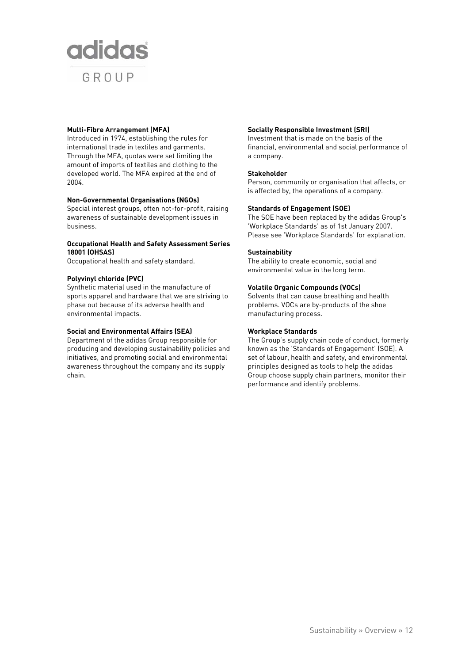

### **Multi-Fibre Arrangement (MFA)**

Introduced in 1974, establishing the rules for international trade in textiles and garments. Through the MFA, quotas were set limiting the amount of imports of textiles and clothing to the developed world. The MFA expired at the end of 2004.

## **Non-Governmental Organisations (NGOs)**

Special interest groups, often not-for-profit, raising awareness of sustainable development issues in business.

# **Occupational Health and Safety Assessment Series 18001 (OHSAS)**

Occupational health and safety standard.

## **Polyvinyl chloride (PVC)**

Synthetic material used in the manufacture of sports apparel and hardware that we are striving to phase out because of its adverse health and environmental impacts.

### **Social and Environmental Affairs (SEA)**

Department of the adidas Group responsible for producing and developing sustainability policies and initiatives, and promoting social and environmental awareness throughout the company and its supply chain.

# **Socially Responsible Investment (SRI)**

Investment that is made on the basis of the financial, environmental and social performance of a company.

## **Stakeholder**

Person, community or organisation that affects, or is affected by, the operations of a company.

## **Standards of Engagement (SOE)**

The SOE have been replaced by the adidas Group's 'Workplace Standards' as of 1st January 2007. Please see 'Workplace Standards' for explanation.

## **Sustainability**

The ability to create economic, social and environmental value in the long term.

## **Volatile Organic Compounds (VOCs)**

Solvents that can cause breathing and health problems. VOCs are by-products of the shoe manufacturing process.

### **Workplace Standards**

The Group's supply chain code of conduct, formerly known as the 'Standards of Engagement' (SOE). A set of labour, health and safety, and environmental principles designed as tools to help the adidas Group choose supply chain partners, monitor their performance and identify problems.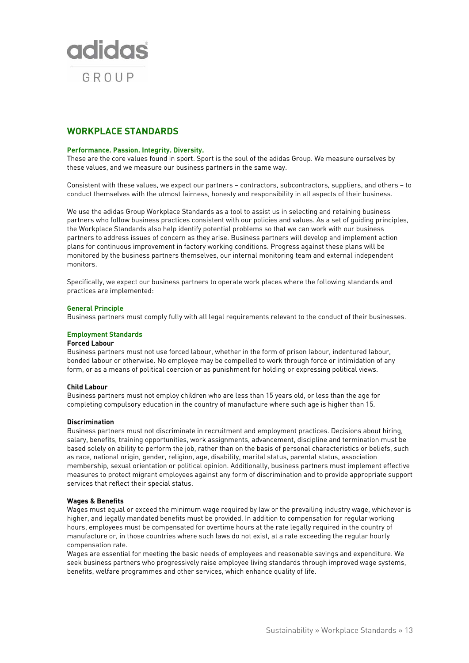

# **WORKPLACE STANDARDS**

#### **Performance. Passion. Integrity. Diversity.**

These are the core values found in sport. Sport is the soul of the adidas Group. We measure ourselves by these values, and we measure our business partners in the same way.

Consistent with these values, we expect our partners – contractors, subcontractors, suppliers, and others – to conduct themselves with the utmost fairness, honesty and responsibility in all aspects of their business.

We use the adidas Group Workplace Standards as a tool to assist us in selecting and retaining business partners who follow business practices consistent with our policies and values. As a set of guiding principles, the Workplace Standards also help identify potential problems so that we can work with our business partners to address issues of concern as they arise. Business partners will develop and implement action plans for continuous improvement in factory working conditions. Progress against these plans will be monitored by the business partners themselves, our internal monitoring team and external independent monitors.

Specifically, we expect our business partners to operate work places where the following standards and practices are implemented:

#### **General Principle**

Business partners must comply fully with all legal requirements relevant to the conduct of their businesses.

#### **Employment Standards**

#### **Forced Labour**

Business partners must not use forced labour, whether in the form of prison labour, indentured labour, bonded labour or otherwise. No employee may be compelled to work through force or intimidation of any form, or as a means of political coercion or as punishment for holding or expressing political views.

#### **Child Labour**

Business partners must not employ children who are less than 15 years old, or less than the age for completing compulsory education in the country of manufacture where such age is higher than 15.

#### **Discrimination**

Business partners must not discriminate in recruitment and employment practices. Decisions about hiring, salary, benefits, training opportunities, work assignments, advancement, discipline and termination must be based solely on ability to perform the job, rather than on the basis of personal characteristics or beliefs, such as race, national origin, gender, religion, age, disability, marital status, parental status, association membership, sexual orientation or political opinion. Additionally, business partners must implement effective measures to protect migrant employees against any form of discrimination and to provide appropriate support services that reflect their special status.

#### **Wages & Benefits**

Wages must equal or exceed the minimum wage required by law or the prevailing industry wage, whichever is higher, and legally mandated benefits must be provided. In addition to compensation for regular working hours, employees must be compensated for overtime hours at the rate legally required in the country of manufacture or, in those countries where such laws do not exist, at a rate exceeding the regular hourly compensation rate.

Wages are essential for meeting the basic needs of employees and reasonable savings and expenditure. We seek business partners who progressively raise employee living standards through improved wage systems, benefits, welfare programmes and other services, which enhance quality of life.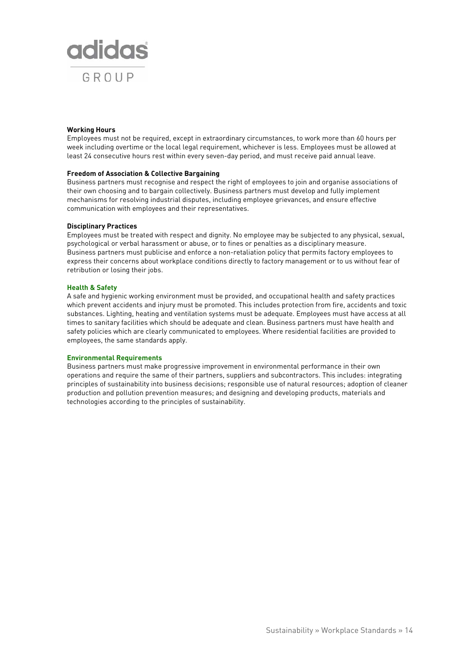

#### **Working Hours**

Employees must not be required, except in extraordinary circumstances, to work more than 60 hours per week including overtime or the local legal requirement, whichever is less. Employees must be allowed at least 24 consecutive hours rest within every seven-day period, and must receive paid annual leave.

#### **Freedom of Association & Collective Bargaining**

Business partners must recognise and respect the right of employees to join and organise associations of their own choosing and to bargain collectively. Business partners must develop and fully implement mechanisms for resolving industrial disputes, including employee grievances, and ensure effective communication with employees and their representatives.

## **Disciplinary Practices**

Employees must be treated with respect and dignity. No employee may be subjected to any physical, sexual, psychological or verbal harassment or abuse, or to fines or penalties as a disciplinary measure. Business partners must publicise and enforce a non-retaliation policy that permits factory employees to express their concerns about workplace conditions directly to factory management or to us without fear of retribution or losing their jobs.

## **Health & Safety**

A safe and hygienic working environment must be provided, and occupational health and safety practices which prevent accidents and injury must be promoted. This includes protection from fire, accidents and toxic substances. Lighting, heating and ventilation systems must be adequate. Employees must have access at all times to sanitary facilities which should be adequate and clean. Business partners must have health and safety policies which are clearly communicated to employees. Where residential facilities are provided to employees, the same standards apply.

#### **Environmental Requirements**

Business partners must make progressive improvement in environmental performance in their own operations and require the same of their partners, suppliers and subcontractors. This includes: integrating principles of sustainability into business decisions; responsible use of natural resources; adoption of cleaner production and pollution prevention measures; and designing and developing products, materials and technologies according to the principles of sustainability.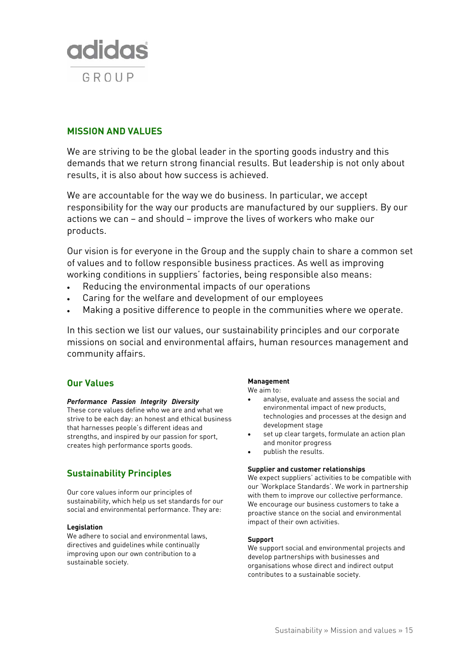

# **MISSION AND VALUES**

We are striving to be the global leader in the sporting goods industry and this demands that we return strong financial results. But leadership is not only about results, it is also about how success is achieved.

We are accountable for the way we do business. In particular, we accept responsibility for the way our products are manufactured by our suppliers. By our actions we can – and should – improve the lives of workers who make our products.

Our vision is for everyone in the Group and the supply chain to share a common set of values and to follow responsible business practices. As well as improving working conditions in suppliers' factories, being responsible also means:

- Reducing the environmental impacts of our operations
- Caring for the welfare and development of our employees
- Making a positive difference to people in the communities where we operate.

In this section we list our values, our sustainability principles and our corporate missions on social and environmental affairs, human resources management and community affairs.

# **Our Values**

# *Performance Passion Integrity Diversity*

These core values define who we are and what we strive to be each day: an honest and ethical business that harnesses people's different ideas and strengths, and inspired by our passion for sport, creates high performance sports goods.

# **Sustainability Principles**

Our core values inform our principles of sustainability, which help us set standards for our social and environmental performance. They are:

# **Legislation**

We adhere to social and environmental laws, directives and guidelines while continually improving upon our own contribution to a sustainable society.

# **Management**

We aim to:

- analyse, evaluate and assess the social and environmental impact of new products, technologies and processes at the design and development stage
- set up clear targets, formulate an action plan and monitor progress
- publish the results.

# **Supplier and customer relationships**

We expect suppliers' activities to be compatible with our 'Workplace Standards'. We work in partnership with them to improve our collective performance. We encourage our business customers to take a proactive stance on the social and environmental impact of their own activities.

#### **Support**

We support social and environmental projects and develop partnerships with businesses and organisations whose direct and indirect output contributes to a sustainable society.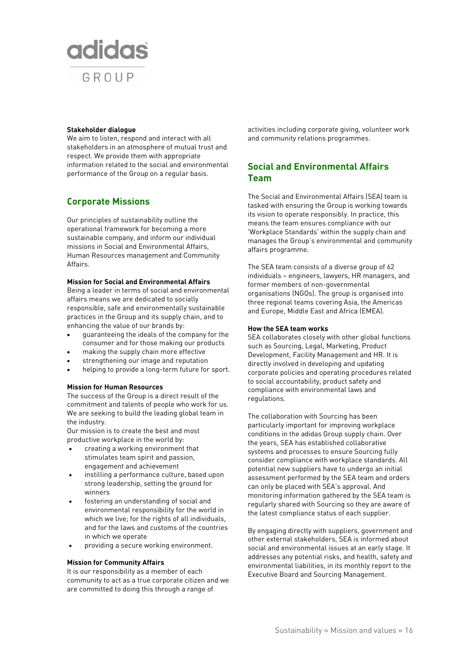

#### **Stakeholder dialogue**

We aim to listen, respond and interact with all stakeholders in an atmosphere of mutual trust and respect. We provide them with appropriate information related to the social and environmental performance of the Group on a regular basis.

# **Corporate Missions**

Our principles of sustainability outline the operational framework for becoming a more sustainable company, and inform our individual missions in Social and Environmental Affairs, Human Resources management and Community Affairs.

## **Mission for Social and Environmental Affairs**

Being a leader in terms of social and environmental affairs means we are dedicated to socially responsible, safe and environmentally sustainable practices in the Group and its supply chain, and to enhancing the value of our brands by:

- guaranteeing the ideals of the company for the consumer and for those making our products
- making the supply chain more effective
- strengthening our image and reputation
- helping to provide a long-term future for sport.

#### **Mission for Human Resources**

The success of the Group is a direct result of the commitment and talents of people who work for us. We are seeking to build the leading global team in the industry.

Our mission is to create the best and most productive workplace in the world by:

- creating a working environment that stimulates team spirit and passion, engagement and achievement
- instilling a performance culture, based upon strong leadership, setting the ground for winners
- fostering an understanding of social and environmental responsibility for the world in which we live; for the rights of all individuals, and for the laws and customs of the countries in which we operate
- providing a secure working environment.

#### **Mission for Community Affairs**

It is our responsibility as a member of each community to act as a true corporate citizen and we are committed to doing this through a range of

activities including corporate giving, volunteer work and community relations programmes.

# **Social and Environmental Affairs Team**

The Social and Environmental Affairs (SEA) team is tasked with ensuring the Group is working towards its vision to operate responsibly. In practice, this means the team ensures compliance with our 'Workplace Standards' within the supply chain and manages the Group's environmental and community affairs programme.

The SEA team consists of a diverse group of 62 individuals – engineers, lawyers, HR managers, and former members of non-governmental organisations (NGOs). The group is organised into three regional teams covering Asia, the Americas and Europe, Middle East and Africa (EMEA).

#### **How the SEA team works**

SEA collaborates closely with other global functions such as Sourcing, Legal, Marketing, Product Development, Facility Management and HR. It is directly involved in developing and updating corporate policies and operating procedures related to social accountability, product safety and compliance with environmental laws and regulations.

The collaboration with Sourcing has been particularly important for improving workplace conditions in the adidas Group supply chain. Over the years, SEA has established collaborative systems and processes to ensure Sourcing fully consider compliance with workplace standards. All potential new suppliers have to undergo an initial assessment performed by the SEA team and orders can only be placed with SEA's approval. And monitoring information gathered by the SEA team is regularly shared with Sourcing so they are aware of the latest compliance status of each supplier.

By engaging directly with suppliers, government and other external stakeholders, SEA is informed about social and environmental issues at an early stage. It addresses any potential risks, and health, safety and environmental liabilities, in its monthly report to the Executive Board and Sourcing Management.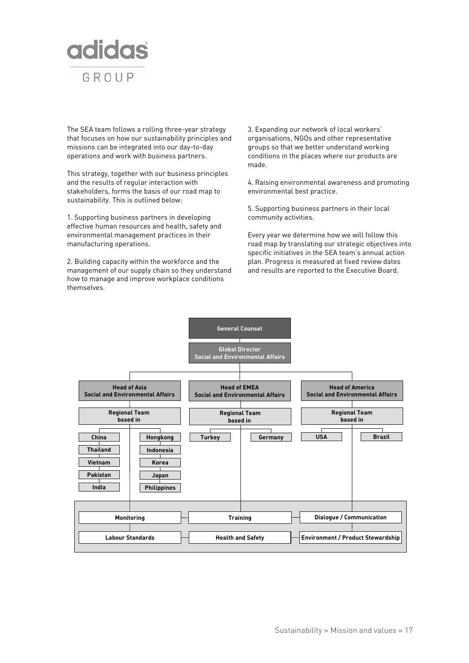

The SEA team follows a rolling three-year strategy that focuses on how our sustainability principles and missions can be integrated into our day-to-day operations and work with business partners.

This strategy, together with our business principles and the results of regular interaction with stakeholders, forms the basis of our road map to sustainability. This is outlined below:

1. Supporting business partners in developing effective human resources and health, safety and environmental management practices in their manufacturing operations.

2. Building capacity within the workforce and the management of our supply chain so they understand how to manage and improve workplace conditions themselves.

3. Expanding our network of local workers' organisations, NGOs and other representative groups so that we better understand working conditions in the places where our products are made.

4. Raising environmental awareness and promoting environmental best practice.

5. Supporting business partners in their local community activities.

Every year we determine how we will follow this road map by translating our strategic objectives into specific initiatives in the SEA team's annual action plan. Progress is measured at fixed review dates and results are reported to the Executive Board.

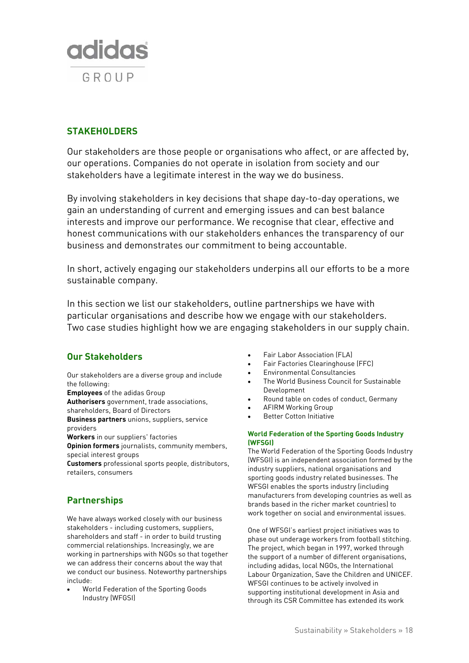

# **STAKEHOLDERS**

Our stakeholders are those people or organisations who affect, or are affected by, our operations. Companies do not operate in isolation from society and our stakeholders have a legitimate interest in the way we do business.

By involving stakeholders in key decisions that shape day-to-day operations, we gain an understanding of current and emerging issues and can best balance interests and improve our performance. We recognise that clear, effective and honest communications with our stakeholders enhances the transparency of our business and demonstrates our commitment to being accountable.

In short, actively engaging our stakeholders underpins all our efforts to be a more sustainable company.

In this section we list our stakeholders, outline partnerships we have with particular organisations and describe how we engage with our stakeholders. Two case studies highlight how we are engaging stakeholders in our supply chain.

# **Our Stakeholders**

Our stakeholders are a diverse group and include the following:

**Employees** of the adidas Group **Authorisers** government, trade associations,

shareholders, Board of Directors

**Business partners** unions, suppliers, service providers

**Workers** in our suppliers' factories

**Opinion formers** journalists, community members, special interest groups

**Customers** professional sports people, distributors, retailers, consumers

# **Partnerships**

We have always worked closely with our business stakeholders - including customers, suppliers, shareholders and staff - in order to build trusting commercial relationships. Increasingly, we are working in partnerships with NGOs so that together we can address their concerns about the way that we conduct our business. Noteworthy partnerships include:

• World Federation of the Sporting Goods Industry (WFGSI)

- Fair Labor Association (FLA)
- Fair Factories Clearinghouse (FFC)
- Environmental Consultancies
- The World Business Council for Sustainable Development
- Round table on codes of conduct, Germany
- AFIRM Working Group
- **Better Cotton Initiative**

# **World Federation of the Sporting Goods Industry (WFSGI)**

The World Federation of the Sporting Goods Industry (WFSGI) is an independent association formed by the industry suppliers, national organisations and sporting goods industry related businesses. The WFSGI enables the sports industry (including manufacturers from developing countries as well as brands based in the richer market countries) to work together on social and environmental issues.

One of WFSGI's earliest project initiatives was to phase out underage workers from football stitching. The project, which began in 1997, worked through the support of a number of different organisations, including adidas, local NGOs, the International Labour Organization, Save the Children and UNICEF. WFSGI continues to be actively involved in supporting institutional development in Asia and through its CSR Committee has extended its work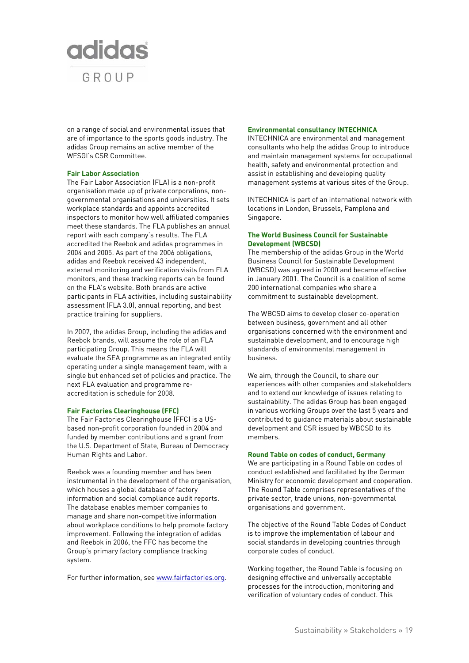

on a range of social and environmental issues that are of importance to the sports goods industry. The adidas Group remains an active member of the WFSGI's CSR Committee.

#### **Fair Labor Association**

The Fair Labor Association (FLA) is a non-profit organisation made up of private corporations, nongovernmental organisations and universities. It sets workplace standards and appoints accredited inspectors to monitor how well affiliated companies meet these standards. The FLA publishes an annual report with each company's results. The FLA accredited the Reebok and adidas programmes in 2004 and 2005. As part of the 2006 obligations, adidas and Reebok received 43 independent, external monitoring and verification visits from FLA monitors, and these tracking reports can be found on the FLA's website. Both brands are active participants in FLA activities, including sustainability assessment (FLA 3.0), annual reporting, and best practice training for suppliers.

In 2007, the adidas Group, including the adidas and Reebok brands, will assume the role of an FLA participating Group. This means the FLA will evaluate the SEA programme as an integrated entity operating under a single management team, with a single but enhanced set of policies and practice. The next FLA evaluation and programme reaccreditation is schedule for 2008.

#### **Fair Factories Clearinghouse (FFC)**

The Fair Factories Clearinghouse (FFC) is a USbased non-profit corporation founded in 2004 and funded by member contributions and a grant from the U.S. Department of State, Bureau of Democracy Human Rights and Labor.

Reebok was a founding member and has been instrumental in the development of the organisation, which houses a global database of factory information and social compliance audit reports. The database enables member companies to manage and share non-competitive information about workplace conditions to help promote factory improvement. Following the integration of adidas and Reebok in 2006, the FFC has become the Group's primary factory compliance tracking system.

For further information, see www.fairfactories.org.

#### **Environmental consultancy INTECHNICA**

INTECHNICA are environmental and management consultants who help the adidas Group to introduce and maintain management systems for occupational health, safety and environmental protection and assist in establishing and developing quality management systems at various sites of the Group.

INTECHNICA is part of an international network with locations in London, Brussels, Pamplona and Singapore.

#### **The World Business Council for Sustainable Development (WBCSD)**

The membership of the adidas Group in the World Business Council for Sustainable Development (WBCSD) was agreed in 2000 and became effective in January 2001. The Council is a coalition of some 200 international companies who share a commitment to sustainable development.

The WBCSD aims to develop closer co-operation between business, government and all other organisations concerned with the environment and sustainable development, and to encourage high standards of environmental management in business.

We aim, through the Council, to share our experiences with other companies and stakeholders and to extend our knowledge of issues relating to sustainability. The adidas Group has been engaged in various working Groups over the last 5 years and contributed to guidance materials about sustainable development and CSR issued by WBCSD to its members.

#### **Round Table on codes of conduct, Germany**

We are participating in a Round Table on codes of conduct established and facilitated by the German Ministry for economic development and cooperation. The Round Table comprises representatives of the private sector, trade unions, non-governmental organisations and government.

The objective of the Round Table Codes of Conduct is to improve the implementation of labour and social standards in developing countries through corporate codes of conduct.

Working together, the Round Table is focusing on designing effective and universally acceptable processes for the introduction, monitoring and verification of voluntary codes of conduct. This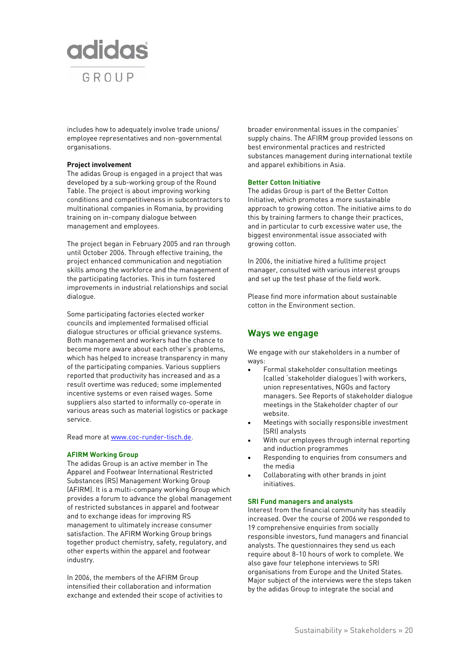

includes how to adequately involve trade unions/ employee representatives and non-governmental organisations.

#### **Project involvement**

The adidas Group is engaged in a project that was developed by a sub-working group of the Round Table. The project is about improving working conditions and competitiveness in subcontractors to multinational companies in Romania, by providing training on in-company dialogue between management and employees.

The project began in February 2005 and ran through until October 2006. Through effective training, the project enhanced communication and negotiation skills among the workforce and the management of the participating factories. This in turn fostered improvements in industrial relationships and social dialogue.

Some participating factories elected worker councils and implemented formalised official dialogue structures or official grievance systems. Both management and workers had the chance to become more aware about each other's problems, which has helped to increase transparency in many of the participating companies. Various suppliers reported that productivity has increased and as a result overtime was reduced; some implemented incentive systems or even raised wages. Some suppliers also started to informally co-operate in various areas such as material logistics or package service.

Read more at www.coc-runder-tisch.de.

#### **AFIRM Working Group**

The adidas Group is an active member in The Apparel and Footwear International Restricted Substances (RS) Management Working Group (AFIRM). It is a multi-company working Group which provides a forum to advance the global management of restricted substances in apparel and footwear and to exchange ideas for improving RS management to ultimately increase consumer satisfaction. The AFIRM Working Group brings together product chemistry, safety, regulatory, and other experts within the apparel and footwear industry.

In 2006, the members of the AFIRM Group intensified their collaboration and information exchange and extended their scope of activities to broader environmental issues in the companies' supply chains. The AFIRM group provided lessons on best environmental practices and restricted substances management during international textile and apparel exhibitions in Asia.

#### **Better Cotton Initiative**

The adidas Group is part of the Better Cotton Initiative, which promotes a more sustainable approach to growing cotton. The initiative aims to do this by training farmers to change their practices, and in particular to curb excessive water use, the biggest environmental issue associated with growing cotton.

In 2006, the initiative hired a fulltime project manager, consulted with various interest groups and set up the test phase of the field work.

Please find more information about sustainable cotton in the Environment section.

# **Ways we engage**

We engage with our stakeholders in a number of ways:

- Formal stakeholder consultation meetings (called 'stakeholder dialogues') with workers, union representatives, NGOs and factory managers. See Reports of stakeholder dialogue meetings in the Stakeholder chapter of our website.
- Meetings with socially responsible investment (SRI) analysts
- With our employees through internal reporting and induction programmes
- Responding to enquiries from consumers and the media
- Collaborating with other brands in joint initiatives.

#### **SRI Fund managers and analysts**

Interest from the financial community has steadily increased. Over the course of 2006 we responded to 19 comprehensive enquiries from socially responsible investors, fund managers and financial analysts. The questionnaires they send us each require about 8-10 hours of work to complete. We also gave four telephone interviews to SRI organisations from Europe and the United States. Major subject of the interviews were the steps taken by the adidas Group to integrate the social and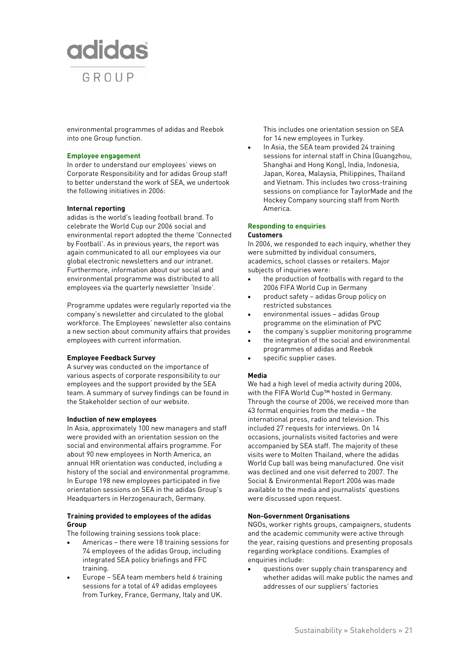

environmental programmes of adidas and Reebok into one Group function.

#### **Employee engagement**

In order to understand our employees' views on Corporate Responsibility and for adidas Group staff to better understand the work of SEA, we undertook the following initiatives in 2006:

#### **Internal reporting**

adidas is the world's leading football brand. To celebrate the World Cup our 2006 social and environmental report adopted the theme 'Connected by Football'. As in previous years, the report was again communicated to all our employees via our global electronic newsletters and our intranet. Furthermore, information about our social and environmental programme was distributed to all employees via the quarterly newsletter 'Inside'.

Programme updates were regularly reported via the company's newsletter and circulated to the global workforce. The Employees' newsletter also contains a new section about community affairs that provides employees with current information.

### **Employee Feedback Survey**

A survey was conducted on the importance of various aspects of corporate responsibility to our employees and the support provided by the SEA team. A summary of survey findings can be found in the Stakeholder section of our website.

#### **Induction of new employees**

In Asia, approximately 100 new managers and staff were provided with an orientation session on the social and environmental affairs programme. For about 90 new employees in North America, an annual HR orientation was conducted, including a history of the social and environmental programme. In Europe 198 new employees participated in five orientation sessions on SEA in the adidas Group's Headquarters in Herzogenaurach, Germany.

## **Training provided to employees of the adidas Group**

The following training sessions took place:

- Americas there were 18 training sessions for 74 employees of the adidas Group, including integrated SEA policy briefings and FFC training.
- Europe SEA team members held 6 training sessions for a total of 49 adidas employees from Turkey, France, Germany, Italy and UK.

This includes one orientation session on SEA for 14 new employees in Turkey.

In Asia, the SEA team provided 24 training sessions for internal staff in China (Guangzhou, Shanghai and Hong Kong), India, Indonesia, Japan, Korea, Malaysia, Philippines, Thailand and Vietnam. This includes two cross-training sessions on compliance for TaylorMade and the Hockey Company sourcing staff from North America.

#### **Responding to enquiries Customers**

In 2006, we responded to each inquiry, whether they were submitted by individual consumers, academics, school classes or retailers. Major subjects of inquiries were:

- the production of footballs with regard to the 2006 FIFA World Cup in Germany
- product safety adidas Group policy on restricted substances
- environmental issues adidas Group programme on the elimination of PVC
- the company's supplier monitoring programme
- the integration of the social and environmental programmes of adidas and Reebok
- specific supplier cases.

#### **Media**

We had a high level of media activity during 2006, with the FIFA World Cup™ hosted in Germany. Through the course of 2006, we received more than 43 formal enquiries from the media – the international press, radio and television. This included 27 requests for interviews. On 14 occasions, journalists visited factories and were accompanied by SEA staff. The majority of these visits were to Molten Thailand, where the adidas World Cup ball was being manufactured. One visit was declined and one visit deferred to 2007. The Social & Environmental Report 2006 was made available to the media and journalists' questions were discussed upon request.

#### **Non-Government Organisations**

NGOs, worker rights groups, campaigners, students and the academic community were active through the year, raising questions and presenting proposals regarding workplace conditions. Examples of enquiries include:

• questions over supply chain transparency and whether adidas will make public the names and addresses of our suppliers' factories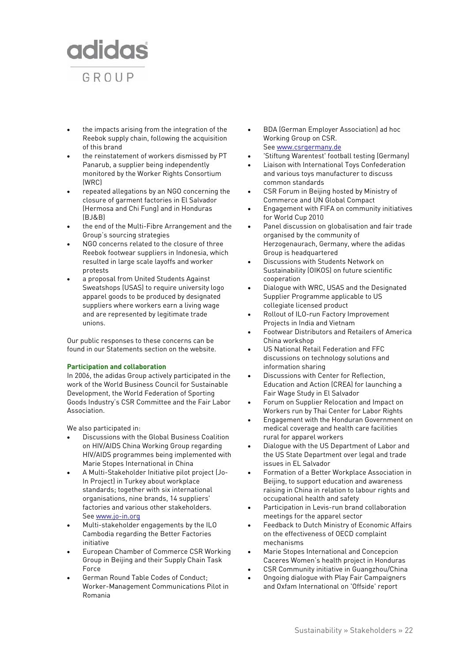

- the impacts arising from the integration of the Reebok supply chain, following the acquisition of this brand
- the reinstatement of workers dismissed by PT Panarub, a supplier being independently monitored by the Worker Rights Consortium (WRC)
- repeated allegations by an NGO concerning the closure of garment factories in El Salvador (Hermosa and Chi Fung) and in Honduras (BJ&B)
- the end of the Multi-Fibre Arrangement and the Group's sourcing strategies
- NGO concerns related to the closure of three Reebok footwear suppliers in Indonesia, which resulted in large scale layoffs and worker protests
- a proposal from United Students Against Sweatshops (USAS) to require university logo apparel goods to be produced by designated suppliers where workers earn a living wage and are represented by legitimate trade unions.

Our public responses to these concerns can be found in our Statements section on the website.

#### **Participation and collaboration**

In 2006, the adidas Group actively participated in the work of the World Business Council for Sustainable Development, the World Federation of Sporting Goods Industry's CSR Committee and the Fair Labor Association.

We also participated in:

- Discussions with the Global Business Coalition on HIV/AIDS China Working Group regarding HIV/AIDS programmes being implemented with Marie Stopes International in China
- A Multi-Stakeholder Initiative pilot project (Jo-In Project) in Turkey about workplace standards; together with six international organisations, nine brands, 14 suppliers' factories and various other stakeholders. See www.jo-in.org
- Multi-stakeholder engagements by the ILO Cambodia regarding the Better Factories initiative
- European Chamber of Commerce CSR Working Group in Beijing and their Supply Chain Task Force
- German Round Table Codes of Conduct; Worker-Management Communications Pilot in Romania
- BDA (German Employer Association) ad hoc Working Group on CSR. See www.csrgermany.de
- 'Stiftung Warentest' football testing (Germany)
- Liaison with International Toys Confederation and various toys manufacturer to discuss common standards
- CSR Forum in Beijing hosted by Ministry of Commerce and UN Global Compact
- Engagement with FIFA on community initiatives for World Cup 2010
- Panel discussion on globalisation and fair trade organised by the community of Herzogenaurach, Germany, where the adidas Group is headquartered
- Discussions with Students Network on Sustainability (OIKOS) on future scientific cooperation
- Dialogue with WRC, USAS and the Designated Supplier Programme applicable to US collegiate licensed product
- Rollout of ILO-run Factory Improvement Projects in India and Vietnam
- Footwear Distributors and Retailers of America China workshop
- US National Retail Federation and FFC discussions on technology solutions and information sharing
- Discussions with Center for Reflection, Education and Action (CREA) for launching a Fair Wage Study in El Salvador
- Forum on Supplier Relocation and Impact on Workers run by Thai Center for Labor Rights
- Engagement with the Honduran Government on medical coverage and health care facilities rural for apparel workers
- Dialogue with the US Department of Labor and the US State Department over legal and trade issues in EL Salvador
- Formation of a Better Workplace Association in Beijing, to support education and awareness raising in China in relation to labour rights and occupational health and safety
- Participation in Levis-run brand collaboration meetings for the apparel sector
- Feedback to Dutch Ministry of Economic Affairs on the effectiveness of OECD complaint mechanisms
- Marie Stopes International and Concepcion Caceres Women's health project in Honduras
- CSR Community initiative in Guangzhou/China
- Ongoing dialogue with Play Fair Campaigners and Oxfam International on 'Offside' report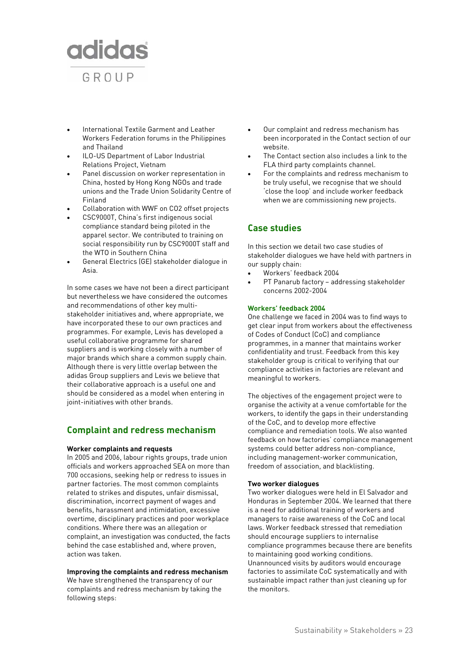

- International Textile Garment and Leather Workers Federation forums in the Philippines and Thailand
- ILO-US Department of Labor Industrial Relations Project, Vietnam
- Panel discussion on worker representation in China, hosted by Hong Kong NGOs and trade unions and the Trade Union Solidarity Centre of Finland
- Collaboration with WWF on CO2 offset projects
- CSC9000T, China's first indigenous social compliance standard being piloted in the apparel sector. We contributed to training on social responsibility run by CSC9000T staff and the WTO in Southern China
- General Electrics (GE) stakeholder dialogue in Asia.

In some cases we have not been a direct participant but nevertheless we have considered the outcomes and recommendations of other key multistakeholder initiatives and, where appropriate, we have incorporated these to our own practices and programmes. For example, Levis has developed a useful collaborative programme for shared suppliers and is working closely with a number of major brands which share a common supply chain. Although there is very little overlap between the adidas Group suppliers and Levis we believe that their collaborative approach is a useful one and should be considered as a model when entering in joint-initiatives with other brands.

# **Complaint and redress mechanism**

#### **Worker complaints and requests**

In 2005 and 2006, labour rights groups, trade union officials and workers approached SEA on more than 700 occasions, seeking help or redress to issues in partner factories. The most common complaints related to strikes and disputes, unfair dismissal, discrimination, incorrect payment of wages and benefits, harassment and intimidation, excessive overtime, disciplinary practices and poor workplace conditions. Where there was an allegation or complaint, an investigation was conducted, the facts behind the case established and, where proven, action was taken.

# **Improving the complaints and redress mechanism**

We have strengthened the transparency of our complaints and redress mechanism by taking the following steps:

- Our complaint and redress mechanism has been incorporated in the Contact section of our website.
- The Contact section also includes a link to the FLA third party complaints channel.
- For the complaints and redress mechanism to be truly useful, we recognise that we should 'close the loop' and include worker feedback when we are commissioning new projects.

# **Case studies**

In this section we detail two case studies of stakeholder dialogues we have held with partners in our supply chain:

- Workers' feedback 2004
- PT Panarub factory addressing stakeholder concerns 2002-2004

# **Workers' feedback 2004**

One challenge we faced in 2004 was to find ways to get clear input from workers about the effectiveness of Codes of Conduct (CoC) and compliance programmes, in a manner that maintains worker confidentiality and trust. Feedback from this key stakeholder group is critical to verifying that our compliance activities in factories are relevant and meaningful to workers.

The objectives of the engagement project were to organise the activity at a venue comfortable for the workers, to identify the gaps in their understanding of the CoC, and to develop more effective compliance and remediation tools. We also wanted feedback on how factories' compliance management systems could better address non-compliance, including management-worker communication, freedom of association, and blacklisting.

#### **Two worker dialogues**

Two worker dialogues were held in El Salvador and Honduras in September 2004. We learned that there is a need for additional training of workers and managers to raise awareness of the CoC and local laws. Worker feedback stressed that remediation should encourage suppliers to internalise compliance programmes because there are benefits to maintaining good working conditions. Unannounced visits by auditors would encourage factories to assimilate CoC systematically and with sustainable impact rather than just cleaning up for the monitors.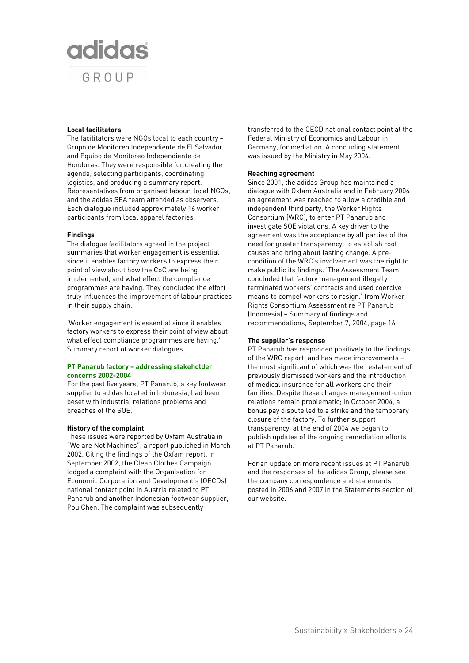# **adidas** GROUP

# **Local facilitators**

The facilitators were NGOs local to each country – Grupo de Monitoreo Independiente de El Salvador and Equipo de Monitoreo Independiente de Honduras. They were responsible for creating the agenda, selecting participants, coordinating logistics, and producing a summary report. Representatives from organised labour, local NGOs, and the adidas SEA team attended as observers. Each dialogue included approximately 16 worker participants from local apparel factories.

#### **Findings**

The dialogue facilitators agreed in the project summaries that worker engagement is essential since it enables factory workers to express their point of view about how the CoC are being implemented, and what effect the compliance programmes are having. They concluded the effort truly influences the improvement of labour practices in their supply chain.

'Worker engagement is essential since it enables factory workers to express their point of view about what effect compliance programmes are having.' Summary report of worker dialogues

## **PT Panarub factory – addressing stakeholder concerns 2002-2004**

For the past five years, PT Panarub, a key footwear supplier to adidas located in Indonesia, had been beset with industrial relations problems and breaches of the SOE.

# **History of the complaint**

These issues were reported by Oxfam Australia in "We are Not Machines", a report published in March 2002. Citing the findings of the Oxfam report, in September 2002, the Clean Clothes Campaign lodged a complaint with the Organisation for Economic Corporation and Development's (OECDs) national contact point in Austria related to PT Panarub and another Indonesian footwear supplier, Pou Chen. The complaint was subsequently

transferred to the OECD national contact point at the Federal Ministry of Economics and Labour in Germany, for mediation. A concluding statement was issued by the Ministry in May 2004.

# **Reaching agreement**

Since 2001, the adidas Group has maintained a dialogue with Oxfam Australia and in February 2004 an agreement was reached to allow a credible and independent third party, the Worker Rights Consortium (WRC), to enter PT Panarub and investigate SOE violations. A key driver to the agreement was the acceptance by all parties of the need for greater transparency, to establish root causes and bring about lasting change. A precondition of the WRC's involvement was the right to make public its findings. 'The Assessment Team concluded that factory management illegally terminated workers' contracts and used coercive means to compel workers to resign.' from Worker Rights Consortium Assessment re PT Panarub (Indonesia) – Summary of findings and recommendations, September 7, 2004, page 16

# **The supplier's response**

PT Panarub has responded positively to the findings of the WRC report, and has made improvements – the most significant of which was the restatement of previously dismissed workers and the introduction of medical insurance for all workers and their families. Despite these changes management-union relations remain problematic; in October 2004, a bonus pay dispute led to a strike and the temporary closure of the factory. To further support transparency, at the end of 2004 we began to publish updates of the ongoing remediation efforts at PT Panarub.

For an update on more recent issues at PT Panarub and the responses of the adidas Group, please see the company correspondence and statements posted in 2006 and 2007 in the Statements section of our website.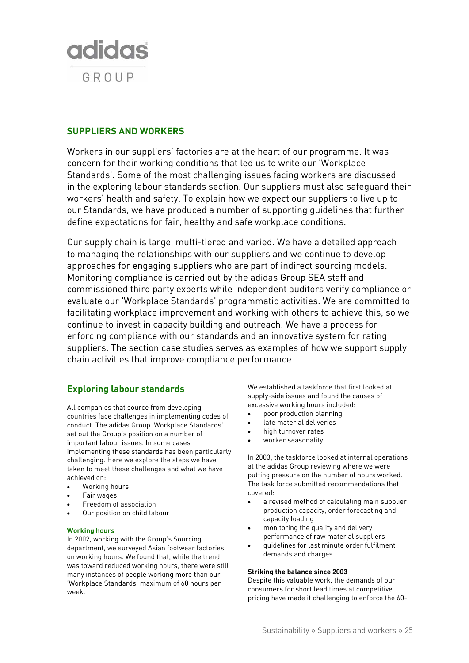

# **SUPPLIERS AND WORKERS**

Workers in our suppliers' factories are at the heart of our programme. It was concern for their working conditions that led us to write our 'Workplace Standards'. Some of the most challenging issues facing workers are discussed in the exploring labour standards section. Our suppliers must also safeguard their workers' health and safety. To explain how we expect our suppliers to live up to our Standards, we have produced a number of supporting guidelines that further define expectations for fair, healthy and safe workplace conditions.

Our supply chain is large, multi-tiered and varied. We have a detailed approach to managing the relationships with our suppliers and we continue to develop approaches for engaging suppliers who are part of indirect sourcing models. Monitoring compliance is carried out by the adidas Group SEA staff and commissioned third party experts while independent auditors verify compliance or evaluate our 'Workplace Standards' programmatic activities. We are committed to facilitating workplace improvement and working with others to achieve this, so we continue to invest in capacity building and outreach. We have a process for enforcing compliance with our standards and an innovative system for rating suppliers. The section case studies serves as examples of how we support supply chain activities that improve compliance performance.

# **Exploring labour standards**

All companies that source from developing countries face challenges in implementing codes of conduct. The adidas Group 'Workplace Standards' set out the Group's position on a number of important labour issues. In some cases implementing these standards has been particularly challenging. Here we explore the steps we have taken to meet these challenges and what we have achieved on:

- Working hours
- Fair wages
- Freedom of association
- Our position on child labour

# **Working hours**

In 2002, working with the Group's Sourcing department, we surveyed Asian footwear factories on working hours. We found that, while the trend was toward reduced working hours, there were still many instances of people working more than our 'Workplace Standards' maximum of 60 hours per week.

We established a taskforce that first looked at supply-side issues and found the causes of excessive working hours included:

- poor production planning
- late material deliveries
- high turnover rates
- worker seasonality.

In 2003, the taskforce looked at internal operations at the adidas Group reviewing where we were putting pressure on the number of hours worked. The task force submitted recommendations that covered:

- a revised method of calculating main supplier production capacity, order forecasting and capacity loading
- monitoring the quality and delivery performance of raw material suppliers
- guidelines for last minute order fulfilment demands and charges.

### **Striking the balance since 2003**

Despite this valuable work, the demands of our consumers for short lead times at competitive pricing have made it challenging to enforce the 60-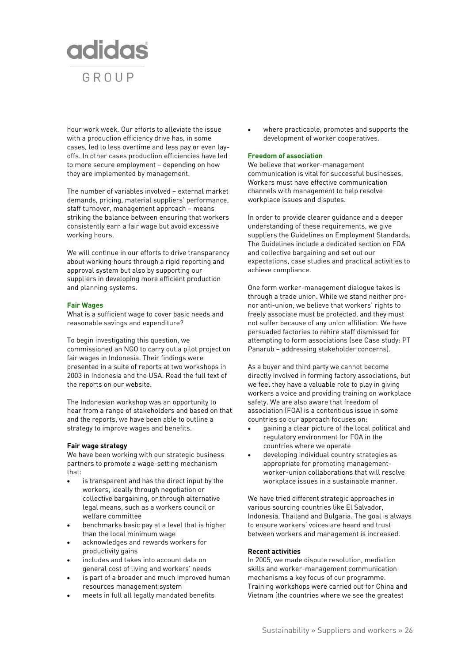

hour work week. Our efforts to alleviate the issue with a production efficiency drive has, in some cases, led to less overtime and less pay or even layoffs. In other cases production efficiencies have led to more secure employment – depending on how they are implemented by management.

The number of variables involved – external market demands, pricing, material suppliers' performance, staff turnover, management approach – means striking the balance between ensuring that workers consistently earn a fair wage but avoid excessive working hours.

We will continue in our efforts to drive transparency about working hours through a rigid reporting and approval system but also by supporting our suppliers in developing more efficient production and planning systems.

# **Fair Wages**

What is a sufficient wage to cover basic needs and reasonable savings and expenditure?

To begin investigating this question, we commissioned an NGO to carry out a pilot project on fair wages in Indonesia. Their findings were presented in a suite of reports at two workshops in 2003 in Indonesia and the USA. Read the full text of the reports on our website.

The Indonesian workshop was an opportunity to hear from a range of stakeholders and based on that and the reports, we have been able to outline a strategy to improve wages and benefits.

# **Fair wage strategy**

We have been working with our strategic business partners to promote a wage-setting mechanism that:

- is transparent and has the direct input by the workers, ideally through negotiation or collective bargaining, or through alternative legal means, such as a workers council or welfare committee
- benchmarks basic pay at a level that is higher than the local minimum wage
- acknowledges and rewards workers for productivity gains
- includes and takes into account data on general cost of living and workers' needs
- is part of a broader and much improved human resources management system
- meets in full all legally mandated benefits

• where practicable, promotes and supports the development of worker cooperatives.

# **Freedom of association**

We believe that worker-management communication is vital for successful businesses. Workers must have effective communication channels with management to help resolve workplace issues and disputes.

In order to provide clearer guidance and a deeper understanding of these requirements, we give suppliers the Guidelines on Employment Standards. The Guidelines include a dedicated section on FOA and collective bargaining and set out our expectations, case studies and practical activities to achieve compliance.

One form worker-management dialogue takes is through a trade union. While we stand neither pronor anti-union, we believe that workers' rights to freely associate must be protected, and they must not suffer because of any union affiliation. We have persuaded factories to rehire staff dismissed for attempting to form associations (see Case study: PT Panarub – addressing stakeholder concerns).

As a buyer and third party we cannot become directly involved in forming factory associations, but we feel they have a valuable role to play in giving workers a voice and providing training on workplace safety. We are also aware that freedom of association (FOA) is a contentious issue in some countries so our approach focuses on:

- gaining a clear picture of the local political and regulatory environment for FOA in the countries where we operate
- developing individual country strategies as appropriate for promoting managementworker-union collaborations that will resolve workplace issues in a sustainable manner.

We have tried different strategic approaches in various sourcing countries like El Salvador, Indonesia, Thailand and Bulgaria. The goal is always to ensure workers' voices are heard and trust between workers and management is increased.

# **Recent activities**

In 2005, we made dispute resolution, mediation skills and worker-management communication mechanisms a key focus of our programme. Training workshops were carried out for China and Vietnam (the countries where we see the greatest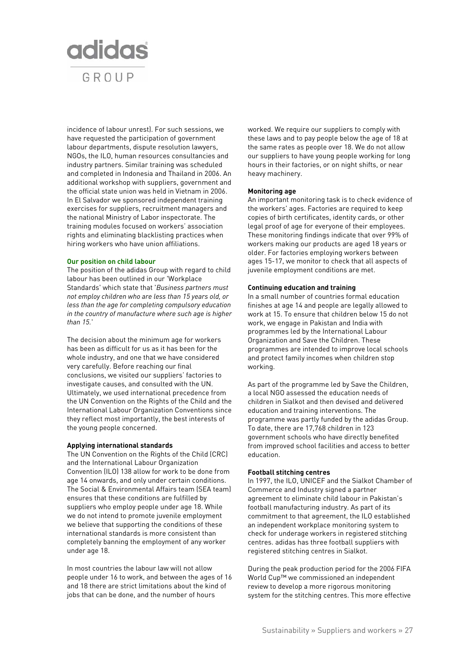

incidence of labour unrest). For such sessions, we have requested the participation of government labour departments, dispute resolution lawyers, NGOs, the ILO, human resources consultancies and industry partners. Similar training was scheduled and completed in Indonesia and Thailand in 2006. An additional workshop with suppliers, government and the official state union was held in Vietnam in 2006. In El Salvador we sponsored independent training exercises for suppliers, recruitment managers and the national Ministry of Labor inspectorate. The training modules focused on workers' association rights and eliminating blacklisting practices when hiring workers who have union affiliations.

#### **Our position on child labour**

The position of the adidas Group with regard to child labour has been outlined in our 'Workplace Standards' which state that '*Business partners must not employ children who are less than 15 years old, or less than the age for completing compulsory education in the country of manufacture where such age is higher than 15.*'

The decision about the minimum age for workers has been as difficult for us as it has been for the whole industry, and one that we have considered very carefully. Before reaching our final conclusions, we visited our suppliers' factories to investigate causes, and consulted with the UN. Ultimately, we used international precedence from the UN Convention on the Rights of the Child and the International Labour Organization Conventions since they reflect most importantly, the best interests of the young people concerned.

#### **Applying international standards**

The UN Convention on the Rights of the Child (CRC) and the International Labour Organization Convention (ILO) 138 allow for work to be done from age 14 onwards, and only under certain conditions. The Social & Environmental Affairs team (SEA team) ensures that these conditions are fulfilled by suppliers who employ people under age 18. While we do not intend to promote juvenile employment we believe that supporting the conditions of these international standards is more consistent than completely banning the employment of any worker under age 18.

In most countries the labour law will not allow people under 16 to work, and between the ages of 16 and 18 there are strict limitations about the kind of jobs that can be done, and the number of hours

worked. We require our suppliers to comply with these laws and to pay people below the age of 18 at the same rates as people over 18. We do not allow our suppliers to have young people working for long hours in their factories, or on night shifts, or near heavy machinery.

#### **Monitoring age**

An important monitoring task is to check evidence of the workers' ages. Factories are required to keep copies of birth certificates, identity cards, or other legal proof of age for everyone of their employees. These monitoring findings indicate that over 99% of workers making our products are aged 18 years or older. For factories employing workers between ages 15-17, we monitor to check that all aspects of juvenile employment conditions are met.

#### **Continuing education and training**

In a small number of countries formal education finishes at age 14 and people are legally allowed to work at 15. To ensure that children below 15 do not work, we engage in Pakistan and India with programmes led by the International Labour Organization and Save the Children. These programmes are intended to improve local schools and protect family incomes when children stop working.

As part of the programme led by Save the Children, a local NGO assessed the education needs of children in Sialkot and then devised and delivered education and training interventions. The programme was partly funded by the adidas Group. To date, there are 17,768 children in 123 government schools who have directly benefited from improved school facilities and access to better education.

### **Football stitching centres**

In 1997, the ILO, UNICEF and the Sialkot Chamber of Commerce and Industry signed a partner agreement to eliminate child labour in Pakistan's football manufacturing industry. As part of its commitment to that agreement, the ILO established an independent workplace monitoring system to check for underage workers in registered stitching centres. adidas has three football suppliers with registered stitching centres in Sialkot.

During the peak production period for the 2006 FIFA World Cup™ we commissioned an independent review to develop a more rigorous monitoring system for the stitching centres. This more effective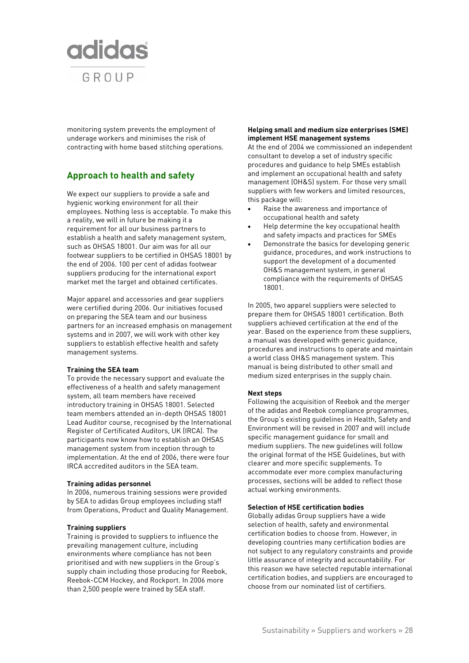

monitoring system prevents the employment of underage workers and minimises the risk of contracting with home based stitching operations.

# **Approach to health and safety**

We expect our suppliers to provide a safe and hygienic working environment for all their employees. Nothing less is acceptable. To make this a reality, we will in future be making it a requirement for all our business partners to establish a health and safety management system, such as OHSAS 18001. Our aim was for all our footwear suppliers to be certified in OHSAS 18001 by the end of 2006. 100 per cent of adidas footwear suppliers producing for the international export market met the target and obtained certificates.

Major apparel and accessories and gear suppliers were certified during 2006. Our initiatives focused on preparing the SEA team and our business partners for an increased emphasis on management systems and in 2007, we will work with other key suppliers to establish effective health and safety management systems.

#### **Training the SEA team**

To provide the necessary support and evaluate the effectiveness of a health and safety management system, all team members have received introductory training in OHSAS 18001. Selected team members attended an in-depth OHSAS 18001 Lead Auditor course, recognised by the International Register of Certificated Auditors, UK (IRCA). The participants now know how to establish an OHSAS management system from inception through to implementation. At the end of 2006, there were four IRCA accredited auditors in the SEA team.

#### **Training adidas personnel**

In 2006, numerous training sessions were provided by SEA to adidas Group employees including staff from Operations, Product and Quality Management.

#### **Training suppliers**

Training is provided to suppliers to influence the prevailing management culture, including environments where compliance has not been prioritised and with new suppliers in the Group's supply chain including those producing for Reebok, Reebok-CCM Hockey, and Rockport. In 2006 more than 2,500 people were trained by SEA staff.

# **Helping small and medium size enterprises (SME) implement HSE management systems**

At the end of 2004 we commissioned an independent consultant to develop a set of industry specific procedures and guidance to help SMEs establish and implement an occupational health and safety management (OH&S) system. For those very small suppliers with few workers and limited resources, this package will:

- Raise the awareness and importance of occupational health and safety
- Help determine the key occupational health and safety impacts and practices for SMEs
- Demonstrate the basics for developing generic guidance, procedures, and work instructions to support the development of a documented OH&S management system, in general compliance with the requirements of OHSAS 18001.

In 2005, two apparel suppliers were selected to prepare them for OHSAS 18001 certification. Both suppliers achieved certification at the end of the year. Based on the experience from these suppliers, a manual was developed with generic guidance, procedures and instructions to operate and maintain a world class OH&S management system. This manual is being distributed to other small and medium sized enterprises in the supply chain.

# **Next steps**

Following the acquisition of Reebok and the merger of the adidas and Reebok compliance programmes, the Group's existing guidelines in Health, Safety and Environment will be revised in 2007 and will include specific management guidance for small and medium suppliers. The new guidelines will follow the original format of the HSE Guidelines, but with clearer and more specific supplements. To accommodate ever more complex manufacturing processes, sections will be added to reflect those actual working environments.

## **Selection of HSE certification bodies**

Globally adidas Group suppliers have a wide selection of health, safety and environmental certification bodies to choose from. However, in developing countries many certification bodies are not subject to any regulatory constraints and provide little assurance of integrity and accountability. For this reason we have selected reputable international certification bodies, and suppliers are encouraged to choose from our nominated list of certifiers.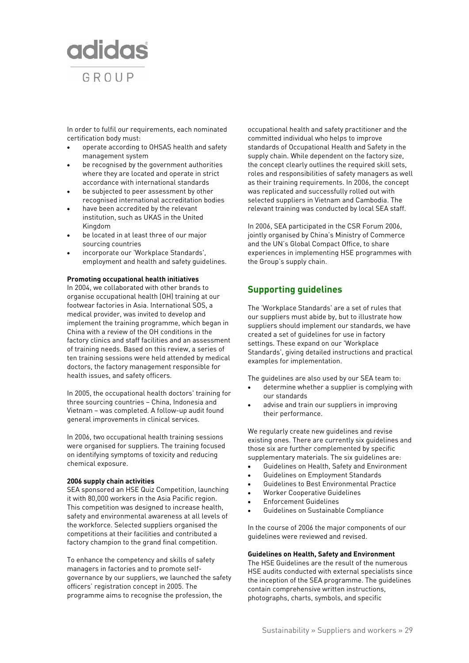

In order to fulfil our requirements, each nominated certification body must:

- operate according to OHSAS health and safety management system
- be recognised by the government authorities where they are located and operate in strict accordance with international standards
- be subjected to peer assessment by other recognised international accreditation bodies
- have been accredited by the relevant institution, such as UKAS in the United Kingdom
- be located in at least three of our major sourcing countries
- incorporate our 'Workplace Standards', employment and health and safety guidelines.

## **Promoting occupational health initiatives**

In 2004, we collaborated with other brands to organise occupational health (OH) training at our footwear factories in Asia. International SOS, a medical provider, was invited to develop and implement the training programme, which began in China with a review of the OH conditions in the factory clinics and staff facilities and an assessment of training needs. Based on this review, a series of ten training sessions were held attended by medical doctors, the factory management responsible for health issues, and safety officers.

In 2005, the occupational health doctors' training for three sourcing countries – China, Indonesia and Vietnam – was completed. A follow-up audit found general improvements in clinical services.

In 2006, two occupational health training sessions were organised for suppliers. The training focused on identifying symptoms of toxicity and reducing chemical exposure.

#### **2006 supply chain activities**

SEA sponsored an HSE Quiz Competition, launching it with 80,000 workers in the Asia Pacific region. This competition was designed to increase health, safety and environmental awareness at all levels of the workforce. Selected suppliers organised the competitions at their facilities and contributed a factory champion to the grand final competition.

To enhance the competency and skills of safety managers in factories and to promote selfgovernance by our suppliers, we launched the safety officers' registration concept in 2005. The programme aims to recognise the profession, the

occupational health and safety practitioner and the committed individual who helps to improve standards of Occupational Health and Safety in the supply chain. While dependent on the factory size, the concept clearly outlines the required skill sets, roles and responsibilities of safety managers as well as their training requirements. In 2006, the concept was replicated and successfully rolled out with selected suppliers in Vietnam and Cambodia. The relevant training was conducted by local SEA staff.

In 2006, SEA participated in the CSR Forum 2006, jointly organised by China's Ministry of Commerce and the UN's Global Compact Office, to share experiences in implementing HSE programmes with the Group's supply chain.

# **Supporting guidelines**

The 'Workplace Standards' are a set of rules that our suppliers must abide by, but to illustrate how suppliers should implement our standards, we have created a set of guidelines for use in factory settings. These expand on our 'Workplace Standards', giving detailed instructions and practical examples for implementation.

The guidelines are also used by our SEA team to:

- determine whether a supplier is complying with our standards
- advise and train our suppliers in improving their performance.

We regularly create new guidelines and revise existing ones. There are currently six guidelines and those six are further complemented by specific supplementary materials. The six guidelines are:

- Guidelines on Health, Safety and Environment
- Guidelines on Employment Standards
- Guidelines to Best Environmental Practice
- Worker Cooperative Guidelines
- Enforcement Guidelines
- Guidelines on Sustainable Compliance

In the course of 2006 the major components of our guidelines were reviewed and revised.

#### **Guidelines on Health, Safety and Environment**

The HSE Guidelines are the result of the numerous HSE audits conducted with external specialists since the inception of the SEA programme. The guidelines contain comprehensive written instructions, photographs, charts, symbols, and specific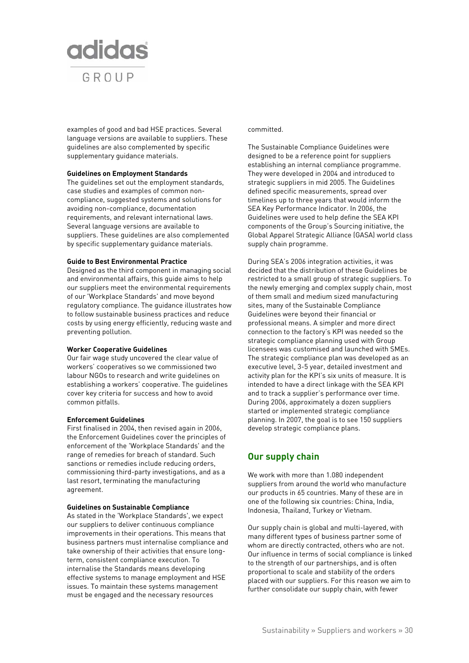

examples of good and bad HSE practices. Several language versions are available to suppliers. These guidelines are also complemented by specific supplementary guidance materials.

#### **Guidelines on Employment Standards**

The guidelines set out the employment standards, case studies and examples of common noncompliance, suggested systems and solutions for avoiding non-compliance, documentation requirements, and relevant international laws. Several language versions are available to suppliers. These guidelines are also complemented by specific supplementary guidance materials.

## **Guide to Best Environmental Practice**

Designed as the third component in managing social and environmental affairs, this guide aims to help our suppliers meet the environmental requirements of our 'Workplace Standards' and move beyond regulatory compliance. The guidance illustrates how to follow sustainable business practices and reduce costs by using energy efficiently, reducing waste and preventing pollution.

#### **Worker Cooperative Guidelines**

Our fair wage study uncovered the clear value of workers' cooperatives so we commissioned two labour NGOs to research and write guidelines on establishing a workers' cooperative. The guidelines cover key criteria for success and how to avoid common pitfalls.

# **Enforcement Guidelines**

First finalised in 2004, then revised again in 2006, the Enforcement Guidelines cover the principles of enforcement of the 'Workplace Standards' and the range of remedies for breach of standard. Such sanctions or remedies include reducing orders, commissioning third-party investigations, and as a last resort, terminating the manufacturing agreement.

#### **Guidelines on Sustainable Compliance**

As stated in the 'Workplace Standards', we expect our suppliers to deliver continuous compliance improvements in their operations. This means that business partners must internalise compliance and take ownership of their activities that ensure longterm, consistent compliance execution. To internalise the Standards means developing effective systems to manage employment and HSE issues. To maintain these systems management must be engaged and the necessary resources

## committed.

The Sustainable Compliance Guidelines were designed to be a reference point for suppliers establishing an internal compliance programme. They were developed in 2004 and introduced to strategic suppliers in mid 2005. The Guidelines defined specific measurements, spread over timelines up to three years that would inform the SEA Key Performance Indicator. In 2006, the Guidelines were used to help define the SEA KPI components of the Group's Sourcing initiative, the Global Apparel Strategic Alliance (GASA) world class supply chain programme.

During SEA's 2006 integration activities, it was decided that the distribution of these Guidelines be restricted to a small group of strategic suppliers. To the newly emerging and complex supply chain, most of them small and medium sized manufacturing sites, many of the Sustainable Compliance Guidelines were beyond their financial or professional means. A simpler and more direct connection to the factory's KPI was needed so the strategic compliance planning used with Group licensees was customised and launched with SMEs. The strategic compliance plan was developed as an executive level, 3-5 year, detailed investment and activity plan for the KPI's six units of measure. It is intended to have a direct linkage with the SEA KPI and to track a supplier's performance over time. During 2006, approximately a dozen suppliers started or implemented strategic compliance planning. In 2007, the goal is to see 150 suppliers develop strategic compliance plans.

# **Our supply chain**

We work with more than 1.080 independent suppliers from around the world who manufacture our products in 65 countries. Many of these are in one of the following six countries: China, India, Indonesia, Thailand, Turkey or Vietnam.

Our supply chain is global and multi-layered, with many different types of business partner some of whom are directly contracted, others who are not. Our influence in terms of social compliance is linked to the strength of our partnerships, and is often proportional to scale and stability of the orders placed with our suppliers. For this reason we aim to further consolidate our supply chain, with fewer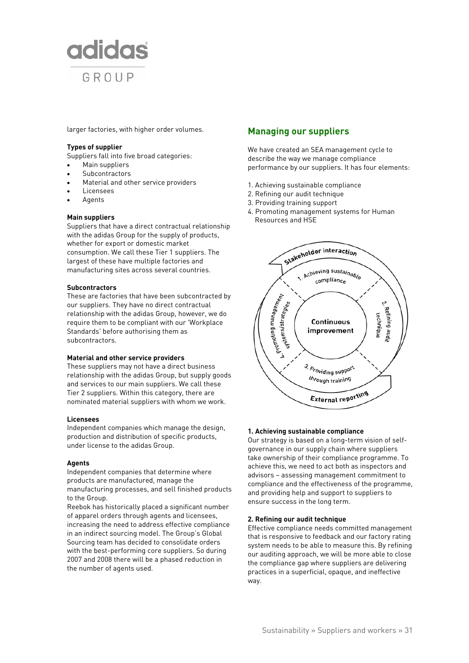

larger factories, with higher order volumes.

## **Types of supplier**

Suppliers fall into five broad categories:

- Main suppliers
- Subcontractors
- Material and other service providers
- Licensees
- **Agents**

# **Main suppliers**

Suppliers that have a direct contractual relationship with the adidas Group for the supply of products, whether for export or domestic market consumption. We call these Tier 1 suppliers. The largest of these have multiple factories and manufacturing sites across several countries.

## **Subcontractors**

These are factories that have been subcontracted by our suppliers. They have no direct contractual relationship with the adidas Group, however, we do require them to be compliant with our 'Workplace Standards' before authorising them as subcontractors.

#### **Material and other service providers**

These suppliers may not have a direct business relationship with the adidas Group, but supply goods and services to our main suppliers. We call these Tier 2 suppliers. Within this category, there are nominated material suppliers with whom we work.

#### **Licensees**

Independent companies which manage the design, production and distribution of specific products, under license to the adidas Group.

#### **Agents**

Independent companies that determine where products are manufactured, manage the manufacturing processes, and sell finished products to the Group.

Reebok has historically placed a significant number of apparel orders through agents and licensees, increasing the need to address effective compliance in an indirect sourcing model. The Group's Global Sourcing team has decided to consolidate orders with the best-performing core suppliers. So during 2007 and 2008 there will be a phased reduction in the number of agents used.

# **Managing our suppliers**

We have created an SEA management cycle to describe the way we manage compliance performance by our suppliers. It has four elements:

- 1. Achieving sustainable compliance
- 2. Refining our audit technique
- 3. Providing training support
- 4. Promoting management systems for Human Resources and HSE



# **1. Achieving sustainable compliance**

Our strategy is based on a long-term vision of selfgovernance in our supply chain where suppliers take ownership of their compliance programme. To achieve this, we need to act both as inspectors and advisors – assessing management commitment to compliance and the effectiveness of the programme, and providing help and support to suppliers to ensure success in the long term.

# **2. Refining our audit technique**

Effective compliance needs committed management that is responsive to feedback and our factory rating system needs to be able to measure this. By refining our auditing approach, we will be more able to close the compliance gap where suppliers are delivering practices in a superficial, opaque, and ineffective way.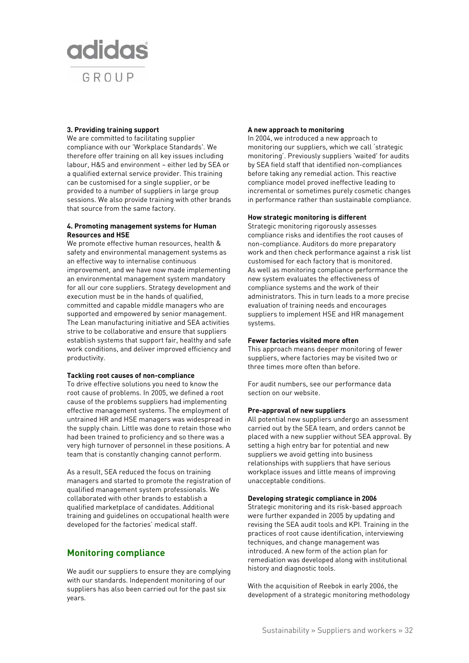# **adidas** GROUP

## **3. Providing training support**

We are committed to facilitating supplier compliance with our 'Workplace Standards'. We therefore offer training on all key issues including labour, H&S and environment – either led by SEA or a qualified external service provider. This training can be customised for a single supplier, or be provided to a number of suppliers in large group sessions. We also provide training with other brands that source from the same factory.

## **4. Promoting management systems for Human Resources and HSE**

We promote effective human resources, health & safety and environmental management systems as an effective way to internalise continuous improvement, and we have now made implementing an environmental management system mandatory for all our core suppliers. Strategy development and execution must be in the hands of qualified, committed and capable middle managers who are supported and empowered by senior management. The Lean manufacturing initiative and SEA activities strive to be collaborative and ensure that suppliers establish systems that support fair, healthy and safe work conditions, and deliver improved efficiency and productivity.

#### **Tackling root causes of non-compliance**

To drive effective solutions you need to know the root cause of problems. In 2005, we defined a root cause of the problems suppliers had implementing effective management systems. The employment of untrained HR and HSE managers was widespread in the supply chain. Little was done to retain those who had been trained to proficiency and so there was a very high turnover of personnel in these positions. A team that is constantly changing cannot perform.

As a result, SEA reduced the focus on training managers and started to promote the registration of qualified management system professionals. We collaborated with other brands to establish a qualified marketplace of candidates. Additional training and guidelines on occupational health were developed for the factories' medical staff.

# **Monitoring compliance**

We audit our suppliers to ensure they are complying with our standards. Independent monitoring of our suppliers has also been carried out for the past six years.

#### **A new approach to monitoring**

In 2004, we introduced a new approach to monitoring our suppliers, which we call 'strategic monitoring'. Previously suppliers 'waited' for audits by SEA field staff that identified non-compliances before taking any remedial action. This reactive compliance model proved ineffective leading to incremental or sometimes purely cosmetic changes in performance rather than sustainable compliance.

## **How strategic monitoring is different**

Strategic monitoring rigorously assesses compliance risks and identifies the root causes of non-compliance. Auditors do more preparatory work and then check performance against a risk list customised for each factory that is monitored. As well as monitoring compliance performance the new system evaluates the effectiveness of compliance systems and the work of their administrators. This in turn leads to a more precise evaluation of training needs and encourages suppliers to implement HSE and HR management systems.

# **Fewer factories visited more often**

This approach means deeper monitoring of fewer suppliers, where factories may be visited two or three times more often than before.

For audit numbers, see our performance data section on our website.

#### **Pre-approval of new suppliers**

All potential new suppliers undergo an assessment carried out by the SEA team, and orders cannot be placed with a new supplier without SEA approval. By setting a high entry bar for potential and new suppliers we avoid getting into business relationships with suppliers that have serious workplace issues and little means of improving unacceptable conditions.

#### **Developing strategic compliance in 2006**

Strategic monitoring and its risk-based approach were further expanded in 2005 by updating and revising the SEA audit tools and KPI. Training in the practices of root cause identification, interviewing techniques, and change management was introduced. A new form of the action plan for remediation was developed along with institutional history and diagnostic tools.

With the acquisition of Reebok in early 2006, the development of a strategic monitoring methodology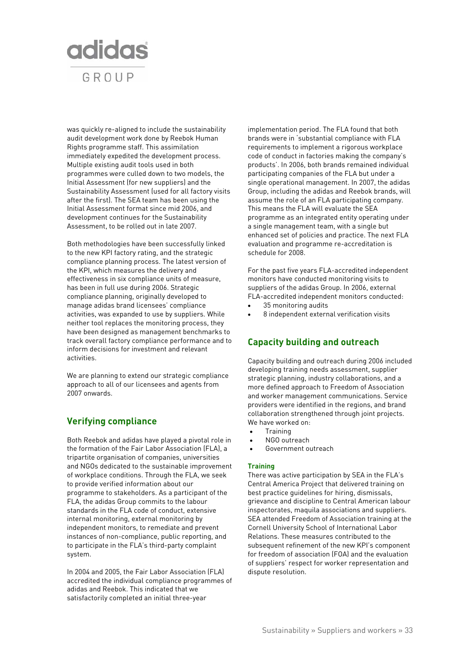

was quickly re-aligned to include the sustainability audit development work done by Reebok Human Rights programme staff. This assimilation immediately expedited the development process. Multiple existing audit tools used in both programmes were culled down to two models, the Initial Assessment (for new suppliers) and the Sustainability Assessment (used for all factory visits after the first). The SEA team has been using the Initial Assessment format since mid 2006, and development continues for the Sustainability Assessment, to be rolled out in late 2007.

Both methodologies have been successfully linked to the new KPI factory rating, and the strategic compliance planning process. The latest version of the KPI, which measures the delivery and effectiveness in six compliance units of measure, has been in full use during 2006. Strategic compliance planning, originally developed to manage adidas brand licensees' compliance activities, was expanded to use by suppliers. While neither tool replaces the monitoring process, they have been designed as management benchmarks to track overall factory compliance performance and to inform decisions for investment and relevant activities.

We are planning to extend our strategic compliance approach to all of our licensees and agents from 2007 onwards.

# **Verifying compliance**

Both Reebok and adidas have played a pivotal role in the formation of the Fair Labor Association (FLA), a tripartite organisation of companies, universities and NGOs dedicated to the sustainable improvement of workplace conditions. Through the FLA, we seek to provide verified information about our programme to stakeholders. As a participant of the FLA, the adidas Group commits to the labour standards in the FLA code of conduct, extensive internal monitoring, external monitoring by independent monitors, to remediate and prevent instances of non-compliance, public reporting, and to participate in the FLA's third-party complaint system.

In 2004 and 2005, the Fair Labor Association (FLA) accredited the individual compliance programmes of adidas and Reebok. This indicated that we satisfactorily completed an initial three-year

implementation period. The FLA found that both brands were in 'substantial compliance with FLA requirements to implement a rigorous workplace code of conduct in factories making the company's products'. In 2006, both brands remained individual participating companies of the FLA but under a single operational management. In 2007, the adidas Group, including the adidas and Reebok brands, will assume the role of an FLA participating company. This means the FLA will evaluate the SEA programme as an integrated entity operating under a single management team, with a single but enhanced set of policies and practice. The next FLA evaluation and programme re-accreditation is schedule for 2008.

For the past five years FLA-accredited independent monitors have conducted monitoring visits to suppliers of the adidas Group. In 2006, external FLA-accredited independent monitors conducted:

- 35 monitoring audits
- 8 independent external verification visits

# **Capacity building and outreach**

Capacity building and outreach during 2006 included developing training needs assessment, supplier strategic planning, industry collaborations, and a more defined approach to Freedom of Association and worker management communications. Service providers were identified in the regions, and brand collaboration strengthened through joint projects. We have worked on:

- Training
- NGO outreach
- Government outreach

# **Training**

There was active participation by SEA in the FLA's Central America Project that delivered training on best practice guidelines for hiring, dismissals, grievance and discipline to Central American labour inspectorates, maquila associations and suppliers. SEA attended Freedom of Association training at the Cornell University School of International Labor Relations. These measures contributed to the subsequent refinement of the new KPI's component for freedom of association (FOA) and the evaluation of suppliers' respect for worker representation and dispute resolution.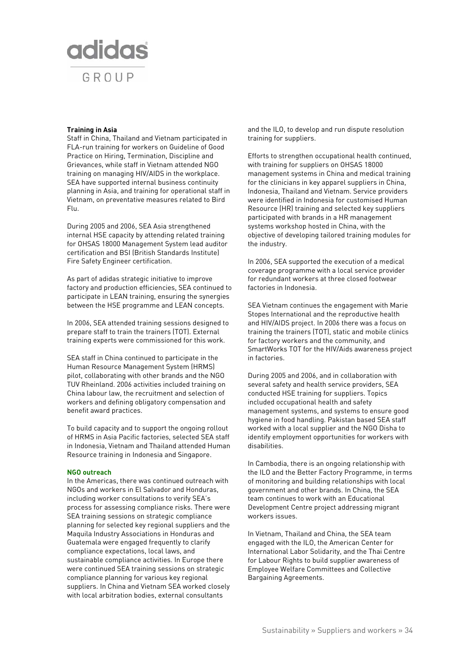# **adidas** GROUP

# **Training in Asia**

Staff in China, Thailand and Vietnam participated in FLA-run training for workers on Guideline of Good Practice on Hiring, Termination, Discipline and Grievances, while staff in Vietnam attended NGO training on managing HIV/AIDS in the workplace. SEA have supported internal business continuity planning in Asia, and training for operational staff in Vietnam, on preventative measures related to Bird Flu.

During 2005 and 2006, SEA Asia strengthened internal HSE capacity by attending related training for OHSAS 18000 Management System lead auditor certification and BSI (British Standards Institute) Fire Safety Engineer certification.

As part of adidas strategic initiative to improve factory and production efficiencies, SEA continued to participate in LEAN training, ensuring the synergies between the HSE programme and LEAN concepts.

In 2006, SEA attended training sessions designed to prepare staff to train the trainers (TOT). External training experts were commissioned for this work.

SEA staff in China continued to participate in the Human Resource Management System (HRMS) pilot, collaborating with other brands and the NGO TUV Rheinland. 2006 activities included training on China labour law, the recruitment and selection of workers and defining obligatory compensation and benefit award practices.

To build capacity and to support the ongoing rollout of HRMS in Asia Pacific factories, selected SEA staff in Indonesia, Vietnam and Thailand attended Human Resource training in Indonesia and Singapore.

#### **NGO outreach**

In the Americas, there was continued outreach with NGOs and workers in El Salvador and Honduras, including worker consultations to verify SEA's process for assessing compliance risks. There were SEA training sessions on strategic compliance planning for selected key regional suppliers and the Maquila Industry Associations in Honduras and Guatemala were engaged frequently to clarify compliance expectations, local laws, and sustainable compliance activities. In Europe there were continued SEA training sessions on strategic compliance planning for various key regional suppliers. In China and Vietnam SEA worked closely with local arbitration bodies, external consultants

and the ILO, to develop and run dispute resolution training for suppliers.

Efforts to strengthen occupational health continued, with training for suppliers on OHSAS 18000 management systems in China and medical training for the clinicians in key apparel suppliers in China, Indonesia, Thailand and Vietnam. Service providers were identified in Indonesia for customised Human Resource (HR) training and selected key suppliers participated with brands in a HR management systems workshop hosted in China, with the objective of developing tailored training modules for the industry.

In 2006, SEA supported the execution of a medical coverage programme with a local service provider for redundant workers at three closed footwear factories in Indonesia.

SEA Vietnam continues the engagement with Marie Stopes International and the reproductive health and HIV/AIDS project. In 2006 there was a focus on training the trainers (TOT), static and mobile clinics for factory workers and the community, and SmartWorks TOT for the HIV/Aids awareness project in factories.

During 2005 and 2006, and in collaboration with several safety and health service providers, SEA conducted HSE training for suppliers. Topics included occupational health and safety management systems, and systems to ensure good hygiene in food handling. Pakistan based SEA staff worked with a local supplier and the NGO Disha to identify employment opportunities for workers with disabilities.

In Cambodia, there is an ongoing relationship with the ILO and the Better Factory Programme, in terms of monitoring and building relationships with local government and other brands. In China, the SEA team continues to work with an Educational Development Centre project addressing migrant workers issues.

In Vietnam, Thailand and China, the SEA team engaged with the ILO, the American Center for International Labor Solidarity, and the Thai Centre for Labour Rights to build supplier awareness of Employee Welfare Committees and Collective Bargaining Agreements.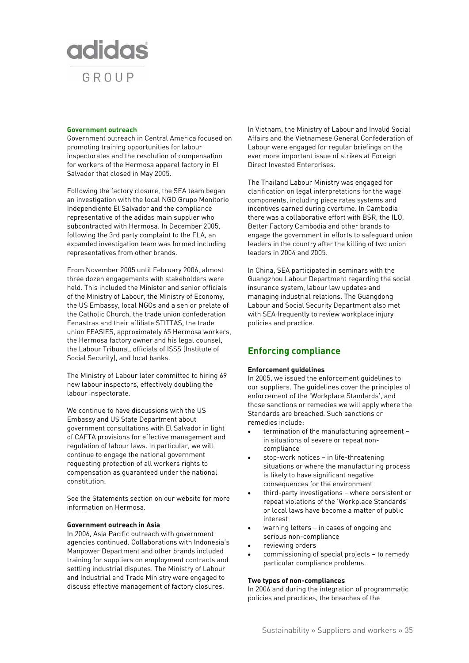

#### **Government outreach**

Government outreach in Central America focused on promoting training opportunities for labour inspectorates and the resolution of compensation for workers of the Hermosa apparel factory in El Salvador that closed in May 2005.

Following the factory closure, the SEA team began an investigation with the local NGO Grupo Monitorio Independiente El Salvador and the compliance representative of the adidas main supplier who subcontracted with Hermosa. In December 2005, following the 3rd party complaint to the FLA, an expanded investigation team was formed including representatives from other brands.

From November 2005 until February 2006, almost three dozen engagements with stakeholders were held. This included the Minister and senior officials of the Ministry of Labour, the Ministry of Economy, the US Embassy, local NGOs and a senior prelate of the Catholic Church, the trade union confederation Fenastras and their affiliate STITTAS, the trade union FEASIES, approximately 65 Hermosa workers, the Hermosa factory owner and his legal counsel, the Labour Tribunal, officials of ISSS (Institute of Social Security), and local banks.

The Ministry of Labour later committed to hiring 69 new labour inspectors, effectively doubling the labour inspectorate.

We continue to have discussions with the US Embassy and US State Department about government consultations with El Salvador in light of CAFTA provisions for effective management and regulation of labour laws. In particular, we will continue to engage the national government requesting protection of all workers rights to compensation as guaranteed under the national constitution.

See the Statements section on our website for more information on Hermosa.

# **Government outreach in Asia**

In 2006, Asia Pacific outreach with government agencies continued. Collaborations with Indonesia's Manpower Department and other brands included training for suppliers on employment contracts and settling industrial disputes. The Ministry of Labour and Industrial and Trade Ministry were engaged to discuss effective management of factory closures.

In Vietnam, the Ministry of Labour and Invalid Social Affairs and the Vietnamese General Confederation of Labour were engaged for regular briefings on the ever more important issue of strikes at Foreign Direct Invested Enterprises.

The Thailand Labour Ministry was engaged for clarification on legal interpretations for the wage components, including piece rates systems and incentives earned during overtime. In Cambodia there was a collaborative effort with BSR, the ILO, Better Factory Cambodia and other brands to engage the government in efforts to safeguard union leaders in the country after the killing of two union leaders in 2004 and 2005.

In China, SEA participated in seminars with the Guangzhou Labour Department regarding the social insurance system, labour law updates and managing industrial relations. The Guangdong Labour and Social Security Department also met with SEA frequently to review workplace injury policies and practice.

# **Enforcing compliance**

#### **Enforcement guidelines**

In 2005, we issued the enforcement guidelines to our suppliers. The guidelines cover the principles of enforcement of the 'Workplace Standards', and those sanctions or remedies we will apply where the Standards are breached. Such sanctions or remedies include:

- termination of the manufacturing agreement in situations of severe or repeat noncompliance
- stop-work notices in life-threatening situations or where the manufacturing process is likely to have significant negative consequences for the environment
- third-party investigations where persistent or repeat violations of the 'Workplace Standards' or local laws have become a matter of public interest
- warning letters in cases of ongoing and serious non-compliance
- reviewing orders
- commissioning of special projects to remedy particular compliance problems.

#### **Two types of non-compliances**

In 2006 and during the integration of programmatic policies and practices, the breaches of the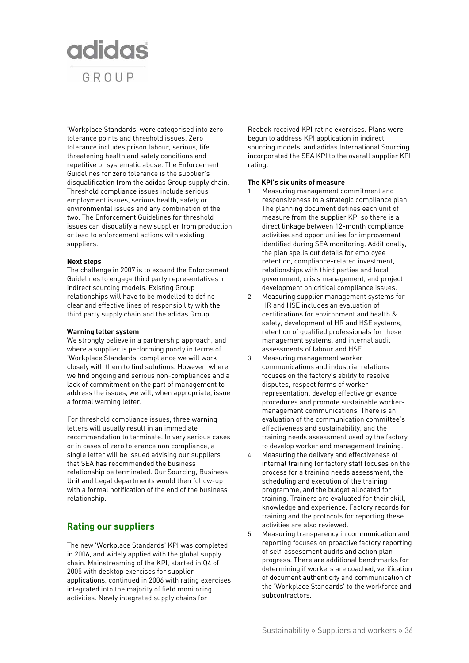

'Workplace Standards' were categorised into zero tolerance points and threshold issues. Zero tolerance includes prison labour, serious, life threatening health and safety conditions and repetitive or systematic abuse. The Enforcement Guidelines for zero tolerance is the supplier's disqualification from the adidas Group supply chain. Threshold compliance issues include serious employment issues, serious health, safety or environmental issues and any combination of the two. The Enforcement Guidelines for threshold issues can disqualify a new supplier from production or lead to enforcement actions with existing suppliers.

## **Next steps**

The challenge in 2007 is to expand the Enforcement Guidelines to engage third party representatives in indirect sourcing models. Existing Group relationships will have to be modelled to define clear and effective lines of responsibility with the third party supply chain and the adidas Group.

### **Warning letter system**

We strongly believe in a partnership approach, and where a supplier is performing poorly in terms of 'Workplace Standards' compliance we will work closely with them to find solutions. However, where we find ongoing and serious non-compliances and a lack of commitment on the part of management to address the issues, we will, when appropriate, issue a formal warning letter.

For threshold compliance issues, three warning letters will usually result in an immediate recommendation to terminate. In very serious cases or in cases of zero tolerance non compliance, a single letter will be issued advising our suppliers that SEA has recommended the business relationship be terminated. Our Sourcing, Business Unit and Legal departments would then follow-up with a formal notification of the end of the business relationship.

# **Rating our suppliers**

The new 'Workplace Standards' KPI was completed in 2006, and widely applied with the global supply chain. Mainstreaming of the KPI, started in Q4 of 2005 with desktop exercises for supplier applications, continued in 2006 with rating exercises integrated into the majority of field monitoring activities. Newly integrated supply chains for

Reebok received KPI rating exercises. Plans were begun to address KPI application in indirect sourcing models, and adidas International Sourcing incorporated the SEA KPI to the overall supplier KPI rating.

#### **The KPI's six units of measure**

- 1. Measuring management commitment and responsiveness to a strategic compliance plan. The planning document defines each unit of measure from the supplier KPI so there is a direct linkage between 12-month compliance activities and opportunities for improvement identified during SEA monitoring. Additionally, the plan spells out details for employee retention, compliance-related investment, relationships with third parties and local government, crisis management, and project development on critical compliance issues.
- 2. Measuring supplier management systems for HR and HSE includes an evaluation of certifications for environment and health & safety, development of HR and HSE systems, retention of qualified professionals for those management systems, and internal audit assessments of labour and HSE.
- 3. Measuring management worker communications and industrial relations focuses on the factory's ability to resolve disputes, respect forms of worker representation, develop effective grievance procedures and promote sustainable workermanagement communications. There is an evaluation of the communication committee's effectiveness and sustainability, and the training needs assessment used by the factory to develop worker and management training.
- 4. Measuring the delivery and effectiveness of internal training for factory staff focuses on the process for a training needs assessment, the scheduling and execution of the training programme, and the budget allocated for training. Trainers are evaluated for their skill, knowledge and experience. Factory records for training and the protocols for reporting these activities are also reviewed.
- 5. Measuring transparency in communication and reporting focuses on proactive factory reporting of self-assessment audits and action plan progress. There are additional benchmarks for determining if workers are coached, verification of document authenticity and communication of the 'Workplace Standards' to the workforce and subcontractors.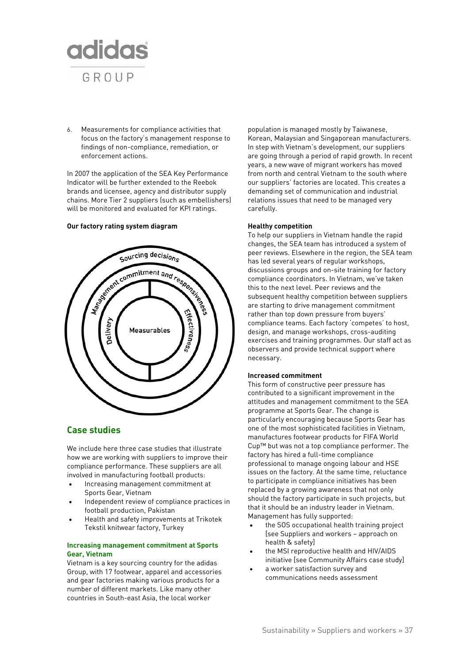

6. Measurements for compliance activities that focus on the factory's management response to findings of non-compliance, remediation, or enforcement actions.

In 2007 the application of the SEA Key Performance Indicator will be further extended to the Reebok brands and licensee, agency and distributor supply chains. More Tier 2 suppliers (such as embellishers) will be monitored and evaluated for KPI ratings.

# **Our factory rating system diagram**



## **Case studies**

We include here three case studies that illustrate how we are working with suppliers to improve their compliance performance. These suppliers are all involved in manufacturing football products:

- Increasing management commitment at Sports Gear, Vietnam
- Independent review of compliance practices in football production, Pakistan
- Health and safety improvements at Trikotek Tekstil knitwear factory, Turkey

### **Increasing management commitment at Sports Gear, Vietnam**

Vietnam is a key sourcing country for the adidas Group, with 17 footwear, apparel and accessories and gear factories making various products for a number of different markets. Like many other countries in South-east Asia, the local worker

population is managed mostly by Taiwanese, Korean, Malaysian and Singaporean manufacturers. In step with Vietnam's development, our suppliers are going through a period of rapid growth. In recent years, a new wave of migrant workers has moved from north and central Vietnam to the south where our suppliers' factories are located. This creates a demanding set of communication and industrial relations issues that need to be managed very carefully.

#### **Healthy competition**

To help our suppliers in Vietnam handle the rapid changes, the SEA team has introduced a system of peer reviews. Elsewhere in the region, the SEA team has led several years of regular workshops, discussions groups and on-site training for factory compliance coordinators. In Vietnam, we've taken this to the next level. Peer reviews and the subsequent healthy competition between suppliers are starting to drive management commitment rather than top down pressure from buyers' compliance teams. Each factory 'competes' to host, design, and manage workshops, cross-auditing exercises and training programmes. Our staff act as observers and provide technical support where necessary.

#### **Increased commitment**

This form of constructive peer pressure has contributed to a significant improvement in the attitudes and management commitment to the SEA programme at Sports Gear. The change is particularly encouraging because Sports Gear has one of the most sophisticated facilities in Vietnam, manufactures footwear products for FIFA World Cup™ but was not a top compliance performer. The factory has hired a full-time compliance professional to manage ongoing labour and HSE issues on the factory. At the same time, reluctance to participate in compliance initiatives has been replaced by a growing awareness that not only should the factory participate in such projects, but that it should be an industry leader in Vietnam. Management has fully supported:

- the SOS occupational health training project [see Suppliers and workers – approach on health & safety]
- the MSI reproductive health and HIV/AIDS initiative [see Community Affairs case study]
- a worker satisfaction survey and communications needs assessment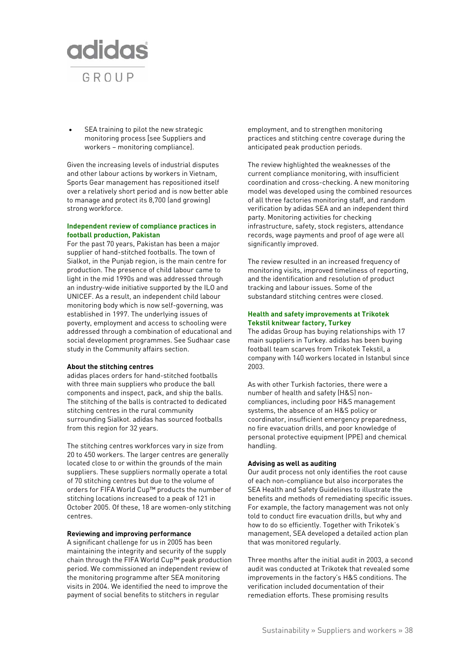

SEA training to pilot the new strategic monitoring process [see Suppliers and workers – monitoring compliance].

Given the increasing levels of industrial disputes and other labour actions by workers in Vietnam, Sports Gear management has repositioned itself over a relatively short period and is now better able to manage and protect its 8,700 (and growing) strong workforce.

#### **Independent review of compliance practices in football production, Pakistan**

For the past 70 years, Pakistan has been a major supplier of hand-stitched footballs. The town of Sialkot, in the Punjab region, is the main centre for production. The presence of child labour came to light in the mid 1990s and was addressed through an industry-wide initiative supported by the ILO and UNICEF. As a result, an independent child labour monitoring body which is now self-governing, was established in 1997. The underlying issues of poverty, employment and access to schooling were addressed through a combination of educational and social development programmes. See Sudhaar case study in the Community affairs section.

#### **About the stitching centres**

adidas places orders for hand-stitched footballs with three main suppliers who produce the ball components and inspect, pack, and ship the balls. The stitching of the balls is contracted to dedicated stitching centres in the rural community surrounding Sialkot. adidas has sourced footballs from this region for 32 years.

The stitching centres workforces vary in size from 20 to 450 workers. The larger centres are generally located close to or within the grounds of the main suppliers. These suppliers normally operate a total of 70 stitching centres but due to the volume of orders for FIFA World Cup™ products the number of stitching locations increased to a peak of 121 in October 2005. Of these, 18 are women-only stitching centres.

#### **Reviewing and improving performance**

A significant challenge for us in 2005 has been maintaining the integrity and security of the supply chain through the FIFA World Cup™ peak production period. We commissioned an independent review of the monitoring programme after SEA monitoring visits in 2004. We identified the need to improve the payment of social benefits to stitchers in regular

employment, and to strengthen monitoring practices and stitching centre coverage during the anticipated peak production periods.

The review highlighted the weaknesses of the current compliance monitoring, with insufficient coordination and cross-checking. A new monitoring model was developed using the combined resources of all three factories monitoring staff, and random verification by adidas SEA and an independent third party. Monitoring activities for checking infrastructure, safety, stock registers, attendance records, wage payments and proof of age were all significantly improved.

The review resulted in an increased frequency of monitoring visits, improved timeliness of reporting, and the identification and resolution of product tracking and labour issues. Some of the substandard stitching centres were closed.

#### **Health and safety improvements at Trikotek Tekstil knitwear factory, Turkey**

The adidas Group has buying relationships with 17 main suppliers in Turkey. adidas has been buying football team scarves from Trikotek Tekstil, a company with 140 workers located in Istanbul since 2003.

As with other Turkish factories, there were a number of health and safety (H&S) noncompliances, including poor H&S management systems, the absence of an H&S policy or coordinator, insufficient emergency preparedness, no fire evacuation drills, and poor knowledge of personal protective equipment (PPE) and chemical handling.

#### **Advising as well as auditing**

Our audit process not only identifies the root cause of each non-compliance but also incorporates the SEA Health and Safety Guidelines to illustrate the benefits and methods of remediating specific issues. For example, the factory management was not only told to conduct fire evacuation drills, but why and how to do so efficiently. Together with Trikotek's management, SEA developed a detailed action plan that was monitored regularly.

Three months after the initial audit in 2003, a second audit was conducted at Trikotek that revealed some improvements in the factory's H&S conditions. The verification included documentation of their remediation efforts. These promising results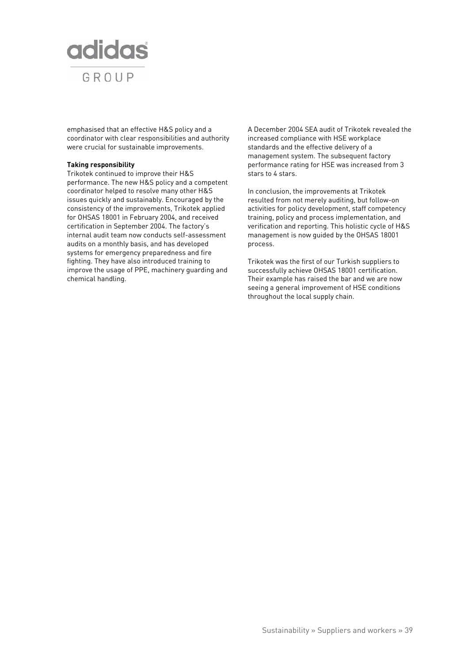

emphasised that an effective H&S policy and a coordinator with clear responsibilities and authority were crucial for sustainable improvements.

#### **Taking responsibility**

Trikotek continued to improve their H&S performance. The new H&S policy and a competent coordinator helped to resolve many other H&S issues quickly and sustainably. Encouraged by the consistency of the improvements, Trikotek applied for OHSAS 18001 in February 2004, and received certification in September 2004. The factory's internal audit team now conducts self-assessment audits on a monthly basis, and has developed systems for emergency preparedness and fire fighting. They have also introduced training to improve the usage of PPE, machinery guarding and chemical handling.

A December 2004 SEA audit of Trikotek revealed the increased compliance with HSE workplace standards and the effective delivery of a management system. The subsequent factory performance rating for HSE was increased from 3 stars to 4 stars.

In conclusion, the improvements at Trikotek resulted from not merely auditing, but follow-on activities for policy development, staff competency training, policy and process implementation, and verification and reporting. This holistic cycle of H&S management is now guided by the OHSAS 18001 process.

Trikotek was the first of our Turkish suppliers to successfully achieve OHSAS 18001 certification. Their example has raised the bar and we are now seeing a general improvement of HSE conditions throughout the local supply chain.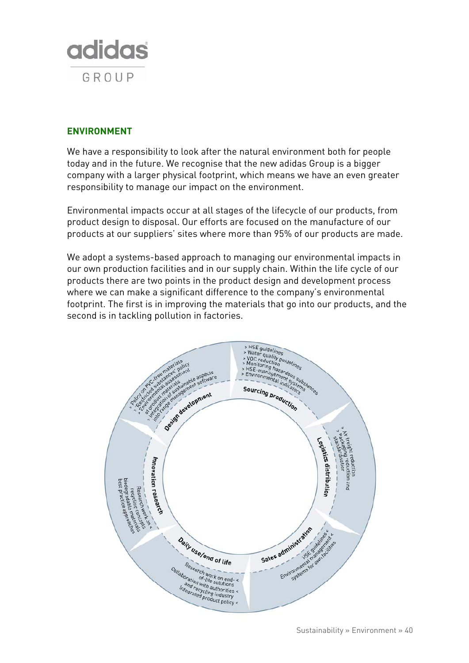

# **ENVIRONMENT**

We have a responsibility to look after the natural environment both for people today and in the future. We recognise that the new adidas Group is a bigger company with a larger physical footprint, which means we have an even greater responsibility to manage our impact on the environment.

Environmental impacts occur at all stages of the lifecycle of our products, from product design to disposal. Our efforts are focused on the manufacture of our products at our suppliers' sites where more than 95% of our products are made.

We adopt a systems-based approach to managing our environmental impacts in our own production facilities and in our supply chain. Within the life cycle of our products there are two points in the product design and development process where we can make a significant difference to the company's environmental footprint. The first is in improving the materials that go into our products, and the second is in tackling pollution in factories.

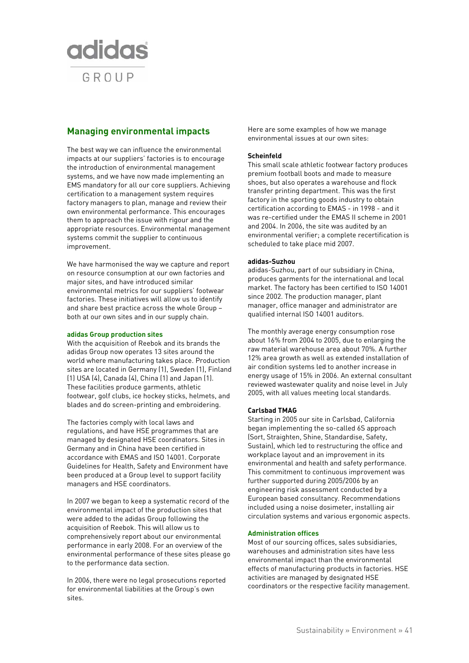

# **Managing environmental impacts**

The best way we can influence the environmental impacts at our suppliers' factories is to encourage the introduction of environmental management systems, and we have now made implementing an EMS mandatory for all our core suppliers. Achieving certification to a management system requires factory managers to plan, manage and review their own environmental performance. This encourages them to approach the issue with rigour and the appropriate resources. Environmental management systems commit the supplier to continuous improvement.

We have harmonised the way we capture and report on resource consumption at our own factories and major sites, and have introduced similar environmental metrics for our suppliers' footwear factories. These initiatives will allow us to identify and share best practice across the whole Group – both at our own sites and in our supply chain.

### **adidas Group production sites**

With the acquisition of Reebok and its brands the adidas Group now operates 13 sites around the world where manufacturing takes place. Production sites are located in Germany (1), Sweden (1), Finland (1) USA (4), Canada (4), China (1) and Japan (1). These facilities produce garments, athletic footwear, golf clubs, ice hockey sticks, helmets, and blades and do screen-printing and embroidering.

The factories comply with local laws and regulations, and have HSE programmes that are managed by designated HSE coordinators. Sites in Germany and in China have been certified in accordance with EMAS and ISO 14001. Corporate Guidelines for Health, Safety and Environment have been produced at a Group level to support facility managers and HSE coordinators.

In 2007 we began to keep a systematic record of the environmental impact of the production sites that were added to the adidas Group following the acquisition of Reebok. This will allow us to comprehensively report about our environmental performance in early 2008. For an overview of the environmental performance of these sites please go to the performance data section.

In 2006, there were no legal prosecutions reported for environmental liabilities at the Group's own sites.

Here are some examples of how we manage environmental issues at our own sites:

## **Scheinfeld**

This small scale athletic footwear factory produces premium football boots and made to measure shoes, but also operates a warehouse and flock transfer printing department. This was the first factory in the sporting goods industry to obtain certification according to EMAS - in 1998 - and it was re-certified under the EMAS II scheme in 2001 and 2004. In 2006, the site was audited by an environmental verifier; a complete recertification is scheduled to take place mid 2007.

## **adidas-Suzhou**

adidas-Suzhou, part of our subsidiary in China, produces garments for the international and local market. The factory has been certified to ISO 14001 since 2002. The production manager, plant manager, office manager and administrator are qualified internal ISO 14001 auditors.

The monthly average energy consumption rose about 16% from 2004 to 2005, due to enlarging the raw material warehouse area about 70%. A further 12% area growth as well as extended installation of air condition systems led to another increase in energy usage of 15% in 2006. An external consultant reviewed wastewater quality and noise level in July 2005, with all values meeting local standards.

## **Carlsbad TMAG**

Starting in 2005 our site in Carlsbad, California began implementing the so-called 6S approach (Sort, Straighten, Shine, Standardise, Safety, Sustain), which led to restructuring the office and workplace layout and an improvement in its environmental and health and safety performance. This commitment to continuous improvement was further supported during 2005/2006 by an engineering risk assessment conducted by a European based consultancy. Recommendations included using a noise dosimeter, installing air circulation systems and various ergonomic aspects.

#### **Administration offices**

Most of our sourcing offices, sales subsidiaries, warehouses and administration sites have less environmental impact than the environmental effects of manufacturing products in factories. HSE activities are managed by designated HSE coordinators or the respective facility management.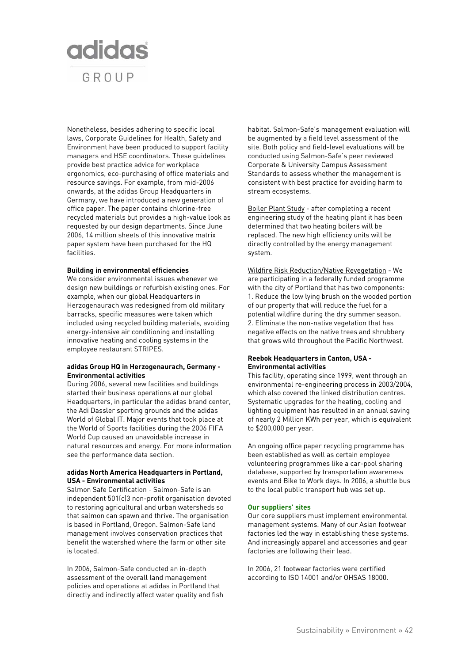

Nonetheless, besides adhering to specific local laws, Corporate Guidelines for Health, Safety and Environment have been produced to support facility managers and HSE coordinators. These guidelines provide best practice advice for workplace ergonomics, eco-purchasing of office materials and resource savings. For example, from mid-2006 onwards, at the adidas Group Headquarters in Germany, we have introduced a new generation of office paper. The paper contains chlorine-free recycled materials but provides a high-value look as requested by our design departments. Since June 2006, 14 million sheets of this innovative matrix paper system have been purchased for the HQ facilities.

#### **Building in environmental efficiencies**

We consider environmental issues whenever we design new buildings or refurbish existing ones. For example, when our global Headquarters in Herzogenaurach was redesigned from old military barracks, specific measures were taken which included using recycled building materials, avoiding energy-intensive air conditioning and installing innovative heating and cooling systems in the employee restaurant STRIPES.

#### **adidas Group HQ in Herzogenaurach, Germany - Environmental activities**

During 2006, several new facilities and buildings started their business operations at our global Headquarters, in particular the adidas brand center, the Adi Dassler sporting grounds and the adidas World of Global IT. Major events that took place at the World of Sports facilities during the 2006 FIFA World Cup caused an unavoidable increase in natural resources and energy. For more information see the performance data section.

## **adidas North America Headquarters in Portland, USA - Environmental activities**

Salmon Safe Certification - Salmon-Safe is an independent 501(c)3 non-profit organisation devoted to restoring agricultural and urban watersheds so that salmon can spawn and thrive. The organisation is based in Portland, Oregon. Salmon-Safe land management involves conservation practices that benefit the watershed where the farm or other site is located.

In 2006, Salmon-Safe conducted an in-depth assessment of the overall land management policies and operations at adidas in Portland that directly and indirectly affect water quality and fish habitat. Salmon-Safe's management evaluation will be augmented by a field level assessment of the site. Both policy and field-level evaluations will be conducted using Salmon-Safe's peer reviewed Corporate & University Campus Assessment Standards to assess whether the management is consistent with best practice for avoiding harm to stream ecosystems.

Boiler Plant Study - after completing a recent engineering study of the heating plant it has been determined that two heating boilers will be replaced. The new high efficiency units will be directly controlled by the energy management system.

Wildfire Risk Reduction/Native Revegetation - We are participating in a federally funded programme with the city of Portland that has two components: 1. Reduce the low lying brush on the wooded portion of our property that will reduce the fuel for a potential wildfire during the dry summer season. 2. Eliminate the non-native vegetation that has negative effects on the native trees and shrubbery that grows wild throughout the Pacific Northwest.

#### **Reebok Headquarters in Canton, USA - Environmental activities**

This facility, operating since 1999, went through an environmental re-engineering process in 2003/2004, which also covered the linked distribution centres. Systematic upgrades for the heating, cooling and lighting equipment has resulted in an annual saving of nearly 2 Million KWh per year, which is equivalent to \$200,000 per year.

An ongoing office paper recycling programme has been established as well as certain employee volunteering programmes like a car-pool sharing database, supported by transportation awareness events and Bike to Work days. In 2006, a shuttle bus to the local public transport hub was set up.

#### **Our suppliers' sites**

Our core suppliers must implement environmental management systems. Many of our Asian footwear factories led the way in establishing these systems. And increasingly apparel and accessories and gear factories are following their lead.

In 2006, 21 footwear factories were certified according to ISO 14001 and/or OHSAS 18000.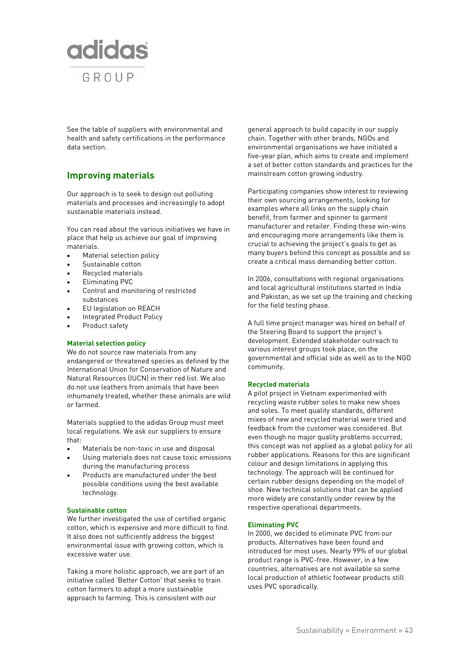

See the table of suppliers with environmental and health and safety certifications in the performance data section.

# **Improving materials**

Our approach is to seek to design out polluting materials and processes and increasingly to adopt sustainable materials instead.

You can read about the various initiatives we have in place that help us achieve our goal of improving materials.

- Material selection policy
- Sustainable cotton
- Recycled materials
- Eliminating PVC
- Control and monitoring of restricted substances
- EU legislation on REACH
- Integrated Product Policy
- Product safety

## **Material selection policy**

We do not source raw materials from any endangered or threatened species as defined by the International Union for Conservation of Nature and Natural Resources (IUCN) in their red list. We also do not use leathers from animals that have been inhumanely treated, whether these animals are wild or farmed.

Materials supplied to the adidas Group must meet local regulations. We ask our suppliers to ensure that:

- Materials be non-toxic in use and disposal
- Using materials does not cause toxic emissions during the manufacturing process
- Products are manufactured under the best possible conditions using the best available technology.

## **Sustainable cotton**

We further investigated the use of certified organic cotton, which is expensive and more difficult to find. It also does not sufficiently address the biggest environmental issue with growing cotton, which is excessive water use.

Taking a more holistic approach, we are part of an initiative called 'Better Cotton' that seeks to train cotton farmers to adopt a more sustainable approach to farming. This is consistent with our

general approach to build capacity in our supply chain. Together with other brands, NGOs and environmental organisations we have initiated a five-year plan, which aims to create and implement a set of better cotton standards and practices for the mainstream cotton growing industry.

Participating companies show interest to reviewing their own sourcing arrangements, looking for examples where all links on the supply chain benefit, from farmer and spinner to garment manufacturer and retailer. Finding these win-wins and encouraging more arrangements like them is crucial to achieving the project's goals to get as many buyers behind this concept as possible and so create a critical mass demanding better cotton.

In 2006, consultations with regional organisations and local agricultural institutions started in India and Pakistan, as we set up the training and checking for the field testing phase.

A full time project manager was hired on behalf of the Steering Board to support the project's development. Extended stakeholder outreach to various interest groups took place, on the governmental and official side as well as to the NGO community.

## **Recycled materials**

A pilot project in Vietnam experimented with recycling waste rubber soles to make new shoes and soles. To meet quality standards, different mixes of new and recycled material were tried and feedback from the customer was considered. But even though no major quality problems occurred, this concept was not applied as a global policy for all rubber applications. Reasons for this are significant colour and design limitations in applying this technology. The approach will be continued for certain rubber designs depending on the model of shoe. New technical solutions that can be applied more widely are constantly under review by the respective operational departments.

## **Eliminating PVC**

In 2000, we decided to eliminate PVC from our products. Alternatives have been found and introduced for most uses. Nearly 99% of our global product range is PVC-free. However, in a few countries, alternatives are not available so some local production of athletic footwear products still uses PVC sporadically.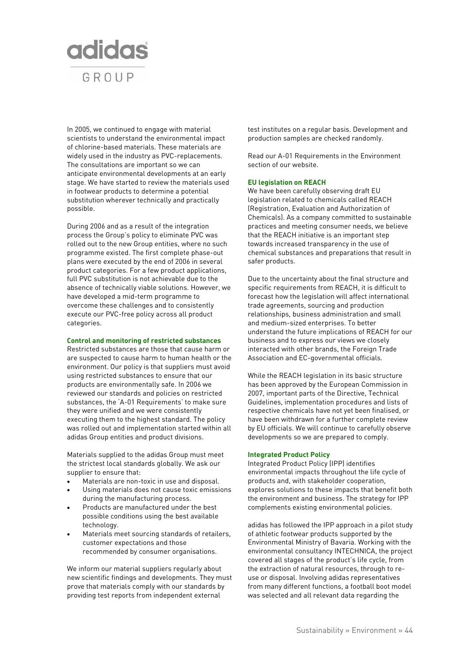

In 2005, we continued to engage with material scientists to understand the environmental impact of chlorine-based materials. These materials are widely used in the industry as PVC-replacements. The consultations are important so we can anticipate environmental developments at an early stage. We have started to review the materials used in footwear products to determine a potential substitution wherever technically and practically possible.

During 2006 and as a result of the integration process the Group's policy to eliminate PVC was rolled out to the new Group entities, where no such programme existed. The first complete phase-out plans were executed by the end of 2006 in several product categories. For a few product applications, full PVC substitution is not achievable due to the absence of technically viable solutions. However, we have developed a mid-term programme to overcome these challenges and to consistently execute our PVC-free policy across all product categories.

#### **Control and monitoring of restricted substances**

Restricted substances are those that cause harm or are suspected to cause harm to human health or the environment. Our policy is that suppliers must avoid using restricted substances to ensure that our products are environmentally safe. In 2006 we reviewed our standards and policies on restricted substances, the 'A-01 Requirements' to make sure they were unified and we were consistently executing them to the highest standard. The policy was rolled out and implementation started within all adidas Group entities and product divisions.

Materials supplied to the adidas Group must meet the strictest local standards globally. We ask our supplier to ensure that:

- Materials are non-toxic in use and disposal.
- Using materials does not cause toxic emissions during the manufacturing process.
- Products are manufactured under the best possible conditions using the best available technology.
- Materials meet sourcing standards of retailers, customer expectations and those recommended by consumer organisations.

We inform our material suppliers regularly about new scientific findings and developments. They must prove that materials comply with our standards by providing test reports from independent external

test institutes on a regular basis. Development and production samples are checked randomly.

Read our A-01 Requirements in the Environment section of our website.

#### **EU legislation on REACH**

We have been carefully observing draft EU legislation related to chemicals called REACH (Registration, Evaluation and Authorization of Chemicals). As a company committed to sustainable practices and meeting consumer needs, we believe that the REACH initiative is an important step towards increased transparency in the use of chemical substances and preparations that result in safer products.

Due to the uncertainty about the final structure and specific requirements from REACH, it is difficult to forecast how the legislation will affect international trade agreements, sourcing and production relationships, business administration and small and medium-sized enterprises. To better understand the future implications of REACH for our business and to express our views we closely interacted with other brands, the Foreign Trade Association and EC-governmental officials.

While the REACH legislation in its basic structure has been approved by the European Commission in 2007, important parts of the Directive, Technical Guidelines, implementation procedures and lists of respective chemicals have not yet been finalised, or have been withdrawn for a further complete review by EU officials. We will continue to carefully observe developments so we are prepared to comply.

#### **Integrated Product Policy**

Integrated Product Policy (IPP) identifies environmental impacts throughout the life cycle of products and, with stakeholder cooperation, explores solutions to these impacts that benefit both the environment and business. The strategy for IPP complements existing environmental policies.

adidas has followed the IPP approach in a pilot study of athletic footwear products supported by the Environmental Ministry of Bavaria. Working with the environmental consultancy INTECHNICA, the project covered all stages of the product's life cycle, from the extraction of natural resources, through to reuse or disposal. Involving adidas representatives from many different functions, a football boot model was selected and all relevant data regarding the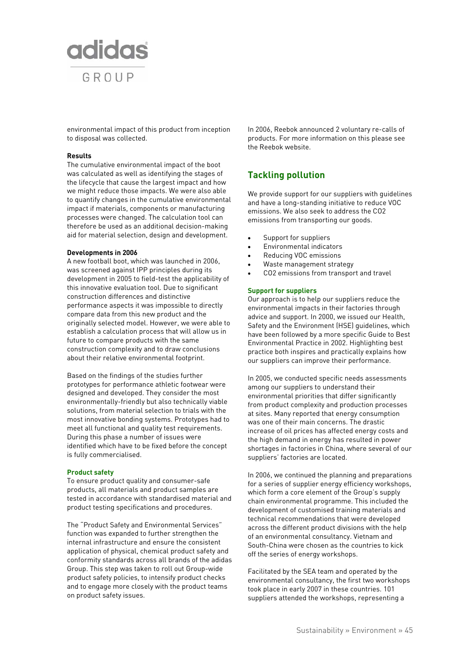

environmental impact of this product from inception to disposal was collected.

#### **Results**

The cumulative environmental impact of the boot was calculated as well as identifying the stages of the lifecycle that cause the largest impact and how we might reduce those impacts. We were also able to quantify changes in the cumulative environmental impact if materials, components or manufacturing processes were changed. The calculation tool can therefore be used as an additional decision-making aid for material selection, design and development.

#### **Developments in 2006**

A new football boot, which was launched in 2006, was screened against IPP principles during its development in 2005 to field-test the applicability of this innovative evaluation tool. Due to significant construction differences and distinctive performance aspects it was impossible to directly compare data from this new product and the originally selected model. However, we were able to establish a calculation process that will allow us in future to compare products with the same construction complexity and to draw conclusions about their relative environmental footprint.

Based on the findings of the studies further prototypes for performance athletic footwear were designed and developed. They consider the most environmentally-friendly but also technically viable solutions, from material selection to trials with the most innovative bonding systems. Prototypes had to meet all functional and quality test requirements. During this phase a number of issues were identified which have to be fixed before the concept is fully commercialised.

#### **Product safety**

To ensure product quality and consumer-safe products, all materials and product samples are tested in accordance with standardised material and product testing specifications and procedures.

The "Product Safety and Environmental Services" function was expanded to further strengthen the internal infrastructure and ensure the consistent application of physical, chemical product safety and conformity standards across all brands of the adidas Group. This step was taken to roll out Group-wide product safety policies, to intensify product checks and to engage more closely with the product teams on product safety issues.

In 2006, Reebok announced 2 voluntary re-calls of products. For more information on this please see the Reebok website.

## **Tackling pollution**

We provide support for our suppliers with guidelines and have a long-standing initiative to reduce VOC emissions. We also seek to address the CO2 emissions from transporting our goods.

- Support for suppliers
- Environmental indicators
- Reducing VOC emissions
- Waste management strategy
- CO2 emissions from transport and travel

#### **Support for suppliers**

Our approach is to help our suppliers reduce the environmental impacts in their factories through advice and support. In 2000, we issued our Health, Safety and the Environment (HSE) guidelines, which have been followed by a more specific Guide to Best Environmental Practice in 2002. Highlighting best practice both inspires and practically explains how our suppliers can improve their performance.

In 2005, we conducted specific needs assessments among our suppliers to understand their environmental priorities that differ significantly from product complexity and production processes at sites. Many reported that energy consumption was one of their main concerns. The drastic increase of oil prices has affected energy costs and the high demand in energy has resulted in power shortages in factories in China, where several of our suppliers' factories are located.

In 2006, we continued the planning and preparations for a series of supplier energy efficiency workshops, which form a core element of the Group's supply chain environmental programme. This included the development of customised training materials and technical recommendations that were developed across the different product divisions with the help of an environmental consultancy. Vietnam and South-China were chosen as the countries to kick off the series of energy workshops.

Facilitated by the SEA team and operated by the environmental consultancy, the first two workshops took place in early 2007 in these countries. 101 suppliers attended the workshops, representing a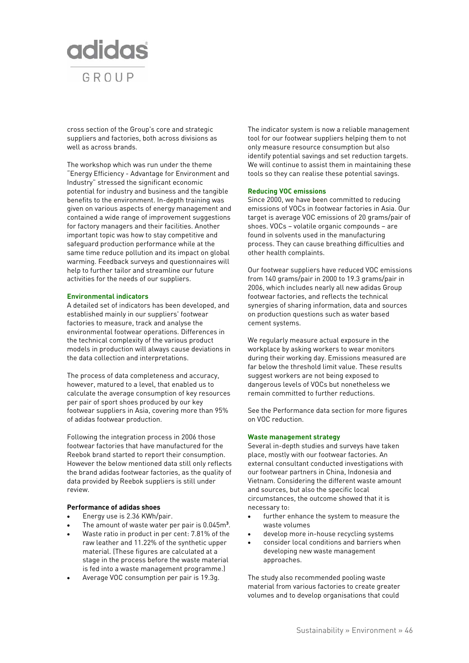

cross section of the Group's core and strategic suppliers and factories, both across divisions as well as across brands.

The workshop which was run under the theme "Energy Efficiency - Advantage for Environment and Industry" stressed the significant economic potential for industry and business and the tangible benefits to the environment. In-depth training was given on various aspects of energy management and contained a wide range of improvement suggestions for factory managers and their facilities. Another important topic was how to stay competitive and safeguard production performance while at the same time reduce pollution and its impact on global warming. Feedback surveys and questionnaires will help to further tailor and streamline our future activities for the needs of our suppliers.

#### **Environmental indicators**

A detailed set of indicators has been developed, and established mainly in our suppliers' footwear factories to measure, track and analyse the environmental footwear operations. Differences in the technical complexity of the various product models in production will always cause deviations in the data collection and interpretations.

The process of data completeness and accuracy, however, matured to a level, that enabled us to calculate the average consumption of key resources per pair of sport shoes produced by our key footwear suppliers in Asia, covering more than 95% of adidas footwear production.

Following the integration process in 2006 those footwear factories that have manufactured for the Reebok brand started to report their consumption. However the below mentioned data still only reflects the brand adidas footwear factories, as the quality of data provided by Reebok suppliers is still under review.

### **Performance of adidas shoes**

- Energy use is 2.36 KWh/pair.
- The amount of waste water per pair is 0.045m**<sup>3</sup>** .
- Waste ratio in product in per cent: 7.81% of the raw leather and 11.22% of the synthetic upper material. (These figures are calculated at a stage in the process before the waste material is fed into a waste management programme.)
- Average VOC consumption per pair is 19.3g.

The indicator system is now a reliable management tool for our footwear suppliers helping them to not only measure resource consumption but also identify potential savings and set reduction targets. We will continue to assist them in maintaining these tools so they can realise these potential savings.

#### **Reducing VOC emissions**

Since 2000, we have been committed to reducing emissions of VOCs in footwear factories in Asia. Our target is average VOC emissions of 20 grams/pair of shoes. VOCs – volatile organic compounds – are found in solvents used in the manufacturing process. They can cause breathing difficulties and other health complaints.

Our footwear suppliers have reduced VOC emissions from 140 grams/pair in 2000 to 19.3 grams/pair in 2006, which includes nearly all new adidas Group footwear factories, and reflects the technical synergies of sharing information, data and sources on production questions such as water based cement systems.

We regularly measure actual exposure in the workplace by asking workers to wear monitors during their working day. Emissions measured are far below the threshold limit value. These results suggest workers are not being exposed to dangerous levels of VOCs but nonetheless we remain committed to further reductions.

See the Performance data section for more figures on VOC reduction.

### **Waste management strategy**

Several in-depth studies and surveys have taken place, mostly with our footwear factories. An external consultant conducted investigations with our footwear partners in China, Indonesia and Vietnam. Considering the different waste amount and sources, but also the specific local circumstances, the outcome showed that it is necessary to:

- further enhance the system to measure the waste volumes
- develop more in-house recycling systems
- consider local conditions and barriers when developing new waste management approaches.

The study also recommended pooling waste material from various factories to create greater volumes and to develop organisations that could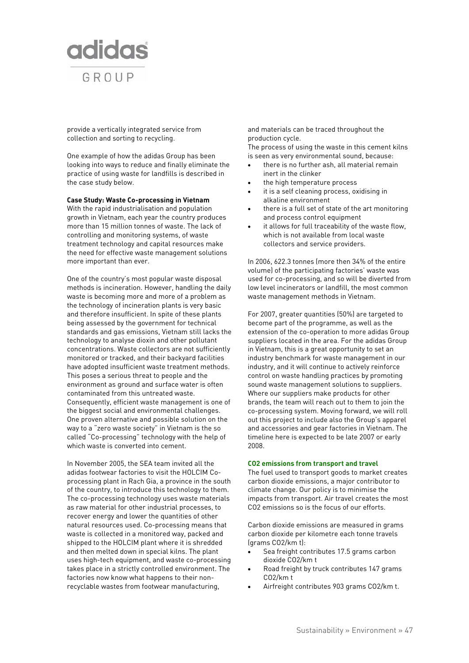

provide a vertically integrated service from collection and sorting to recycling.

One example of how the adidas Group has been looking into ways to reduce and finally eliminate the practice of using waste for landfills is described in the case study below.

**Case Study: Waste Co-processing in Vietnam** 

With the rapid industrialisation and population growth in Vietnam, each year the country produces more than 15 million tonnes of waste. The lack of controlling and monitoring systems, of waste treatment technology and capital resources make the need for effective waste management solutions more important than ever.

One of the country's most popular waste disposal methods is incineration. However, handling the daily waste is becoming more and more of a problem as the technology of incineration plants is very basic and therefore insufficient. In spite of these plants being assessed by the government for technical standards and gas emissions, Vietnam still lacks the technology to analyse dioxin and other pollutant concentrations. Waste collectors are not sufficiently monitored or tracked, and their backyard facilities have adopted insufficient waste treatment methods. This poses a serious threat to people and the environment as ground and surface water is often contaminated from this untreated waste. Consequently, efficient waste management is one of the biggest social and environmental challenges. One proven alternative and possible solution on the way to a "zero waste society" in Vietnam is the so called "Co-processing" technology with the help of which waste is converted into cement.

In November 2005, the SEA team invited all the adidas footwear factories to visit the HOLCIM Coprocessing plant in Rach Gia, a province in the south of the country, to introduce this technology to them. The co-processing technology uses waste materials as raw material for other industrial processes, to recover energy and lower the quantities of other natural resources used. Co-processing means that waste is collected in a monitored way, packed and shipped to the HOLCIM plant where it is shredded and then melted down in special kilns. The plant uses high-tech equipment, and waste co-processing takes place in a strictly controlled environment. The factories now know what happens to their nonrecyclable wastes from footwear manufacturing,

and materials can be traced throughout the production cycle.

The process of using the waste in this cement kilns is seen as very environmental sound, because:

- there is no further ash, all material remain inert in the clinker
- the high temperature process
- it is a self cleaning process, oxidising in alkaline environment
- there is a full set of state of the art monitoring and process control equipment
- it allows for full traceability of the waste flow, which is not available from local waste collectors and service providers.

In 2006, 622.3 tonnes (more then 34% of the entire volume) of the participating factories' waste was used for co-processing, and so will be diverted from low level incinerators or landfill, the most common waste management methods in Vietnam.

For 2007, greater quantities (50%) are targeted to become part of the programme, as well as the extension of the co-operation to more adidas Group suppliers located in the area. For the adidas Group in Vietnam, this is a great opportunity to set an industry benchmark for waste management in our industry, and it will continue to actively reinforce control on waste handling practices by promoting sound waste management solutions to suppliers. Where our suppliers make products for other brands, the team will reach out to them to join the co-processing system. Moving forward, we will roll out this project to include also the Group's apparel and accessories and gear factories in Vietnam. The timeline here is expected to be late 2007 or early 2008.

#### **CO2 emissions from transport and travel**

The fuel used to transport goods to market creates carbon dioxide emissions, a major contributor to climate change. Our policy is to minimise the impacts from transport. Air travel creates the most CO2 emissions so is the focus of our efforts.

Carbon dioxide emissions are measured in grams carbon dioxide per kilometre each tonne travels (grams CO2/km t):

- Sea freight contributes 17.5 grams carbon dioxide CO2/km t
- Road freight by truck contributes 147 grams CO2/km t
- Airfreight contributes 903 grams CO2/km t.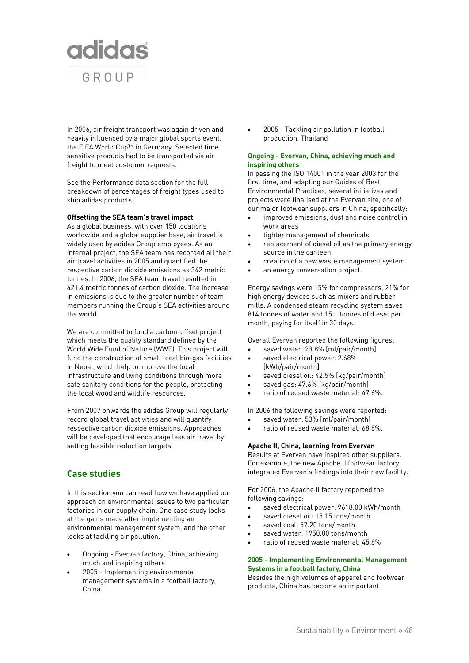

In 2006, air freight transport was again driven and heavily influenced by a major global sports event, the FIFA World Cup™ in Germany. Selected time sensitive products had to be transported via air freight to meet customer requests.

See the Performance data section for the full breakdown of percentages of freight types used to ship adidas products.

#### **Offsetting the SEA team's travel impact**

As a global business, with over 150 locations worldwide and a global supplier base, air travel is widely used by adidas Group employees. As an internal project, the SEA team has recorded all their air travel activities in 2005 and quantified the respective carbon dioxide emissions as 342 metric tonnes. In 2006, the SEA team travel resulted in 421.4 metric tonnes of carbon dioxide. The increase in emissions is due to the greater number of team members running the Group's SEA activities around the world.

We are committed to fund a carbon-offset project which meets the quality standard defined by the World Wide Fund of Nature (WWF). This project will fund the construction of small local bio-gas facilities in Nepal, which help to improve the local infrastructure and living conditions through more safe sanitary conditions for the people, protecting the local wood and wildlife resources.

From 2007 onwards the adidas Group will regularly record global travel activities and will quantify respective carbon dioxide emissions. Approaches will be developed that encourage less air travel by setting feasible reduction targets.

## **Case studies**

In this section you can read how we have applied our approach on environmental issues to two particular factories in our supply chain. One case study looks at the gains made after implementing an environmental management system, and the other looks at tackling air pollution.

- Ongoing Evervan factory, China, achieving much and inspiring others
- 2005 Implementing environmental management systems in a football factory, China

• 2005 - Tackling air pollution in football production, Thailand

#### **Ongoing - Evervan, China, achieving much and inspiring others**

In passing the ISO 14001 in the year 2003 for the first time, and adapting our Guides of Best Environmental Practices, several initiatives and projects were finalised at the Evervan site, one of our major footwear suppliers in China, specifically:

- improved emissions, dust and noise control in work areas
- tighter management of chemicals
- replacement of diesel oil as the primary energy source in the canteen
- creation of a new waste management system
- an energy conversation project.

Energy savings were 15% for compressors, 21% for high energy devices such as mixers and rubber mills. A condensed steam recycling system saves 814 tonnes of water and 15.1 tonnes of diesel per month, paying for itself in 30 days.

Overall Evervan reported the following figures:

- saved water: 23.8% [ml/pair/month]
- saved electrical power: 2.68% [kWh/pair/month]
- saved diesel oil: 42.5% [kg/pair/month]
- saved gas: 47.6% [kg/pair/month]
- ratio of reused waste material: 47.6%.

In 2006 the following savings were reported:

- saved water: 53% [ml/pair/month]
- ratio of reused waste material: 68.8%.

#### **Apache II, China, learning from Evervan**

Results at Evervan have inspired other suppliers. For example, the new Apache II footwear factory integrated Evervan's findings into their new facility.

For 2006, the Apache II factory reported the following savings:

- saved electrical power: 9618.00 kWh/month
- saved diesel oil: 15.15 tons/month
- saved coal: 57.20 tons/month
- saved water: 1950.00 tons/month
- ratio of reused waste material: 45.8%

### **2005 - Implementing Environmental Management Systems in a football factory, China**

Besides the high volumes of apparel and footwear products, China has become an important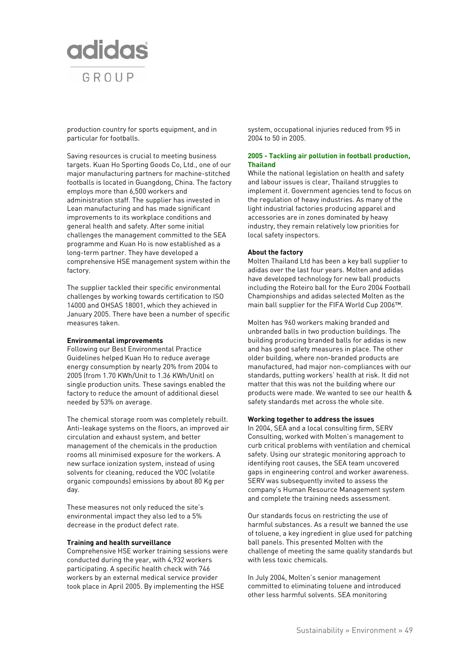

production country for sports equipment, and in particular for footballs.

Saving resources is crucial to meeting business targets. Kuan Ho Sporting Goods Co, Ltd., one of our major manufacturing partners for machine-stitched footballs is located in Guangdong, China. The factory employs more than 6,500 workers and administration staff. The supplier has invested in Lean manufacturing and has made significant improvements to its workplace conditions and general health and safety. After some initial challenges the management committed to the SEA programme and Kuan Ho is now established as a long-term partner. They have developed a comprehensive HSE management system within the factory.

The supplier tackled their specific environmental challenges by working towards certification to ISO 14000 and OHSAS 18001, which they achieved in January 2005. There have been a number of specific measures taken.

#### **Environmental improvements**

Following our Best Environmental Practice Guidelines helped Kuan Ho to reduce average energy consumption by nearly 20% from 2004 to 2005 (from 1.70 KWh/Unit to 1.36 KWh/Unit) on single production units. These savings enabled the factory to reduce the amount of additional diesel needed by 53% on average.

The chemical storage room was completely rebuilt. Anti-leakage systems on the floors, an improved air circulation and exhaust system, and better management of the chemicals in the production rooms all minimised exposure for the workers. A new surface ionization system, instead of using solvents for cleaning, reduced the VOC (volatile organic compounds) emissions by about 80 Kg per day.

These measures not only reduced the site's environmental impact they also led to a 5% decrease in the product defect rate.

#### **Training and health surveillance**

Comprehensive HSE worker training sessions were conducted during the year, with 4,932 workers participating. A specific health check with 746 workers by an external medical service provider took place in April 2005. By implementing the HSE

system, occupational injuries reduced from 95 in 2004 to 50 in 2005.

#### **2005 - Tackling air pollution in football production, Thailand**

While the national legislation on health and safety and labour issues is clear, Thailand struggles to implement it. Government agencies tend to focus on the regulation of heavy industries. As many of the light industrial factories producing apparel and accessories are in zones dominated by heavy industry, they remain relatively low priorities for local safety inspectors.

#### **About the factory**

Molten Thailand Ltd has been a key ball supplier to adidas over the last four years. Molten and adidas have developed technology for new ball products including the Roteiro ball for the Euro 2004 Football Championships and adidas selected Molten as the main ball supplier for the FIFA World Cup 2006™.

Molten has 960 workers making branded and unbranded balls in two production buildings. The building producing branded balls for adidas is new and has good safety measures in place. The other older building, where non-branded products are manufactured, had major non-compliances with our standards, putting workers' health at risk. It did not matter that this was not the building where our products were made. We wanted to see our health & safety standards met across the whole site.

#### **Working together to address the issues**

In 2004, SEA and a local consulting firm, SERV Consulting, worked with Molten's management to curb critical problems with ventilation and chemical safety. Using our strategic monitoring approach to identifying root causes, the SEA team uncovered gaps in engineering control and worker awareness. SERV was subsequently invited to assess the company's Human Resource Management system and complete the training needs assessment.

Our standards focus on restricting the use of harmful substances. As a result we banned the use of toluene, a key ingredient in glue used for patching ball panels. This presented Molten with the challenge of meeting the same quality standards but with less toxic chemicals.

In July 2004, Molten's senior management committed to eliminating toluene and introduced other less harmful solvents. SEA monitoring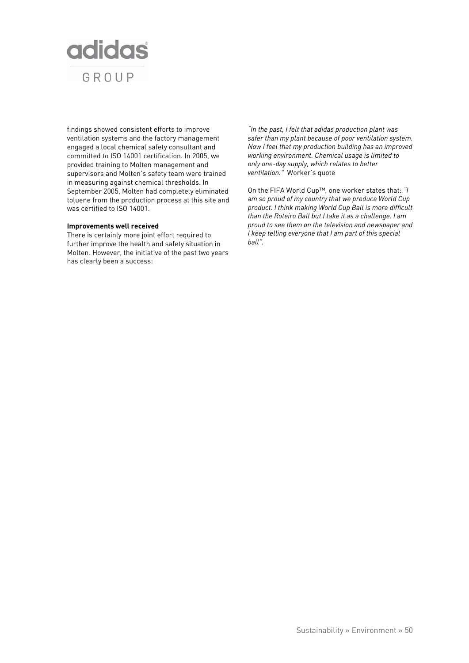

findings showed consistent efforts to improve ventilation systems and the factory management engaged a local chemical safety consultant and committed to ISO 14001 certification. In 2005, we provided training to Molten management and supervisors and Molten's safety team were trained in measuring against chemical thresholds. In September 2005, Molten had completely eliminated toluene from the production process at this site and was certified to ISO 14001.

#### **Improvements well received**

There is certainly more joint effort required to further improve the health and safety situation in Molten. However, the initiative of the past two years has clearly been a success:

*"In the past, I felt that adidas production plant was safer than my plant because of poor ventilation system. Now I feel that my production building has an improved working environment. Chemical usage is limited to only one-day supply, which relates to better ventilation."* Worker's quote

On the FIFA World Cup™, one worker states that: *"I am so proud of my country that we produce World Cup product. I think making World Cup Ball is more difficult than the Roteiro Ball but I take it as a challenge. I am proud to see them on the television and newspaper and I keep telling everyone that I am part of this special ball".*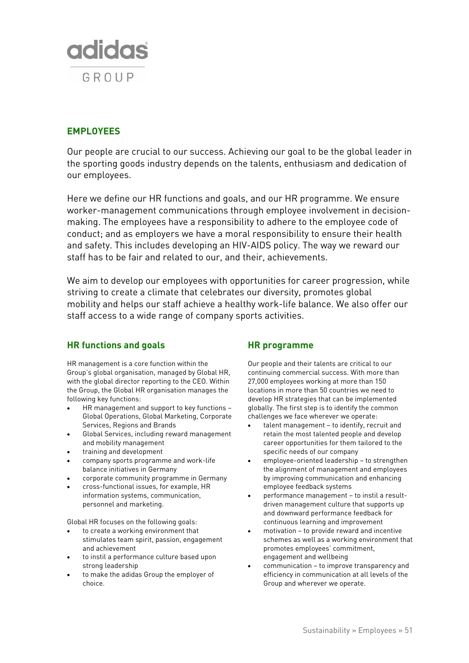

# **EMPLOYEES**

Our people are crucial to our success. Achieving our goal to be the global leader in the sporting goods industry depends on the talents, enthusiasm and dedication of our employees.

Here we define our HR functions and goals, and our HR programme. We ensure worker-management communications through employee involvement in decisionmaking. The employees have a responsibility to adhere to the employee code of conduct; and as employers we have a moral responsibility to ensure their health and safety. This includes developing an HIV-AIDS policy. The way we reward our staff has to be fair and related to our, and their, achievements.

We aim to develop our employees with opportunities for career progression, while striving to create a climate that celebrates our diversity, promotes global mobility and helps our staff achieve a healthy work-life balance. We also offer our staff access to a wide range of company sports activities.

## **HR functions and goals**

HR management is a core function within the Group's global organisation, managed by Global HR, with the global director reporting to the CEO. Within the Group, the Global HR organisation manages the following key functions:

- HR management and support to key functions Global Operations, Global Marketing, Corporate Services, Regions and Brands
- Global Services, including reward management and mobility management
- training and development
- company sports programme and work-life balance initiatives in Germany
- corporate community programme in Germany
- cross-functional issues, for example, HR information systems, communication, personnel and marketing.

Global HR focuses on the following goals:

- to create a working environment that stimulates team spirit, passion, engagement and achievement
- to instil a performance culture based upon strong leadership
- to make the adidas Group the employer of choice.

## **HR programme**

Our people and their talents are critical to our continuing commercial success. With more than 27,000 employees working at more than 150 locations in more than 50 countries we need to develop HR strategies that can be implemented globally. The first step is to identify the common challenges we face wherever we operate:

- talent management to identify, recruit and retain the most talented people and develop career opportunities for them tailored to the specific needs of our company
- employee-oriented leadership to strengthen the alignment of management and employees by improving communication and enhancing employee feedback systems
- performance management to instil a resultdriven management culture that supports up and downward performance feedback for continuous learning and improvement
- motivation to provide reward and incentive schemes as well as a working environment that promotes employees' commitment, engagement and wellbeing
- communication to improve transparency and efficiency in communication at all levels of the Group and wherever we operate.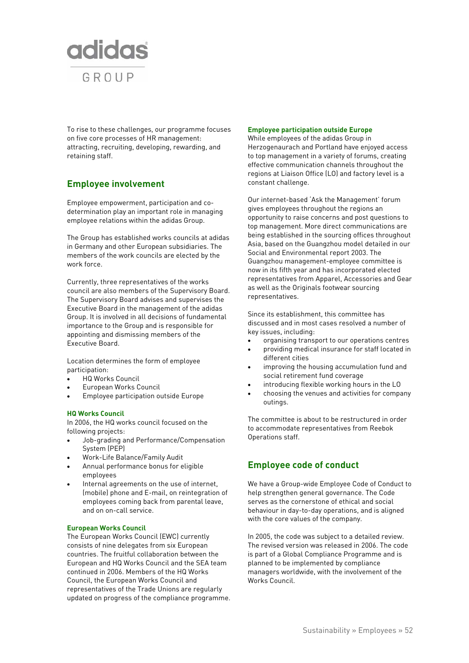

To rise to these challenges, our programme focuses on five core processes of HR management: attracting, recruiting, developing, rewarding, and retaining staff.

# **Employee involvement**

Employee empowerment, participation and codetermination play an important role in managing employee relations within the adidas Group.

The Group has established works councils at adidas in Germany and other European subsidiaries. The members of the work councils are elected by the work force.

Currently, three representatives of the works council are also members of the Supervisory Board. The Supervisory Board advises and supervises the Executive Board in the management of the adidas Group. It is involved in all decisions of fundamental importance to the Group and is responsible for appointing and dismissing members of the Executive Board.

Location determines the form of employee participation:

- HQ Works Council
- European Works Council
- Employee participation outside Europe

## **HQ Works Council**

In 2006, the HQ works council focused on the following projects:

- Job-grading and Performance/Compensation System (PEP)
- Work-Life Balance/Family Audit
- Annual performance bonus for eligible employees
- Internal agreements on the use of internet, (mobile) phone and E-mail, on reintegration of employees coming back from parental leave, and on on-call service.

## **European Works Council**

The European Works Council (EWC) currently consists of nine delegates from six European countries. The fruitful collaboration between the European and HQ Works Council and the SEA team continued in 2006. Members of the HQ Works Council, the European Works Council and representatives of the Trade Unions are regularly updated on progress of the compliance programme.

#### **Employee participation outside Europe**

While employees of the adidas Group in Herzogenaurach and Portland have enjoyed access to top management in a variety of forums, creating effective communication channels throughout the regions at Liaison Office (LO) and factory level is a constant challenge.

Our internet-based 'Ask the Management' forum gives employees throughout the regions an opportunity to raise concerns and post questions to top management. More direct communications are being established in the sourcing offices throughout Asia, based on the Guangzhou model detailed in our Social and Environmental report 2003. The Guangzhou management-employee committee is now in its fifth year and has incorporated elected representatives from Apparel, Accessories and Gear as well as the Originals footwear sourcing representatives.

Since its establishment, this committee has discussed and in most cases resolved a number of key issues, including:

- organising transport to our operations centres
- providing medical insurance for staff located in different cities
- improving the housing accumulation fund and social retirement fund coverage
- introducing flexible working hours in the LO
- choosing the venues and activities for company outings.

The committee is about to be restructured in order to accommodate representatives from Reebok Operations staff.

# **Employee code of conduct**

We have a Group-wide Employee Code of Conduct to help strengthen general governance. The Code serves as the cornerstone of ethical and social behaviour in day-to-day operations, and is aligned with the core values of the company.

In 2005, the code was subject to a detailed review. The revised version was released in 2006. The code is part of a Global Compliance Programme and is planned to be implemented by compliance managers worldwide, with the involvement of the Works Council.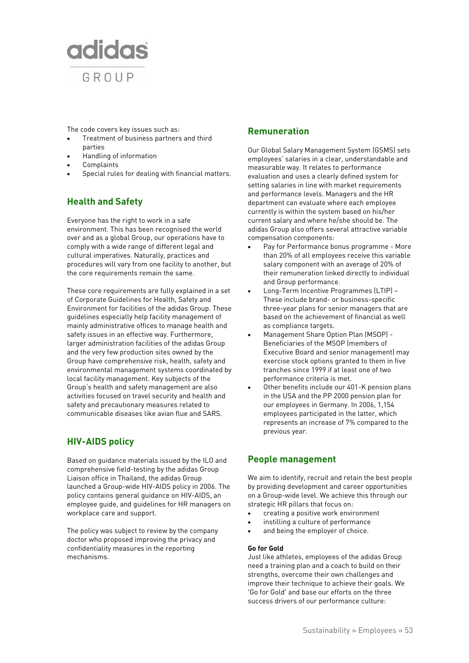

The code covers key issues such as:

- Treatment of business partners and third parties
- Handling of information
- **Complaints**
- Special rules for dealing with financial matters.

# **Health and Safety**

Everyone has the right to work in a safe environment. This has been recognised the world over and as a global Group, our operations have to comply with a wide range of different legal and cultural imperatives. Naturally, practices and procedures will vary from one facility to another, but the core requirements remain the same.

These core requirements are fully explained in a set of Corporate Guidelines for Health, Safety and Environment for facilities of the adidas Group. These guidelines especially help facility management of mainly administrative offices to manage health and safety issues in an effective way. Furthermore, larger administration facilities of the adidas Group and the very few production sites owned by the Group have comprehensive risk, health, safety and environmental management systems coordinated by local facility management. Key subjects of the Group's health and safety management are also activities focused on travel security and health and safety and precautionary measures related to communicable diseases like avian flue and SARS.

# **HIV-AIDS policy**

Based on guidance materials issued by the ILO and comprehensive field-testing by the adidas Group Liaison office in Thailand, the adidas Group launched a Group-wide HIV-AIDS policy in 2006. The policy contains general guidance on HIV-AIDS, an employee guide, and guidelines for HR managers on workplace care and support.

The policy was subject to review by the company doctor who proposed improving the privacy and confidentiality measures in the reporting mechanisms.

## **Remuneration**

Our Global Salary Management System (GSMS) sets employees' salaries in a clear, understandable and measurable way. It relates to performance evaluation and uses a clearly defined system for setting salaries in line with market requirements and performance levels. Managers and the HR department can evaluate where each employee currently is within the system based on his/her current salary and where he/she should be. The adidas Group also offers several attractive variable compensation components:

- Pay for Performance bonus programme More than 20% of all employees receive this variable salary component with an average of 20% of their remuneration linked directly to individual and Group performance.
- Long-Term Incentive Programmes (LTIP) These include brand- or business-specific three-year plans for senior managers that are based on the achievement of financial as well as compliance targets.
- Management Share Option Plan (MSOP) Beneficiaries of the MSOP (members of Executive Board and senior management) may exercise stock options granted to them in five tranches since 1999 if at least one of two performance criteria is met.
- Other benefits include our 401-K pension plans in the USA and the PP 2000 pension plan for our employees in Germany. In 2006, 1,154 employees participated in the latter, which represents an increase of 7% compared to the previous year.

## **People management**

We aim to identify, recruit and retain the best people by providing development and career opportunities on a Group-wide level. We achieve this through our strategic HR pillars that focus on:

- creating a positive work environment
- instilling a culture of performance
- and being the employer of choice.

#### **Go for Gold**

Just like athletes, employees of the adidas Group need a training plan and a coach to build on their strengths, overcome their own challenges and improve their technique to achieve their goals. We 'Go for Gold' and base our efforts on the three success drivers of our performance culture: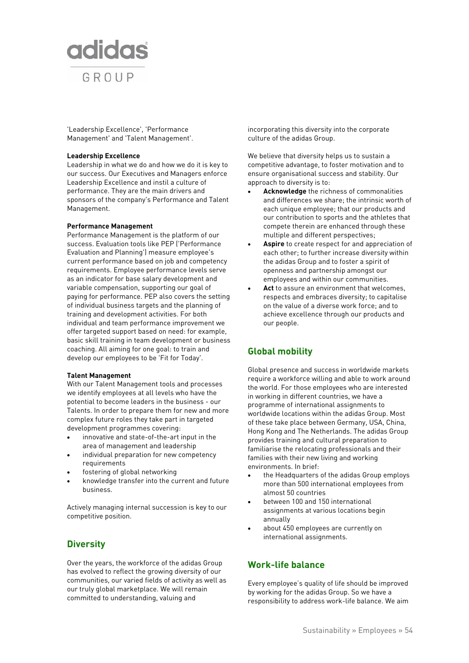

'Leadership Excellence', 'Performance Management' and 'Talent Management'.

#### **Leadership Excellence**

Leadership in what we do and how we do it is key to our success. Our Executives and Managers enforce Leadership Excellence and instil a culture of performance. They are the main drivers and sponsors of the company's Performance and Talent Management.

#### **Performance Management**

Performance Management is the platform of our success. Evaluation tools like PEP ('Performance Evaluation and Planning') measure employee's current performance based on job and competency requirements. Employee performance levels serve as an indicator for base salary development and variable compensation, supporting our goal of paying for performance. PEP also covers the setting of individual business targets and the planning of training and development activities. For both individual and team performance improvement we offer targeted support based on need: for example, basic skill training in team development or business coaching. All aiming for one goal: to train and develop our employees to be 'Fit for Today'.

#### **Talent Management**

With our Talent Management tools and processes we identify employees at all levels who have the potential to become leaders in the business - our Talents. In order to prepare them for new and more complex future roles they take part in targeted development programmes covering:

- innovative and state-of-the-art input in the area of management and leadership
- individual preparation for new competency requirements
- fostering of global networking
- knowledge transfer into the current and future business.

Actively managing internal succession is key to our competitive position.

## **Diversity**

Over the years, the workforce of the adidas Group has evolved to reflect the growing diversity of our communities, our varied fields of activity as well as our truly global marketplace. We will remain committed to understanding, valuing and

incorporating this diversity into the corporate culture of the adidas Group.

We believe that diversity helps us to sustain a competitive advantage, to foster motivation and to ensure organisational success and stability. Our approach to diversity is to:

- **Acknowledge** the richness of commonalities and differences we share; the intrinsic worth of each unique employee; that our products and our contribution to sports and the athletes that compete therein are enhanced through these multiple and different perspectives;
- **Aspire** to create respect for and appreciation of each other; to further increase diversity within the adidas Group and to foster a spirit of openness and partnership amongst our employees and within our communities.
- Act to assure an environment that welcomes, respects and embraces diversity; to capitalise on the value of a diverse work force; and to achieve excellence through our products and our people.

## **Global mobility**

Global presence and success in worldwide markets require a workforce willing and able to work around the world. For those employees who are interested in working in different countries, we have a programme of international assignments to worldwide locations within the adidas Group. Most of these take place between Germany, USA, China, Hong Kong and The Netherlands. The adidas Group provides training and cultural preparation to familiarise the relocating professionals and their families with their new living and working environments. In brief:

- the Headquarters of the adidas Group employs more than 500 international employees from almost 50 countries
- between 100 and 150 international assignments at various locations begin annually
- about 450 employees are currently on international assignments.

## **Work-life balance**

Every employee's quality of life should be improved by working for the adidas Group. So we have a responsibility to address work-life balance. We aim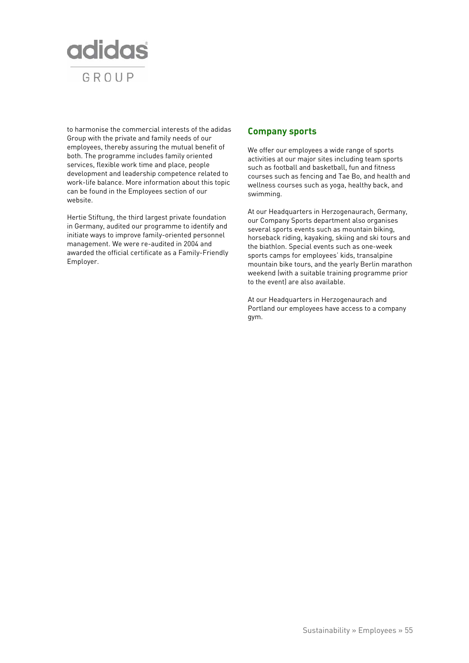

to harmonise the commercial interests of the adidas Group with the private and family needs of our employees, thereby assuring the mutual benefit of both. The programme includes family oriented services, flexible work time and place, people development and leadership competence related to work-life balance. More information about this topic can be found in the Employees section of our website.

Hertie Stiftung, the third largest private foundation in Germany, audited our programme to identify and initiate ways to improve family-oriented personnel management. We were re-audited in 2004 and awarded the official certificate as a Family-Friendly Employer.

## **Company sports**

We offer our employees a wide range of sports activities at our major sites including team sports such as football and basketball, fun and fitness courses such as fencing and Tae Bo, and health and wellness courses such as yoga, healthy back, and swimming.

At our Headquarters in Herzogenaurach, Germany, our Company Sports department also organises several sports events such as mountain biking, horseback riding, kayaking, skiing and ski tours and the biathlon. Special events such as one-week sports camps for employees' kids, transalpine mountain bike tours, and the yearly Berlin marathon weekend (with a suitable training programme prior to the event) are also available.

At our Headquarters in Herzogenaurach and Portland our employees have access to a company gym.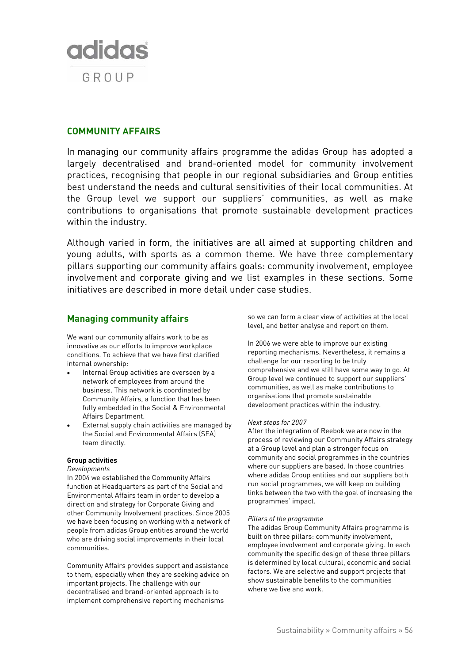

## **COMMUNITY AFFAIRS**

In managing our community affairs programme the adidas Group has adopted a largely decentralised and brand-oriented model for community involvement practices, recognising that people in our regional subsidiaries and Group entities best understand the needs and cultural sensitivities of their local communities. At the Group level we support our suppliers' communities, as well as make contributions to organisations that promote sustainable development practices within the industry.

Although varied in form, the initiatives are all aimed at supporting children and young adults, with sports as a common theme. We have three complementary pillars supporting our community affairs goals: community involvement, employee involvement and corporate giving and we list examples in these sections. Some initiatives are described in more detail under case studies.

## **Managing community affairs**

We want our community affairs work to be as innovative as our efforts to improve workplace conditions. To achieve that we have first clarified internal ownership:

- Internal Group activities are overseen by a network of employees from around the business. This network is coordinated by Community Affairs, a function that has been fully embedded in the Social & Environmental Affairs Department.
- External supply chain activities are managed by the Social and Environmental Affairs (SEA) team directly.

## **Group activities**

#### *Developments*

In 2004 we established the Community Affairs function at Headquarters as part of the Social and Environmental Affairs team in order to develop a direction and strategy for Corporate Giving and other Community Involvement practices. Since 2005 we have been focusing on working with a network of people from adidas Group entities around the world who are driving social improvements in their local communities.

Community Affairs provides support and assistance to them, especially when they are seeking advice on important projects. The challenge with our decentralised and brand-oriented approach is to implement comprehensive reporting mechanisms

so we can form a clear view of activities at the local level, and better analyse and report on them.

In 2006 we were able to improve our existing reporting mechanisms. Nevertheless, it remains a challenge for our reporting to be truly comprehensive and we still have some way to go. At Group level we continued to support our suppliers' communities, as well as make contributions to organisations that promote sustainable development practices within the industry.

## *Next steps for 2007*

After the integration of Reebok we are now in the process of reviewing our Community Affairs strategy at a Group level and plan a stronger focus on community and social programmes in the countries where our suppliers are based. In those countries where adidas Group entities and our suppliers both run social programmes, we will keep on building links between the two with the goal of increasing the programmes' impact.

#### *Pillars of the programme*

The adidas Group Community Affairs programme is built on three pillars: community involvement, employee involvement and corporate giving. In each community the specific design of these three pillars is determined by local cultural, economic and social factors. We are selective and support projects that show sustainable benefits to the communities where we live and work.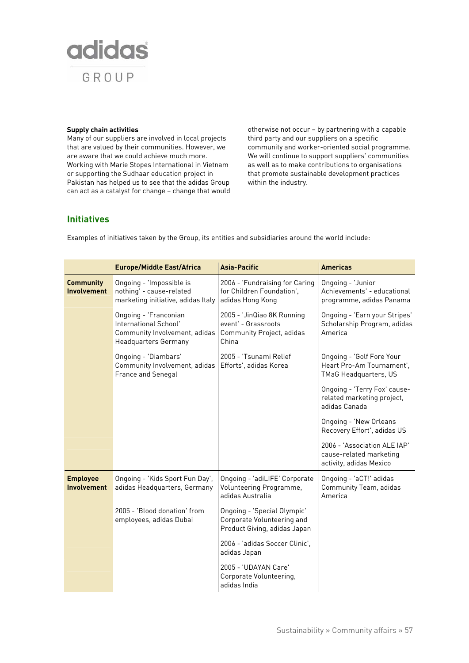

#### **Supply chain activities**

Many of our suppliers are involved in local projects that are valued by their communities. However, we are aware that we could achieve much more. Working with Marie Stopes International in Vietnam or supporting the Sudhaar education project in Pakistan has helped us to see that the adidas Group can act as a catalyst for change – change that would otherwise not occur – by partnering with a capable third party and our suppliers on a specific community and worker-oriented social programme. We will continue to support suppliers' communities as well as to make contributions to organisations that promote sustainable development practices within the industry.

## **Initiatives**

Examples of initiatives taken by the Group, its entities and subsidiaries around the world include:

|                                        | <b>Europe/Middle East/Africa</b>                                                                               | <b>Asia-Pacific</b>                                                                       | <b>Americas</b>                                                                    |
|----------------------------------------|----------------------------------------------------------------------------------------------------------------|-------------------------------------------------------------------------------------------|------------------------------------------------------------------------------------|
| <b>Community</b><br><b>Involvement</b> | Ongoing - 'Impossible is<br>nothing' - cause-related<br>marketing initiative, adidas Italy                     | 2006 - 'Fundraising for Caring<br>for Children Foundation',<br>adidas Hong Kong           | Ongoing - 'Junior<br>Achievements' - educational<br>programme, adidas Panama       |
|                                        | Ongoing - 'Franconian<br>International School'<br>Community Involvement, adidas<br><b>Headquarters Germany</b> | 2005 - 'JinQiao 8K Running<br>event' - Grassroots<br>Community Project, adidas<br>China   | Ongoing - 'Earn your Stripes'<br>Scholarship Program, adidas<br>America            |
|                                        | Ongoing - 'Diambars'<br>Community Involvement, adidas<br>France and Senegal                                    | 2005 - 'Tsunami Relief<br>Efforts', adidas Korea                                          | Ongoing - 'Golf Fore Your<br>Heart Pro-Am Tournament',<br>TMaG Headquarters, US    |
|                                        |                                                                                                                |                                                                                           | Ongoing - 'Terry Fox' cause-<br>related marketing project,<br>adidas Canada        |
|                                        |                                                                                                                |                                                                                           | Ongoing - 'New Orleans<br>Recovery Effort', adidas US                              |
|                                        |                                                                                                                |                                                                                           | 2006 - 'Association ALE IAP'<br>cause-related marketing<br>activity, adidas Mexico |
| <b>Employee</b><br><b>Involvement</b>  | Ongoing - 'Kids Sport Fun Day',<br>adidas Headquarters, Germany                                                | Ongoing - 'adiLIFE' Corporate<br>Volunteering Programme,<br>adidas Australia              | Ongoing - 'aCT!' adidas<br>Community Team, adidas<br>America                       |
|                                        | 2005 - 'Blood donation' from<br>employees, adidas Dubai                                                        | Ongoing - 'Special Olympic'<br>Corporate Volunteering and<br>Product Giving, adidas Japan |                                                                                    |
|                                        |                                                                                                                | 2006 - 'adidas Soccer Clinic',<br>adidas Japan                                            |                                                                                    |
|                                        |                                                                                                                | 2005 - 'UDAYAN Care'<br>Corporate Volunteering,<br>adidas India                           |                                                                                    |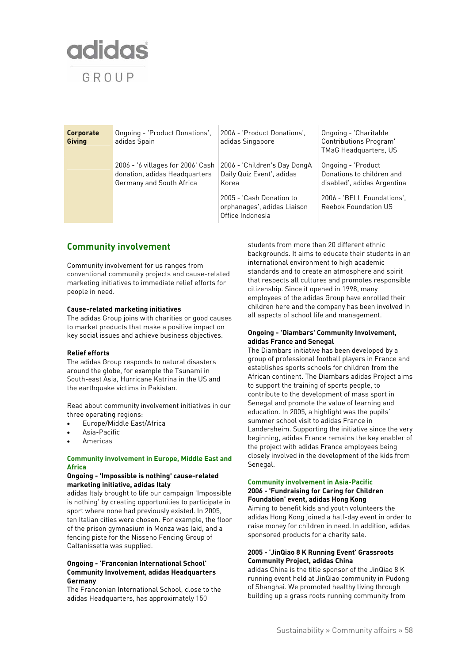

| Corporate<br>Giving | Ongoing - 'Product Donations',<br>adidas Spain                                                 | 2006 - 'Product Donations',<br>adidas Singapore                             | Ongoing - 'Charitable<br>Contributions Program'<br>TMaG Headquarters, US       |
|---------------------|------------------------------------------------------------------------------------------------|-----------------------------------------------------------------------------|--------------------------------------------------------------------------------|
|                     | 2006 - '6 villages for 2006' Cash<br>donation, adidas Headquarters<br>Germany and South Africa | 2006 - 'Children's Day DongA<br>Daily Quiz Event', adidas<br>Korea          | Ongoing - 'Product<br>Donations to children and<br>disabled', adidas Argentina |
|                     |                                                                                                | 2005 - 'Cash Donation to<br>orphanages', adidas Liaison<br>Office Indonesia | 2006 - 'BELL Foundations',<br><b>Reebok Foundation US</b>                      |

## **Community involvement**

Community involvement for us ranges from conventional community projects and cause-related marketing initiatives to immediate relief efforts for people in need.

### **Cause-related marketing initiatives**

The adidas Group joins with charities or good causes to market products that make a positive impact on key social issues and achieve business objectives.

## **Relief efforts**

The adidas Group responds to natural disasters around the globe, for example the Tsunami in South-east Asia, Hurricane Katrina in the US and the earthquake victims in Pakistan.

Read about community involvement initiatives in our three operating regions:

- Europe/Middle East/Africa
- Asia-Pacific
- Americas

## **Community involvement in Europe, Middle East and Africa**

#### **Ongoing - 'Impossible is nothing' cause-related marketing initiative, adidas Italy**

adidas Italy brought to life our campaign 'Impossible is nothing' by creating opportunities to participate in sport where none had previously existed. In 2005, ten Italian cities were chosen. For example, the floor of the prison gymnasium in Monza was laid, and a fencing piste for the Nisseno Fencing Group of Caltanissetta was supplied.

## **Ongoing - 'Franconian International School' Community Involvement, adidas Headquarters Germany**

The Franconian International School, close to the adidas Headquarters, has approximately 150

students from more than 20 different ethnic backgrounds. It aims to educate their students in an international environment to high academic standards and to create an atmosphere and spirit that respects all cultures and promotes responsible citizenship. Since it opened in 1998, many employees of the adidas Group have enrolled their children here and the company has been involved in all aspects of school life and management.

### **Ongoing - 'Diambars' Community Involvement, adidas France and Senegal**

The Diambars initiative has been developed by a group of professional football players in France and establishes sports schools for children from the African continent. The Diambars adidas Project aims to support the training of sports people, to contribute to the development of mass sport in Senegal and promote the value of learning and education. In 2005, a highlight was the pupils' summer school visit to adidas France in Landersheim. Supporting the initiative since the very beginning, adidas France remains the key enabler of the project with adidas France employees being closely involved in the development of the kids from Senegal.

#### **Community involvement in Asia-Pacific 2006 - 'Fundraising for Caring for Children Foundation' event, adidas Hong Kong**

Aiming to benefit kids and youth volunteers the adidas Hong Kong joined a half-day event in order to raise money for children in need. In addition, adidas sponsored products for a charity sale.

#### **2005 - 'JinQiao 8 K Running Event' Grassroots Community Project, adidas China**

adidas China is the title sponsor of the JinQiao 8 K running event held at JinQiao community in Pudong of Shanghai. We promoted healthy living through building up a grass roots running community from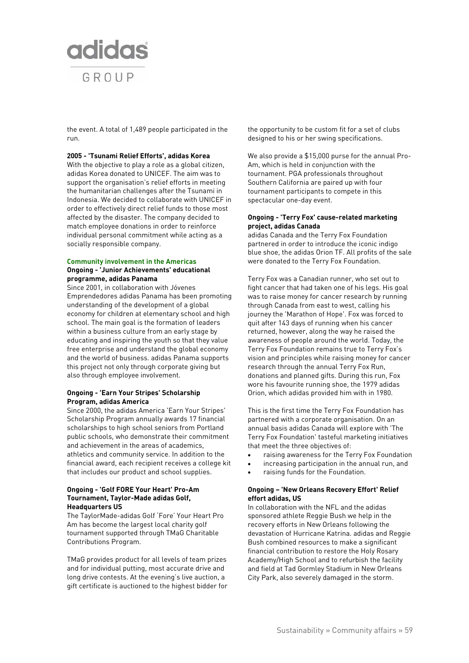

the event. A total of 1,489 people participated in the run.

#### **2005 - 'Tsunami Relief Efforts', adidas Korea**

With the objective to play a role as a global citizen, adidas Korea donated to UNICEF. The aim was to support the organisation's relief efforts in meeting the humanitarian challenges after the Tsunami in Indonesia. We decided to collaborate with UNICEF in order to effectively direct relief funds to those most affected by the disaster. The company decided to match employee donations in order to reinforce individual personal commitment while acting as a socially responsible company.

### **Community involvement in the Americas Ongoing - 'Junior Achievements' educational programme, adidas Panama**

Since 2001, in collaboration with Jóvenes Emprendedores adidas Panama has been promoting understanding of the development of a global economy for children at elementary school and high school. The main goal is the formation of leaders within a business culture from an early stage by educating and inspiring the youth so that they value free enterprise and understand the global economy and the world of business. adidas Panama supports this project not only through corporate giving but also through employee involvement.

#### **Ongoing - 'Earn Your Stripes' Scholarship Program, adidas America**

Since 2000, the adidas America 'Earn Your Stripes' Scholarship Program annually awards 17 financial scholarships to high school seniors from Portland public schools, who demonstrate their commitment and achievement in the areas of academics, athletics and community service. In addition to the financial award, each recipient receives a college kit that includes our product and school supplies.

#### **Ongoing - 'Golf FORE Your Heart' Pro-Am Tournament, Taylor-Made adidas Golf, Headquarters US**

The TaylorMade-adidas Golf 'Fore' Your Heart Pro Am has become the largest local charity golf tournament supported through TMaG Charitable Contributions Program.

TMaG provides product for all levels of team prizes and for individual putting, most accurate drive and long drive contests. At the evening's live auction, a gift certificate is auctioned to the highest bidder for the opportunity to be custom fit for a set of clubs designed to his or her swing specifications.

We also provide a \$15,000 purse for the annual Pro-Am, which is held in conjunction with the tournament. PGA professionals throughout Southern California are paired up with four tournament participants to compete in this spectacular one-day event.

#### **Ongoing - 'Terry Fox' cause-related marketing project, adidas Canada**

adidas Canada and the Terry Fox Foundation partnered in order to introduce the iconic indigo blue shoe, the adidas Orion TF. All profits of the sale were donated to the Terry Fox Foundation.

Terry Fox was a Canadian runner, who set out to fight cancer that had taken one of his legs. His goal was to raise money for cancer research by running through Canada from east to west, calling his journey the 'Marathon of Hope'. Fox was forced to quit after 143 days of running when his cancer returned, however, along the way he raised the awareness of people around the world. Today, the Terry Fox Foundation remains true to Terry Fox's vision and principles while raising money for cancer research through the annual Terry Fox Run, donations and planned gifts. During this run, Fox wore his favourite running shoe, the 1979 adidas Orion, which adidas provided him with in 1980.

This is the first time the Terry Fox Foundation has partnered with a corporate organisation. On an annual basis adidas Canada will explore with 'The Terry Fox Foundation' tasteful marketing initiatives that meet the three objectives of:

- raising awareness for the Terry Fox Foundation
- increasing participation in the annual run, and
- raising funds for the Foundation.

### **Ongoing – 'New Orleans Recovery Effort' Relief effort adidas, US**

In collaboration with the NFL and the adidas sponsored athlete Reggie Bush we help in the recovery efforts in New Orleans following the devastation of Hurricane Katrina. adidas and Reggie Bush combined resources to make a significant financial contribution to restore the Holy Rosary Academy/High School and to refurbish the facility and field at Tad Gormley Stadium in New Orleans City Park, also severely damaged in the storm.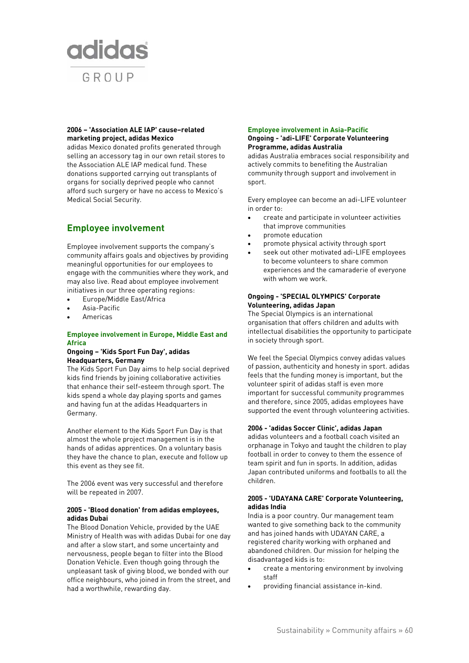

## **2006 – 'Association ALE IAP' cause–related marketing project, adidas Mexico**

adidas Mexico donated profits generated through selling an accessory tag in our own retail stores to the Association ALE IAP medical fund. These donations supported carrying out transplants of organs for socially deprived people who cannot afford such surgery or have no access to Mexico's Medical Social Security.

# **Employee involvement**

Employee involvement supports the company's community affairs goals and objectives by providing meaningful opportunities for our employees to engage with the communities where they work, and may also live. Read about employee involvement initiatives in our three operating regions:

- Europe/Middle East/Africa
- Asia-Pacific
- Americas

## **Employee involvement in Europe, Middle East and Africa**

#### **Ongoing – 'Kids Sport Fun Day', adidas Headquarters, Germany**

The Kids Sport Fun Day aims to help social deprived kids find friends by joining collaborative activities that enhance their self-esteem through sport. The kids spend a whole day playing sports and games and having fun at the adidas Headquarters in Germany.

Another element to the Kids Sport Fun Day is that almost the whole project management is in the hands of adidas apprentices. On a voluntary basis they have the chance to plan, execute and follow up this event as they see fit.

The 2006 event was very successful and therefore will be repeated in 2007.

### **2005 - 'Blood donation' from adidas employees, adidas Dubai**

The Blood Donation Vehicle, provided by the UAE Ministry of Health was with adidas Dubai for one day and after a slow start, and some uncertainty and nervousness, people began to filter into the Blood Donation Vehicle. Even though going through the unpleasant task of giving blood, we bonded with our office neighbours, who joined in from the street, and had a worthwhile, rewarding day.

### **Employee involvement in Asia-Pacific Ongoing - 'adi-LIFE' Corporate Volunteering Programme, adidas Australia**

adidas Australia embraces social responsibility and actively commits to benefiting the Australian community through support and involvement in sport.

Every employee can become an adi-LIFE volunteer in order to:

- create and participate in volunteer activities that improve communities
- promote education
- promote physical activity through sport
- seek out other motivated adi-LIFE employees to become volunteers to share common experiences and the camaraderie of everyone with whom we work.

### **Ongoing - 'SPECIAL OLYMPICS' Corporate Volunteering, adidas Japan**

The Special Olympics is an international organisation that offers children and adults with intellectual disabilities the opportunity to participate in society through sport.

We feel the Special Olympics convey adidas values of passion, authenticity and honesty in sport. adidas feels that the funding money is important, but the volunteer spirit of adidas staff is even more important for successful community programmes and therefore, since 2005, adidas employees have supported the event through volunteering activities.

## **2006 - 'adidas Soccer Clinic', adidas Japan**

adidas volunteers and a football coach visited an orphanage in Tokyo and taught the children to play football in order to convey to them the essence of team spirit and fun in sports. In addition, adidas Japan contributed uniforms and footballs to all the children.

## **2005 - 'UDAYANA CARE' Corporate Volunteering, adidas India**

India is a poor country. Our management team wanted to give something back to the community and has joined hands with UDAYAN CARE, a registered charity working with orphaned and abandoned children. Our mission for helping the disadvantaged kids is to:

- create a mentoring environment by involving staff
- providing financial assistance in-kind.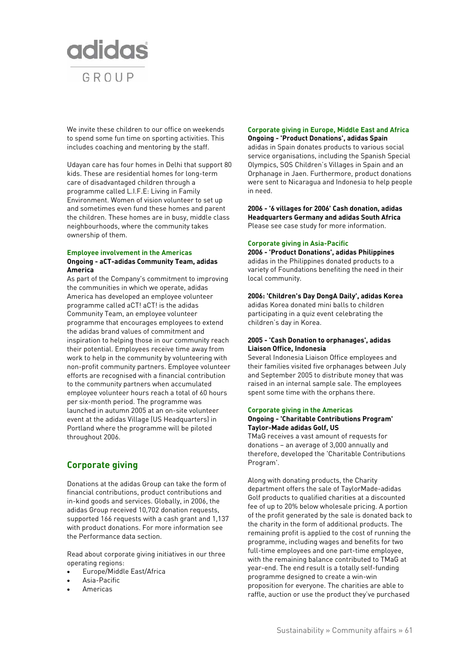

We invite these children to our office on weekends to spend some fun time on sporting activities. This includes coaching and mentoring by the staff.

Udayan care has four homes in Delhi that support 80 kids. These are residential homes for long-term care of disadvantaged children through a programme called L.I.F.E: Living in Family Environment. Women of vision volunteer to set up and sometimes even fund these homes and parent the children. These homes are in busy, middle class neighbourhoods, where the community takes ownership of them.

### **Employee involvement in the Americas Ongoing - aCT-adidas Community Team, adidas America**

As part of the Company's commitment to improving the communities in which we operate, adidas America has developed an employee volunteer programme called aCT! aCT! is the adidas Community Team, an employee volunteer programme that encourages employees to extend the adidas brand values of commitment and inspiration to helping those in our community reach their potential. Employees receive time away from work to help in the community by volunteering with non-profit community partners. Employee volunteer efforts are recognised with a financial contribution to the community partners when accumulated employee volunteer hours reach a total of 60 hours per six-month period. The programme was launched in autumn 2005 at an on-site volunteer event at the adidas Village (US Headquarters) in Portland where the programme will be piloted throughout 2006.

# **Corporate giving**

Donations at the adidas Group can take the form of financial contributions, product contributions and in-kind goods and services. Globally, in 2006, the adidas Group received 10,702 donation requests, supported 166 requests with a cash grant and 1,137 with product donations. For more information see the Performance data section.

Read about corporate giving initiatives in our three operating regions:

- Europe/Middle East/Africa
- Asia-Pacific
- Americas

#### **Corporate giving in Europe, Middle East and Africa Ongoing - 'Product Donations', adidas Spain**

adidas in Spain donates products to various social service organisations, including the Spanish Special Olympics, SOS Children's Villages in Spain and an Orphanage in Jaen. Furthermore, product donations were sent to Nicaragua and Indonesia to help people in need.

**2006 - '6 villages for 2006' Cash donation, adidas Headquarters Germany and adidas South Africa**  Please see case study for more information.

#### **Corporate giving in Asia-Pacific**

**2006 - 'Product Donations', adidas Philippines**  adidas in the Philippines donated products to a variety of Foundations benefiting the need in their local community.

#### **2006: 'Children's Day DongA Daily', adidas Korea**

adidas Korea donated mini balls to children participating in a quiz event celebrating the children's day in Korea.

### **2005 - 'Cash Donation to orphanages', adidas Liaison Office, Indonesia**

Several Indonesia Liaison Office employees and their families visited five orphanages between July and September 2005 to distribute money that was raised in an internal sample sale. The employees spent some time with the orphans there.

#### **Corporate giving in the Americas Ongoing - 'Charitable Contributions Program' Taylor-Made adidas Golf, US**

TMaG receives a vast amount of requests for donations – an average of 3,000 annually and therefore, developed the 'Charitable Contributions Program'.

Along with donating products, the Charity department offers the sale of TaylorMade-adidas Golf products to qualified charities at a discounted fee of up to 20% below wholesale pricing. A portion of the profit generated by the sale is donated back to the charity in the form of additional products. The remaining profit is applied to the cost of running the programme, including wages and benefits for two full-time employees and one part-time employee, with the remaining balance contributed to TMaG at year-end. The end result is a totally self-funding programme designed to create a win-win proposition for everyone. The charities are able to raffle, auction or use the product they've purchased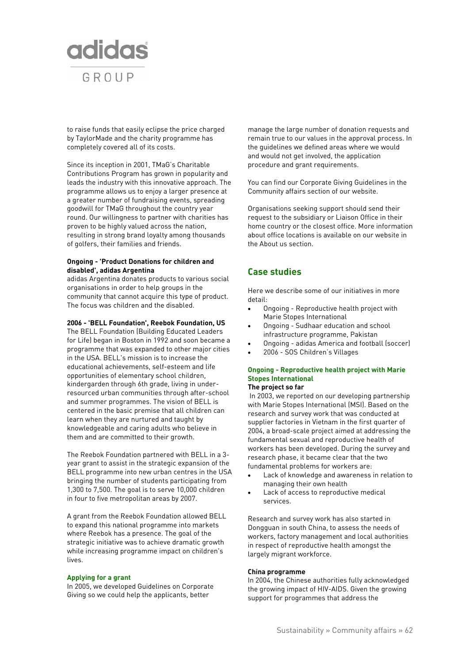

to raise funds that easily eclipse the price charged by TaylorMade and the charity programme has completely covered all of its costs.

Since its inception in 2001, TMaG's Charitable Contributions Program has grown in popularity and leads the industry with this innovative approach. The programme allows us to enjoy a larger presence at a greater number of fundraising events, spreading goodwill for TMaG throughout the country year round. Our willingness to partner with charities has proven to be highly valued across the nation, resulting in strong brand loyalty among thousands of golfers, their families and friends.

## **Ongoing - 'Product Donations for children and disabled', adidas Argentina**

adidas Argentina donates products to various social organisations in order to help groups in the community that cannot acquire this type of product. The focus was children and the disabled.

### **2006 - 'BELL Foundation', Reebok Foundation, US**

The BELL Foundation (Building Educated Leaders for Life) began in Boston in 1992 and soon became a programme that was expanded to other major cities in the USA. BELL's mission is to increase the educational achievements, self-esteem and life opportunities of elementary school children, kindergarden through 6th grade, living in underresourced urban communities through after-school and summer programmes. The vision of BELL is centered in the basic premise that all children can learn when they are nurtured and taught by knowledgeable and caring adults who believe in them and are committed to their growth.

The Reebok Foundation partnered with BELL in a 3 year grant to assist in the strategic expansion of the BELL programme into new urban centres in the USA bringing the number of students participating from 1,300 to 7,500. The goal is to serve 10,000 children in four to five metropolitan areas by 2007.

A grant from the Reebok Foundation allowed BELL to expand this national programme into markets where Reebok has a presence. The goal of the strategic initiative was to achieve dramatic growth while increasing programme impact on children's lives.

#### **Applying for a grant**

In 2005, we developed Guidelines on Corporate Giving so we could help the applicants, better

manage the large number of donation requests and remain true to our values in the approval process. In the guidelines we defined areas where we would and would not get involved, the application procedure and grant requirements.

You can find our Corporate Giving Guidelines in the Community affairs section of our website.

Organisations seeking support should send their request to the subsidiary or Liaison Office in their home country or the closest office. More information about office locations is available on our website in the About us section.

## **Case studies**

Here we describe some of our initiatives in more detail:

- Ongoing Reproductive health project with Marie Stopes International
- Ongoing Sudhaar education and school infrastructure programme, Pakistan
- Ongoing adidas America and football (soccer)
- 2006 SOS Children's Villages

## **Ongoing - Reproductive health project with Marie Stopes International**

## **The project so far**

 In 2003, we reported on our developing partnership with Marie Stopes International (MSI). Based on the research and survey work that was conducted at supplier factories in Vietnam in the first quarter of 2004, a broad-scale project aimed at addressing the fundamental sexual and reproductive health of workers has been developed. During the survey and research phase, it became clear that the two fundamental problems for workers are:

- Lack of knowledge and awareness in relation to managing their own health
- Lack of access to reproductive medical services.

Research and survey work has also started in Dongguan in south China, to assess the needs of workers, factory management and local authorities in respect of reproductive health amongst the largely migrant workforce.

#### **China programme**

In 2004, the Chinese authorities fully acknowledged the growing impact of HIV-AIDS. Given the growing support for programmes that address the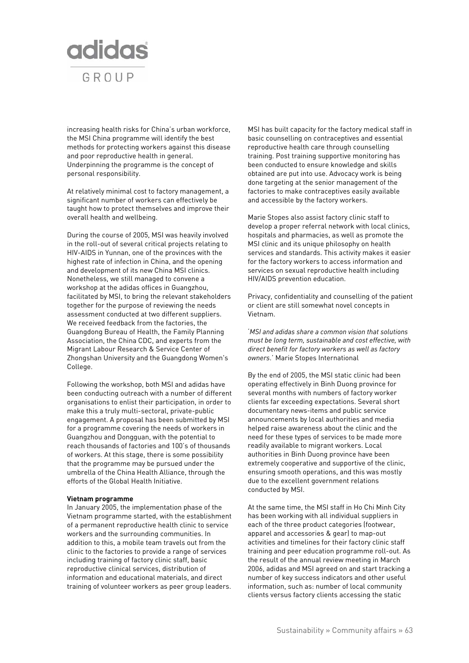

increasing health risks for China's urban workforce, the MSI China programme will identify the best methods for protecting workers against this disease and poor reproductive health in general. Underpinning the programme is the concept of personal responsibility.

At relatively minimal cost to factory management, a significant number of workers can effectively be taught how to protect themselves and improve their overall health and wellbeing.

During the course of 2005, MSI was heavily involved in the roll-out of several critical projects relating to HIV-AIDS in Yunnan, one of the provinces with the highest rate of infection in China, and the opening and development of its new China MSI clinics. Nonetheless, we still managed to convene a workshop at the adidas offices in Guangzhou, facilitated by MSI, to bring the relevant stakeholders together for the purpose of reviewing the needs assessment conducted at two different suppliers. We received feedback from the factories, the Guangdong Bureau of Health, the Family Planning Association, the China CDC, and experts from the Migrant Labour Research & Service Center of Zhongshan University and the Guangdong Women's College.

Following the workshop, both MSI and adidas have been conducting outreach with a number of different organisations to enlist their participation, in order to make this a truly multi-sectoral, private-public engagement. A proposal has been submitted by MSI for a programme covering the needs of workers in Guangzhou and Dongguan, with the potential to reach thousands of factories and 100's of thousands of workers. At this stage, there is some possibility that the programme may be pursued under the umbrella of the China Health Alliance, through the efforts of the Global Health Initiative.

#### **Vietnam programme**

In January 2005, the implementation phase of the Vietnam programme started, with the establishment of a permanent reproductive health clinic to service workers and the surrounding communities. In addition to this, a mobile team travels out from the clinic to the factories to provide a range of services including training of factory clinic staff, basic reproductive clinical services, distribution of information and educational materials, and direct training of volunteer workers as peer group leaders.

MSI has built capacity for the factory medical staff in basic counselling on contraceptives and essential reproductive health care through counselling training. Post training supportive monitoring has been conducted to ensure knowledge and skills obtained are put into use. Advocacy work is being done targeting at the senior management of the factories to make contraceptives easily available and accessible by the factory workers.

Marie Stopes also assist factory clinic staff to develop a proper referral network with local clinics, hospitals and pharmacies, as well as promote the MSI clinic and its unique philosophy on health services and standards. This activity makes it easier for the factory workers to access information and services on sexual reproductive health including HIV/AIDS prevention education.

Privacy, confidentiality and counselling of the patient or client are still somewhat novel concepts in Vietnam.

'*MSI and adidas share a common vision that solutions must be long term, sustainable and cost effective, with direct benefit for factory workers as well as factory owners*.' Marie Stopes International

By the end of 2005, the MSI static clinic had been operating effectively in Binh Duong province for several months with numbers of factory worker clients far exceeding expectations. Several short documentary news-items and public service announcements by local authorities and media helped raise awareness about the clinic and the need for these types of services to be made more readily available to migrant workers. Local authorities in Binh Duong province have been extremely cooperative and supportive of the clinic, ensuring smooth operations, and this was mostly due to the excellent government relations conducted by MSI.

At the same time, the MSI staff in Ho Chi Minh City has been working with all individual suppliers in each of the three product categories (footwear, apparel and accessories & gear) to map-out activities and timelines for their factory clinic staff training and peer education programme roll-out. As the result of the annual review meeting in March 2006, adidas and MSI agreed on and start tracking a number of key success indicators and other useful information, such as: number of local community clients versus factory clients accessing the static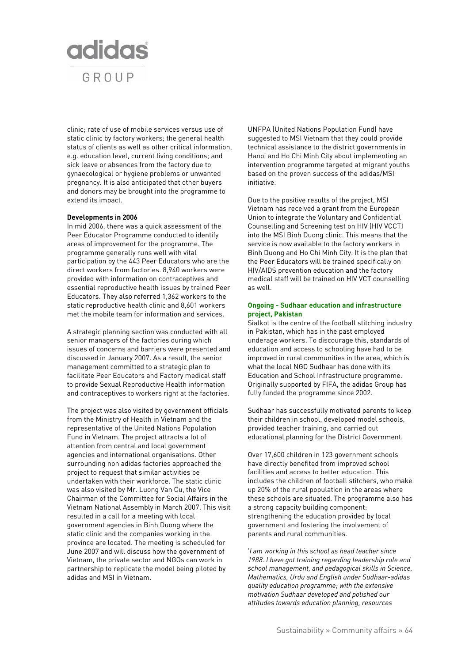

clinic; rate of use of mobile services versus use of static clinic by factory workers; the general health status of clients as well as other critical information, e.g. education level, current living conditions; and sick leave or absences from the factory due to gynaecological or hygiene problems or unwanted pregnancy. It is also anticipated that other buyers and donors may be brought into the programme to extend its impact.

#### **Developments in 2006**

In mid 2006, there was a quick assessment of the Peer Educator Programme conducted to identify areas of improvement for the programme. The programme generally runs well with vital participation by the 443 Peer Educators who are the direct workers from factories. 8,940 workers were provided with information on contraceptives and essential reproductive health issues by trained Peer Educators. They also referred 1,362 workers to the static reproductive health clinic and 8,601 workers met the mobile team for information and services.

A strategic planning section was conducted with all senior managers of the factories during which issues of concerns and barriers were presented and discussed in January 2007. As a result, the senior management committed to a strategic plan to facilitate Peer Educators and Factory medical staff to provide Sexual Reproductive Health information and contraceptives to workers right at the factories.

The project was also visited by government officials from the Ministry of Health in Vietnam and the representative of the United Nations Population Fund in Vietnam. The project attracts a lot of attention from central and local government agencies and international organisations. Other surrounding non adidas factories approached the project to request that similar activities be undertaken with their workforce. The static clinic was also visited by Mr. Luong Van Cu, the Vice Chairman of the Committee for Social Affairs in the Vietnam National Assembly in March 2007. This visit resulted in a call for a meeting with local government agencies in Binh Duong where the static clinic and the companies working in the province are located. The meeting is scheduled for June 2007 and will discuss how the government of Vietnam, the private sector and NGOs can work in partnership to replicate the model being piloted by adidas and MSI in Vietnam.

UNFPA (United Nations Population Fund) have suggested to MSI Vietnam that they could provide technical assistance to the district governments in Hanoi and Ho Chi Minh City about implementing an intervention programme targeted at migrant youths based on the proven success of the adidas/MSI initiative.

Due to the positive results of the project, MSI Vietnam has received a grant from the European Union to integrate the Voluntary and Confidential Counselling and Screening test on HIV (HIV VCCT) into the MSI Binh Duong clinic. This means that the service is now available to the factory workers in Binh Duong and Ho Chi Minh City. It is the plan that the Peer Educators will be trained specifically on HIV/AIDS prevention education and the factory medical staff will be trained on HIV VCT counselling as well.

#### **Ongoing - Sudhaar education and infrastructure project, Pakistan**

Sialkot is the centre of the football stitching industry in Pakistan, which has in the past employed underage workers. To discourage this, standards of education and access to schooling have had to be improved in rural communities in the area, which is what the local NGO Sudhaar has done with its Education and School Infrastructure programme. Originally supported by FIFA, the adidas Group has fully funded the programme since 2002.

Sudhaar has successfully motivated parents to keep their children in school, developed model schools, provided teacher training, and carried out educational planning for the District Government.

Over 17,600 children in 123 government schools have directly benefited from improved school facilities and access to better education. This includes the children of football stitchers, who make up 20% of the rural population in the areas where these schools are situated. The programme also has a strong capacity building component: strengthening the education provided by local government and fostering the involvement of parents and rural communities.

'*I am working in this school as head teacher since 1988. I have got training regarding leadership role and school management, and pedagogical skills in Science, Mathematics, Urdu and English under Sudhaar-adidas quality education programme; with the extensive motivation Sudhaar developed and polished our attitudes towards education planning, resources*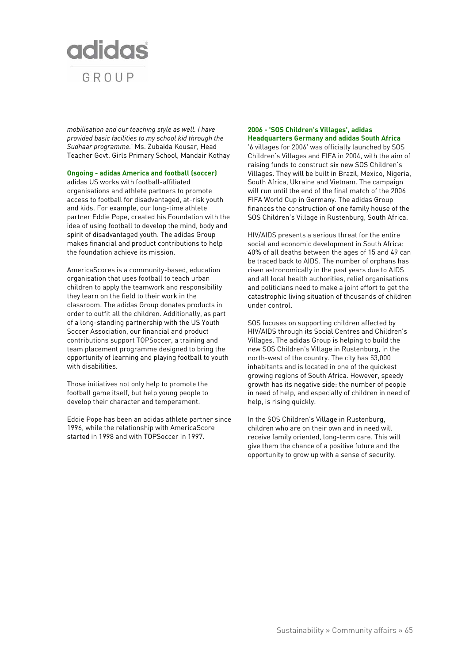

*mobilisation and our teaching style as well. I have provided basic facilities to my school kid through the Sudhaar programme.*' Ms. Zubaida Kousar, Head Teacher Govt. Girls Primary School, Mandair Kothay

#### **Ongoing - adidas America and football (soccer)**

adidas US works with football-affiliated organisations and athlete partners to promote access to football for disadvantaged, at-risk youth and kids. For example, our long-time athlete partner Eddie Pope, created his Foundation with the idea of using football to develop the mind, body and spirit of disadvantaged youth. The adidas Group makes financial and product contributions to help the foundation achieve its mission.

AmericaScores is a community-based, education organisation that uses football to teach urban children to apply the teamwork and responsibility they learn on the field to their work in the classroom. The adidas Group donates products in order to outfit all the children. Additionally, as part of a long-standing partnership with the US Youth Soccer Association, our financial and product contributions support TOPSoccer, a training and team placement programme designed to bring the opportunity of learning and playing football to youth with disabilities.

Those initiatives not only help to promote the football game itself, but help young people to develop their character and temperament.

Eddie Pope has been an adidas athlete partner since 1996, while the relationship with AmericaScore started in 1998 and with TOPSoccer in 1997.

## **2006 - 'SOS Children's Villages', adidas Headquarters Germany and adidas South Africa**

'6 villages for 2006' was officially launched by SOS Children's Villages and FIFA in 2004, with the aim of raising funds to construct six new SOS Children's Villages. They will be built in Brazil, Mexico, Nigeria, South Africa, Ukraine and Vietnam. The campaign will run until the end of the final match of the 2006 FIFA World Cup in Germany. The adidas Group finances the construction of one family house of the SOS Children's Village in Rustenburg, South Africa.

HIV/AIDS presents a serious threat for the entire social and economic development in South Africa: 40% of all deaths between the ages of 15 and 49 can be traced back to AIDS. The number of orphans has risen astronomically in the past years due to AIDS and all local health authorities, relief organisations and politicians need to make a joint effort to get the catastrophic living situation of thousands of children under control.

SOS focuses on supporting children affected by HIV/AIDS through its Social Centres and Children's Villages. The adidas Group is helping to build the new SOS Children's Village in Rustenburg, in the north-west of the country. The city has 53,000 inhabitants and is located in one of the quickest growing regions of South Africa. However, speedy growth has its negative side: the number of people in need of help, and especially of children in need of help, is rising quickly.

In the SOS Children's Village in Rustenburg, children who are on their own and in need will receive family oriented, long-term care. This will give them the chance of a positive future and the opportunity to grow up with a sense of security.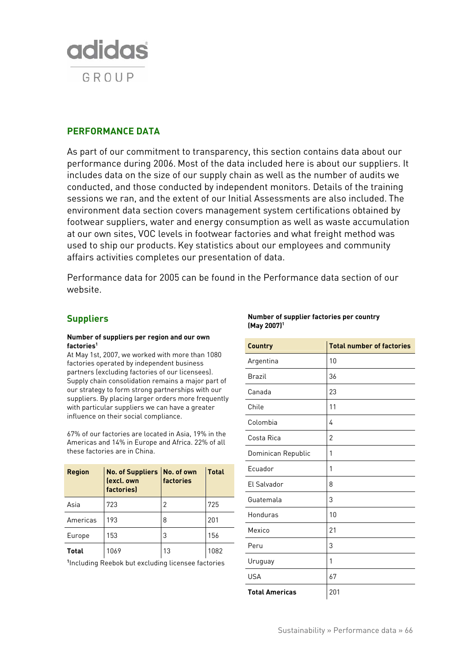

# **PERFORMANCE DATA**

As part of our commitment to transparency, this section contains data about our performance during 2006. Most of the data included here is about our suppliers. It includes data on the size of our supply chain as well as the number of audits we conducted, and those conducted by independent monitors. Details of the training sessions we ran, and the extent of our Initial Assessments are also included. The environment data section covers management system certifications obtained by footwear suppliers, water and energy consumption as well as waste accumulation at our own sites, VOC levels in footwear factories and what freight method was used to ship our products. Key statistics about our employees and community affairs activities completes our presentation of data.

Performance data for 2005 can be found in the Performance data section of our website.

## **Suppliers**

#### **Number of suppliers per region and our own factories1**

At May 1st, 2007, we worked with more than 1080 factories operated by independent business partners (excluding factories of our licensees). Supply chain consolidation remains a major part of our strategy to form strong partnerships with our suppliers. By placing larger orders more frequently with particular suppliers we can have a greater influence on their social compliance.

67% of our factories are located in Asia, 19% in the Americas and 14% in Europe and Africa. 22% of all these factories are in China.

| <b>Region</b> | No. of Suppliers No. of own<br>(excl. own<br>factories<br>factories) |    | <b>Total</b> |
|---------------|----------------------------------------------------------------------|----|--------------|
| Asia          | 723                                                                  | 2  | 725          |
| Americas      | 193                                                                  | 8  | 201          |
| Europe        | 153                                                                  | 3  | 156          |
| <b>Total</b>  | 1069                                                                 | 13 | 1082         |

**1** Including Reebok but excluding licensee factories

| Country               | <b>Total number of factories</b> |
|-----------------------|----------------------------------|
| Argentina             | 10                               |
| <b>Brazil</b>         | 36                               |
| Canada                | 23                               |
| Chile                 | 11                               |
| Colombia              | 4                                |
| Costa Rica            | $\overline{2}$                   |
| Dominican Republic    | 1                                |
| Ecuador               | 1                                |
| El Salvador           | 8                                |
| Guatemala             | 3                                |
| Honduras              | 10                               |
| Mexico                | 21                               |
| Peru                  | 3                                |
| Uruguay               | 1                                |
| <b>USA</b>            | 67                               |
| <b>Total Americas</b> | 201                              |

### **Number of supplier factories per country (May 2007)1**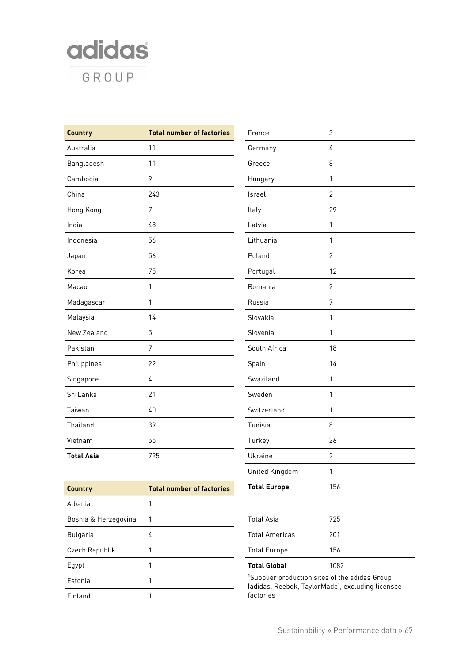

| <b>Country</b>    | <b>Total number of factories</b> | France       | $\mathfrak{Z}$ |
|-------------------|----------------------------------|--------------|----------------|
| Australia         | 11                               | Germany      | 4              |
| Bangladesh        | 11                               | Greece       | 8              |
| Cambodia          | 9                                | Hungary      | $\mathbf{1}$   |
| China             | 243                              | Israel       | $\overline{2}$ |
| Hong Kong         | $\overline{7}$                   | Italy        | 29             |
| India             | 48                               | Latvia       | $\mathbf{1}$   |
| Indonesia         | 56                               | Lithuania    | 1              |
| Japan             | 56                               | Poland       | $\overline{2}$ |
| Korea             | 75                               | Portugal     | 12             |
| Macao             | 1                                | Romania      | $\overline{2}$ |
| Madagascar        | 1                                | Russia       | $\overline{7}$ |
| Malaysia          | 14                               | Slovakia     | $\mathbf{1}$   |
| New Zealand       | 5                                | Slovenia     | $\mathbf{1}$   |
| Pakistan          | $\overline{7}$                   | South Africa | 18             |
| Philippines       | 22                               | Spain        | 14             |
| Singapore         | $\overline{4}$                   | Swaziland    | $\mathbf{1}$   |
| Sri Lanka         | 21                               | Sweden       | $\mathbf{1}$   |
| Taiwan            | $40\,$                           | Switzerland  | $\mathbf{1}$   |
| Thailand          | 39                               | Tunisia      | 8              |
| Vietnam           | 55                               | Turkey       | 26             |
| <b>Total Asia</b> | 725                              | Ukraine      | $\overline{2}$ |
|                   |                                  |              |                |

| Country              | <b>Total number of factories</b> |
|----------------------|----------------------------------|
| Albania              | 1                                |
| Bosnia & Herzegovina |                                  |
| Bulgaria             | 4                                |
| Czech Republik       | 1                                |
| Egypt                |                                  |
| Estonia              | 1                                |
| Finland              | 1                                |

| Ukraine                                                                                                        | 2   |  |
|----------------------------------------------------------------------------------------------------------------|-----|--|
| United Kingdom                                                                                                 | 1   |  |
| <b>Total Europe</b>                                                                                            | 156 |  |
|                                                                                                                |     |  |
| <b>Total Asia</b>                                                                                              | 725 |  |
| <b>Total Americas</b>                                                                                          | 201 |  |
| <b>Total Europe</b>                                                                                            | 156 |  |
| 1082<br><b>Total Global</b>                                                                                    |     |  |
| <sup>1</sup> Supplier production sites of the adidas Group<br>(adidas, Reebok, TaylorMade), excluding licensee |     |  |

factories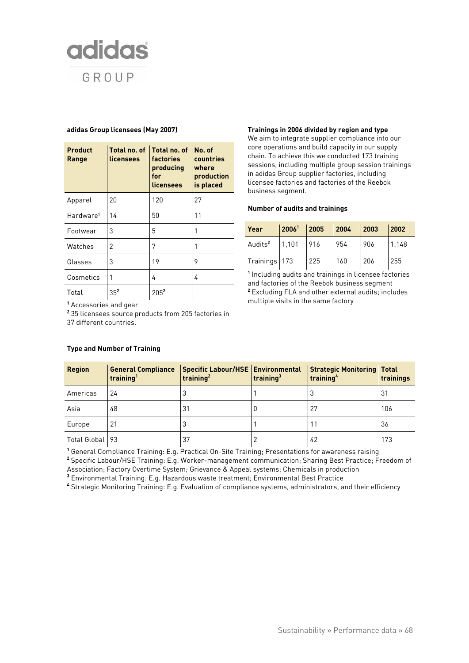

#### **adidas Group licensees (May 2007)**

| <b>Product</b><br>Range | Total no. of<br>licensees | Total no. of<br>factories<br>producing<br>for<br>licensees | No. of<br>countries<br>where<br>production<br>is placed |
|-------------------------|---------------------------|------------------------------------------------------------|---------------------------------------------------------|
| Apparel                 | 20                        | 120                                                        | 27                                                      |
| Hardware <sup>1</sup>   | 14                        | 50                                                         | 11                                                      |
| Footwear                | 3                         | 5                                                          |                                                         |
| Watches                 | 2                         | 7                                                          |                                                         |
| Glasses                 | 3                         | 19                                                         | 9                                                       |
| Cosmetics               | 1                         | 4                                                          | 4                                                       |
| Total                   | 35 <sup>2</sup>           | 2052                                                       |                                                         |

**<sup>1</sup>** Accessories and gear

**<sup>2</sup>** 35 licensees source products from 205 factories in 37 different countries.

## **Type and Number of Training**

#### **Trainings in 2006 divided by region and type**

We aim to integrate supplier compliance into our core operations and build capacity in our supply chain. To achieve this we conducted 173 training sessions, including multiple group session trainings in adidas Group supplier factories, including licensee factories and factories of the Reebok business segment.

#### **Number of audits and trainings**

| <b>Year</b>         |       | $\sqrt{2006}$ <sup>1</sup> 2005 2004 2003 |     |     | $\boxed{2002}$ |
|---------------------|-------|-------------------------------------------|-----|-----|----------------|
| Audits <sup>2</sup> | 1,101 | 916                                       | 954 | 906 | 1,148          |
| Trainings 173       |       | 225                                       | 160 | 206 | 255            |

**<sup>1</sup>** Including audits and trainings in licensee factories and factories of the Reebok business segment **<sup>2</sup>** Excluding FLA and other external audits; includes multiple visits in the same factory

| <b>Region</b>     | <b>General Compliance</b><br>training <sup>1</sup> | Specific Labour/HSE   Environmental<br>training <sup>2</sup> |     | <b>Strategic Monitoring Total</b><br>training <sup>4</sup> | trainings |
|-------------------|----------------------------------------------------|--------------------------------------------------------------|-----|------------------------------------------------------------|-----------|
| Americas          | 24                                                 | J                                                            |     | 3                                                          | -31       |
| Asia              | 48                                                 | 31                                                           | ט י | 27                                                         | 106       |
| Europe            | 21                                                 | د                                                            |     |                                                            | -36       |
| Total Global   93 |                                                    | 37                                                           |     | 42                                                         | 173       |

**<sup>1</sup>** General Compliance Training: E.g. Practical On-Site Training; Presentations for awareness raising

**<sup>2</sup>** Specific Labour/HSE Training: E.g. Worker-management communication; Sharing Best Practice; Freedom of Association; Factory Overtime System; Grievance & Appeal systems; Chemicals in production

**3** Environmental Training: E.g. Hazardous waste treatment; Environmental Best Practice

**4** Strategic Monitoring Training: E.g. Evaluation of compliance systems, administrators, and their efficiency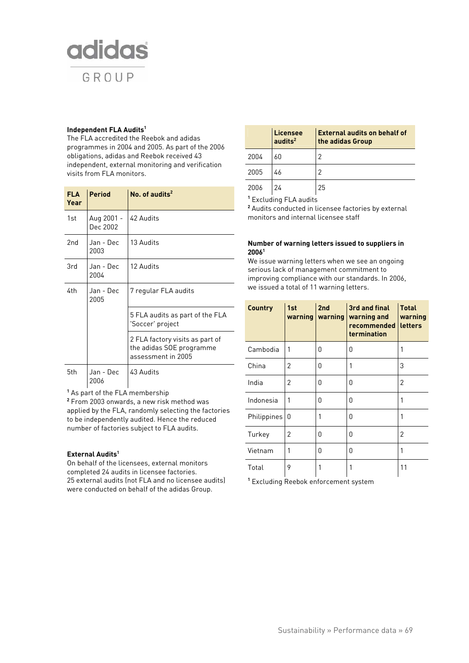

#### **Independent FLA Audits1**

The FLA accredited the Reebok and adidas programmes in 2004 and 2005. As part of the 2006 obligations, adidas and Reebok received 43 independent, external monitoring and verification visits from FLA monitors.

| <b>FLA</b><br>Year | <b>Period</b>          | No. of audits $2$                                                                 |
|--------------------|------------------------|-----------------------------------------------------------------------------------|
| 1st                | Aug 2001 -<br>Dec 2002 | 42 Audits                                                                         |
| 2nd                | Jan - Dec<br>2003      | 13 Audits                                                                         |
| 3rd                | Jan - Dec<br>2004      | 12 Audits                                                                         |
| 4th                | Jan - Dec<br>2005      | 7 regular FLA audits                                                              |
|                    |                        | 5 FLA audits as part of the FLA<br>'Soccer' project                               |
|                    |                        | 2 FLA factory visits as part of<br>the adidas SOE programme<br>assessment in 2005 |
| 5th                | Jan - Dec<br>2006      | 43 Audits                                                                         |

**<sup>1</sup>** As part of the FLA membership

**<sup>2</sup>** From 2003 onwards, a new risk method was applied by the FLA, randomly selecting the factories to be independently audited. Hence the reduced number of factories subject to FLA audits.

## **External Audits1**

On behalf of the licensees, external monitors completed 24 audits in licensee factories. 25 external audits (not FLA and no licensee audits) were conducted on behalf of the adidas Group.

|      | Licensee<br>audits <sup>2</sup> | <b>External audits on behalf of</b><br>the adidas Group |
|------|---------------------------------|---------------------------------------------------------|
| 2004 | 60                              |                                                         |
| 2005 | 46                              | 2                                                       |
| 2006 |                                 | 25                                                      |

**<sup>1</sup>** Excluding FLA audits

**<sup>2</sup>** Audits conducted in licensee factories by external monitors and internal licensee staff

### **Number of warning letters issued to suppliers in 20061**

We issue warning letters when we see an ongoing serious lack of management commitment to improving compliance with our standards. In 2006, we issued a total of 11 warning letters.

| <b>Country</b> | 1st<br>warning | 2nd<br>warning | 3rd and final<br>warning and<br>recommended<br>termination | <b>Total</b><br>warning<br>letters |
|----------------|----------------|----------------|------------------------------------------------------------|------------------------------------|
| Cambodia       | 1              | O              | O                                                          | 1                                  |
| China          | 2              | 0              | 1                                                          | 3                                  |
| India          | 2              | O              | O                                                          | 2                                  |
| Indonesia      | 1              | O              | O                                                          | 1                                  |
| Philippines    | 0              | 1              | O                                                          | 1                                  |
| Turkey         | 2              | O              | O                                                          | 2                                  |
| Vietnam        | 1              | O              | O                                                          | 1                                  |
| Total          | 9              |                | 1                                                          | 11                                 |

**<sup>1</sup>** Excluding Reebok enforcement system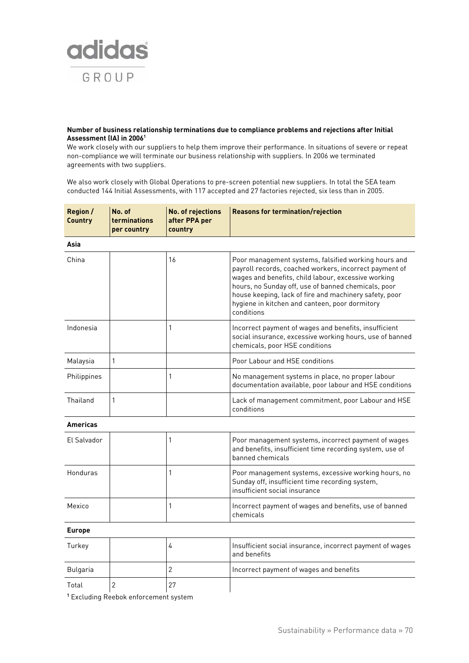

#### **Number of business relationship terminations due to compliance problems and rejections after Initial Assessment (IA) in 20061**

We work closely with our suppliers to help them improve their performance. In situations of severe or repeat non-compliance we will terminate our business relationship with suppliers. In 2006 we terminated agreements with two suppliers.

We also work closely with Global Operations to pre-screen potential new suppliers. In total the SEA team conducted 144 Initial Assessments, with 117 accepted and 27 factories rejected, six less than in 2005.

| <b>Region /</b><br><b>Country</b> | No. of<br>terminations<br>per country | No. of rejections<br>after PPA per<br>country | <b>Reasons for termination/rejection</b>                                                                                                                                                                                                                                                                                                               |
|-----------------------------------|---------------------------------------|-----------------------------------------------|--------------------------------------------------------------------------------------------------------------------------------------------------------------------------------------------------------------------------------------------------------------------------------------------------------------------------------------------------------|
| Asia                              |                                       |                                               |                                                                                                                                                                                                                                                                                                                                                        |
| China                             |                                       | 16                                            | Poor management systems, falsified working hours and<br>payroll records, coached workers, incorrect payment of<br>wages and benefits, child labour, excessive working<br>hours, no Sunday off, use of banned chemicals, poor<br>house keeping, lack of fire and machinery safety, poor<br>hygiene in kitchen and canteen, poor dormitory<br>conditions |
| Indonesia                         |                                       | $\mathbf{1}$                                  | Incorrect payment of wages and benefits, insufficient<br>social insurance, excessive working hours, use of banned<br>chemicals, poor HSE conditions                                                                                                                                                                                                    |
| Malaysia                          | 1                                     |                                               | Poor Labour and HSE conditions                                                                                                                                                                                                                                                                                                                         |
| Philippines                       |                                       | 1                                             | No management systems in place, no proper labour<br>documentation available, poor labour and HSE conditions                                                                                                                                                                                                                                            |
| Thailand                          | 1                                     |                                               | Lack of management commitment, poor Labour and HSE<br>conditions                                                                                                                                                                                                                                                                                       |
| <b>Americas</b>                   |                                       |                                               |                                                                                                                                                                                                                                                                                                                                                        |
| El Salvador                       |                                       | 1                                             | Poor management systems, incorrect payment of wages<br>and benefits, insufficient time recording system, use of<br>banned chemicals                                                                                                                                                                                                                    |
| Honduras                          |                                       | $\mathbf{1}$                                  | Poor management systems, excessive working hours, no<br>Sunday off, insufficient time recording system,<br>insufficient social insurance                                                                                                                                                                                                               |
| Mexico                            |                                       | 1                                             | Incorrect payment of wages and benefits, use of banned<br>chemicals                                                                                                                                                                                                                                                                                    |
| <b>Europe</b>                     |                                       |                                               |                                                                                                                                                                                                                                                                                                                                                        |
| Turkey                            |                                       | $\overline{4}$                                | Insufficient social insurance, incorrect payment of wages<br>and benefits                                                                                                                                                                                                                                                                              |
| Bulgaria                          |                                       | $\overline{2}$                                | Incorrect payment of wages and benefits                                                                                                                                                                                                                                                                                                                |
| Total                             | $\overline{2}$                        | 27                                            |                                                                                                                                                                                                                                                                                                                                                        |

**<sup>1</sup>** Excluding Reebok enforcement system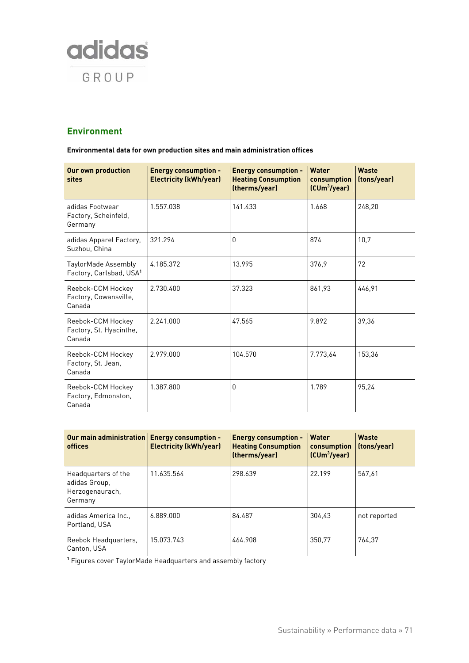

## **Environment**

**Environmental data for own production sites and main administration offices** 

| <b>Our own production</b><br>sites                         | <b>Energy consumption -</b><br><b>Electricity (kWh/year)</b> | <b>Energy consumption -</b><br><b>Heating Consumption</b><br>(therms/year) | <b>Water</b><br>consumption<br>(CUm <sup>3</sup> /year) | <b>Waste</b><br>(tons/year) |
|------------------------------------------------------------|--------------------------------------------------------------|----------------------------------------------------------------------------|---------------------------------------------------------|-----------------------------|
| adidas Footwear<br>Factory, Scheinfeld,<br>Germany         | 1.557.038                                                    | 141.433                                                                    | 1.668                                                   | 248,20                      |
| adidas Apparel Factory,<br>Suzhou, China                   | 321.294                                                      | 0                                                                          | 874                                                     | 10,7                        |
| TaylorMade Assembly<br>Factory, Carlsbad, USA <sup>1</sup> | 4.185.372                                                    | 13.995                                                                     | 376.9                                                   | 72                          |
| Reebok-CCM Hockey<br>Factory, Cowansville,<br>Canada       | 2.730.400                                                    | 37.323                                                                     | 861,93                                                  | 446,91                      |
| Reebok-CCM Hockey<br>Factory, St. Hyacinthe,<br>Canada     | 2.241.000                                                    | 47.565                                                                     | 9.892                                                   | 39,36                       |
| Reebok-CCM Hockey<br>Factory, St. Jean,<br>Canada          | 2.979.000                                                    | 104.570                                                                    | 7.773,64                                                | 153,36                      |
| Reebok-CCM Hockey<br>Factory, Edmonston,<br>Canada         | 1.387.800                                                    | 0                                                                          | 1.789                                                   | 95,24                       |

| Our main administration   Energy consumption -<br>offices          | <b>Electricity (kWh/year)</b> | <b>Energy consumption -</b><br><b>Heating Consumption</b><br>(therms/year) | Water<br>consumption<br>(CUm <sup>3</sup> /year) | Waste<br>(tons/year) |
|--------------------------------------------------------------------|-------------------------------|----------------------------------------------------------------------------|--------------------------------------------------|----------------------|
| Headquarters of the<br>adidas Group,<br>Herzogenaurach,<br>Germany | 11.635.564                    | 298.639                                                                    | 22.199                                           | 567.61               |
| adidas America Inc.,<br>Portland, USA                              | 6.889.000                     | 84.487                                                                     | 304.43                                           | not reported         |
| Reebok Headquarters,<br>Canton, USA                                | 15.073.743                    | 464.908                                                                    | 350.77                                           | 764.37               |

**<sup>1</sup>** Figures cover TaylorMade Headquarters and assembly factory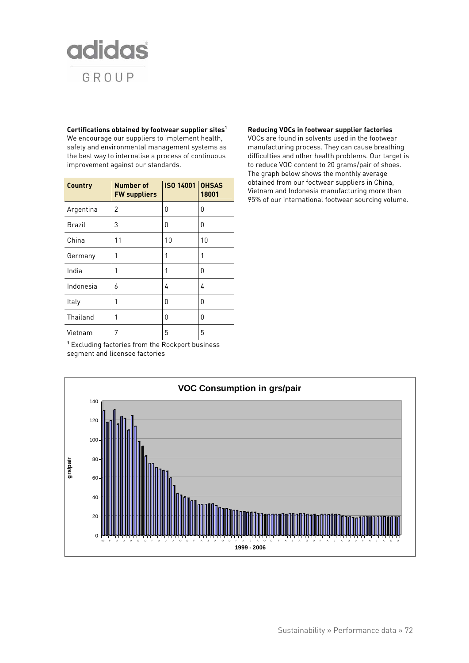

**Certifications obtained by footwear supplier sites1** We encourage our suppliers to implement health, safety and environmental management systems as the best way to internalise a process of continuous improvement against our standards.

| Country       | <b>Number of</b><br><b>FW suppliers</b> | <b>ISO 14001 OHSAS</b> | 18001 |
|---------------|-----------------------------------------|------------------------|-------|
| Argentina     | 2                                       | 0                      | 0     |
| <b>Brazil</b> | 3                                       | 0                      | 0     |
| China         | 11                                      | 10                     | 10    |
| Germany       | 1                                       | 1                      | 1     |
| India         | 1                                       | 1                      | 0     |
| Indonesia     | 6                                       | 4                      | 4     |
| Italy         | 1                                       | 0                      | 0     |
| Thailand      | 1                                       | 0                      | 0     |
| Vietnam       | 7                                       | 5                      | 5     |

#### **Reducing VOCs in footwear supplier factories**

VOCs are found in solvents used in the footwear manufacturing process. They can cause breathing difficulties and other health problems. Our target is to reduce VOC content to 20 grams/pair of shoes. The graph below shows the monthly average obtained from our footwear suppliers in China, Vietnam and Indonesia manufacturing more than 95% of our international footwear sourcing volume.

**<sup>1</sup>** Excluding factories from the Rockport business segment and licensee factories

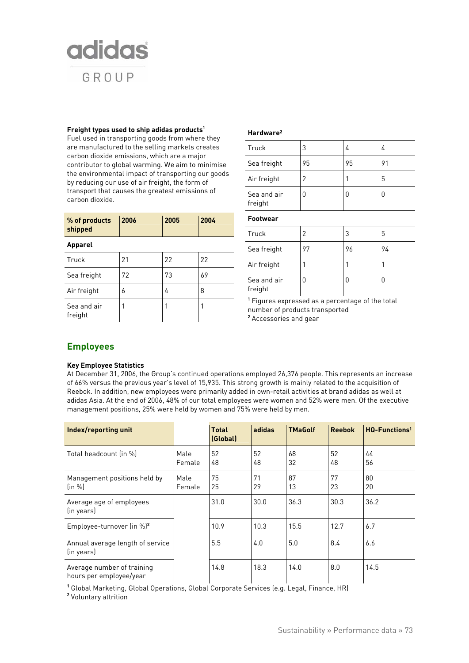

#### **Freight types used to ship adidas products1**

Fuel used in transporting goods from where they are manufactured to the selling markets creates carbon dioxide emissions, which are a major contributor to global warming. We aim to minimise the environmental impact of transporting our goods by reducing our use of air freight, the form of transport that causes the greatest emissions of carbon dioxide.

| % of products<br>shipped | 2006 | 2005 | 2004 |
|--------------------------|------|------|------|
| <b>Apparel</b>           |      |      |      |
| Truck                    | 21   | 22   | 22   |
| Sea freight              | 72   | 73   | 69   |
| Air freight              | 6    | 4    | 8    |
| Sea and air<br>freight   | 1    |      |      |

#### **Hardware²**

| Truck                  | 3  | 4  | 4  |
|------------------------|----|----|----|
| Sea freight            | 95 | 95 | 91 |
| Air freight            | 2  |    | 5  |
| Sea and air<br>freight |    | U  |    |

### **Footwear**

| Truck                  | 2  | 3  | 5  |
|------------------------|----|----|----|
| Sea freight            | 97 | 96 | 94 |
| Air freight            |    |    |    |
| Sea and air<br>freight | O  | U  | U  |

**<sup>1</sup>** Figures expressed as a percentage of the total number of products transported **<sup>2</sup>** Accessories and gear

### **Employees**

#### **Key Employee Statistics**

At December 31, 2006, the Group's continued operations employed 26,376 people. This represents an increase of 66% versus the previous year's level of 15,935. This strong growth is mainly related to the acquisition of Reebok. In addition, new employees were primarily added in own-retail activities at brand adidas as well at adidas Asia. At the end of 2006, 48% of our total employees were women and 52% were men. Of the executive management positions, 25% were held by women and 75% were held by men.

| Index/reporting unit                                  |                | <b>Total</b><br>(Global) | adidas   | <b>TMaGolf</b> | <b>Reebok</b> | HQ-Functions <sup>1</sup> |
|-------------------------------------------------------|----------------|--------------------------|----------|----------------|---------------|---------------------------|
| Total headcount (in %)                                | Male<br>Female | 52<br>48                 | 52<br>48 | 68<br>32       | 52<br>48      | 44<br>56                  |
| Management positions held by<br>(in %)                | Male<br>Female | 75<br>25                 | 71<br>29 | 87<br>13       | 77<br>23      | 80<br>20                  |
| Average age of employees<br>(in years)                |                | 31.0                     | 30.0     | 36.3           | 30.3          | 36.2                      |
| Employee-turnover (in $\frac{1}{2}$ ) <sup>2</sup>    |                | 10.9                     | 10.3     | 15.5           | 12.7          | 6.7                       |
| Annual average length of service<br>(in years)        |                | 5.5                      | 4.0      | 5.0            | 8.4           | 6.6                       |
| Average number of training<br>hours per employee/year |                | 14.8                     | 18.3     | 14.0           | 8.0           | 14.5                      |

**<sup>1</sup>** Global Marketing, Global Operations, Global Corporate Services (e.g. Legal, Finance, HR)

**<sup>2</sup>** Voluntary attrition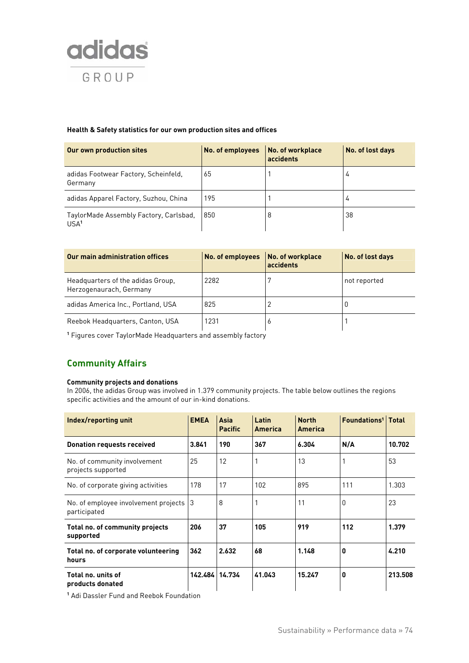

#### **Health & Safety statistics for our own production sites and offices**

| Our own production sites                                   | No. of employees | No. of workplace<br>accidents | No. of lost days |
|------------------------------------------------------------|------------------|-------------------------------|------------------|
| adidas Footwear Factory, Scheinfeld,<br>Germany            | 65               |                               | 4                |
| adidas Apparel Factory, Suzhou, China                      | 195              |                               | 4                |
| TaylorMade Assembly Factory, Carlsbad,<br>USA <sup>1</sup> | 850              |                               | 38               |

| Our main administration offices                              | No. of employees | No. of workplace<br>accidents | No. of lost days |
|--------------------------------------------------------------|------------------|-------------------------------|------------------|
| Headquarters of the adidas Group,<br>Herzogenaurach, Germany | 2282             |                               | not reported     |
| adidas America Inc., Portland, USA                           | 825              |                               | U                |
| Reebok Headquarters, Canton, USA                             | 1231             | $\circ$                       |                  |

**1** Figures cover TaylorMade Headquarters and assembly factory

# **Community Affairs**

#### **Community projects and donations**

In 2006, the adidas Group was involved in 1.379 community projects. The table below outlines the regions specific activities and the amount of our in-kind donations.

| Index/reporting unit                                 | <b>EMEA</b>    | Asia<br><b>Pacific</b> | Latin<br>America | <b>North</b><br>America | <b>Foundations<sup>1</sup></b> Total |         |
|------------------------------------------------------|----------------|------------------------|------------------|-------------------------|--------------------------------------|---------|
| <b>Donation requests received</b>                    | 3.841          | 190                    | 367              | 6.304                   | N/A                                  | 10.702  |
| No. of community involvement<br>projects supported   | 25             | 12                     |                  | 13                      |                                      | 53      |
| No. of corporate giving activities                   | 178            | 17                     | 102              | 895                     | 111                                  | 1.303   |
| No. of employee involvement projects<br>participated | 3              | 8                      |                  | 11                      | 0                                    | 23      |
| Total no. of community projects<br>supported         | 206            | 37                     | 105              | 919                     | 112                                  | 1.379   |
| Total no. of corporate volunteering<br>hours         | 362            | 2.632                  | 68               | 1.148                   | 0                                    | 4.210   |
| Total no. units of<br>products donated               | 142.484 14.734 |                        | 41.043           | 15.247                  | 0                                    | 213.508 |

**1** Adi Dassler Fund and Reebok Foundation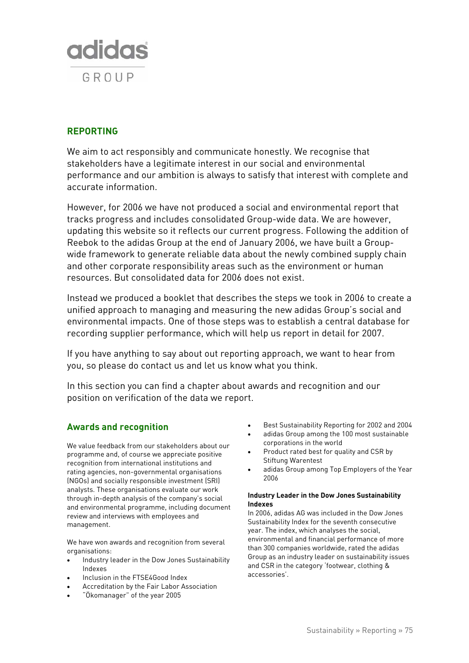

# **REPORTING**

We aim to act responsibly and communicate honestly. We recognise that stakeholders have a legitimate interest in our social and environmental performance and our ambition is always to satisfy that interest with complete and accurate information.

However, for 2006 we have not produced a social and environmental report that tracks progress and includes consolidated Group-wide data. We are however, updating this website so it reflects our current progress. Following the addition of Reebok to the adidas Group at the end of January 2006, we have built a Groupwide framework to generate reliable data about the newly combined supply chain and other corporate responsibility areas such as the environment or human resources. But consolidated data for 2006 does not exist.

Instead we produced a booklet that describes the steps we took in 2006 to create a unified approach to managing and measuring the new adidas Group's social and environmental impacts. One of those steps was to establish a central database for recording supplier performance, which will help us report in detail for 2007.

If you have anything to say about out reporting approach, we want to hear from you, so please do contact us and let us know what you think.

In this section you can find a chapter about awards and recognition and our position on verification of the data we report.

## **Awards and recognition**

We value feedback from our stakeholders about our programme and, of course we appreciate positive recognition from international institutions and rating agencies, non-governmental organisations (NGOs) and socially responsible investment (SRI) analysts. These organisations evaluate our work through in-depth analysis of the company's social and environmental programme, including document review and interviews with employees and management.

We have won awards and recognition from several organisations:

- Industry leader in the Dow Jones Sustainability Indexes
- Inclusion in the FTSE4Good Index
- Accreditation by the Fair Labor Association
- "Ökomanager" of the year 2005
- Best Sustainability Reporting for 2002 and 2004
- adidas Group among the 100 most sustainable corporations in the world
- Product rated best for quality and CSR by Stiftung Warentest
- adidas Group among Top Employers of the Year 2006

#### **Industry Leader in the Dow Jones Sustainability Indexes**

In 2006, adidas AG was included in the Dow Jones Sustainability Index for the seventh consecutive year. The index, which analyses the social, environmental and financial performance of more than 300 companies worldwide, rated the adidas Group as an industry leader on sustainability issues and CSR in the category 'footwear, clothing & accessories'.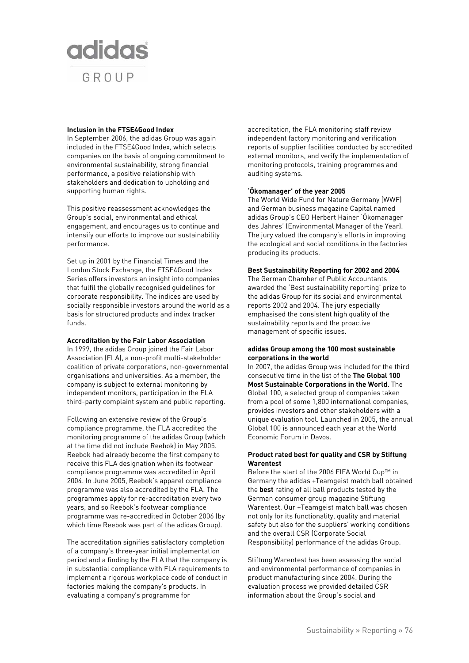

#### **Inclusion in the FTSE4Good Index**

In September 2006, the adidas Group was again included in the FTSE4Good Index, which selects companies on the basis of ongoing commitment to environmental sustainability, strong financial performance, a positive relationship with stakeholders and dedication to upholding and supporting human rights.

This positive reassessment acknowledges the Group's social, environmental and ethical engagement, and encourages us to continue and intensify our efforts to improve our sustainability performance.

Set up in 2001 by the Financial Times and the London Stock Exchange, the FTSE4Good Index Series offers investors an insight into companies that fulfil the globally recognised guidelines for corporate responsibility. The indices are used by socially responsible investors around the world as a basis for structured products and index tracker funds.

#### **Accreditation by the Fair Labor Association**

In 1999, the adidas Group joined the Fair Labor Association (FLA), a non-profit multi-stakeholder coalition of private corporations, non-governmental organisations and universities. As a member, the company is subject to external monitoring by independent monitors, participation in the FLA third-party complaint system and public reporting.

Following an extensive review of the Group's compliance programme, the FLA accredited the monitoring programme of the adidas Group (which at the time did not include Reebok) in May 2005. Reebok had already become the first company to receive this FLA designation when its footwear compliance programme was accredited in April 2004. In June 2005, Reebok's apparel compliance programme was also accredited by the FLA. The programmes apply for re-accreditation every two years, and so Reebok's footwear compliance programme was re-accredited in October 2006 (by which time Reebok was part of the adidas Group).

The accreditation signifies satisfactory completion of a company's three-year initial implementation period and a finding by the FLA that the company is in substantial compliance with FLA requirements to implement a rigorous workplace code of conduct in factories making the company's products. In evaluating a company's programme for

accreditation, the FLA monitoring staff review independent factory monitoring and verification reports of supplier facilities conducted by accredited external monitors, and verify the implementation of monitoring protocols, training programmes and auditing systems.

#### **'Ökomanager' of the year 2005**

The World Wide Fund for Nature Germany (WWF) and German business magazine Capital named adidas Group's CEO Herbert Hainer 'Ökomanager des Jahres' (Environmental Manager of the Year). The jury valued the company's efforts in improving the ecological and social conditions in the factories producing its products.

#### **Best Sustainability Reporting for 2002 and 2004**

The German Chamber of Public Accountants awarded the 'Best sustainability reporting' prize to the adidas Group for its social and environmental reports 2002 and 2004. The jury especially emphasised the consistent high quality of the sustainability reports and the proactive management of specific issues.

#### **adidas Group among the 100 most sustainable corporations in the world**

In 2007, the adidas Group was included for the third consecutive time in the list of the **The Global 100 Most Sustainable Corporations in the World**. The Global 100, a selected group of companies taken from a pool of some 1,800 international companies, provides investors and other stakeholders with a unique evaluation tool. Launched in 2005, the annual Global 100 is announced each year at the World Economic Forum in Davos.

#### **Product rated best for quality and CSR by Stiftung Warentest**

Before the start of the 2006 FIFA World Cup™ in Germany the adidas +Teamgeist match ball obtained the **best** rating of all ball products tested by the German consumer group magazine Stiftung Warentest. Our +Teamgeist match ball was chosen not only for its functionality, quality and material safety but also for the suppliers' working conditions and the overall CSR (Corporate Social Responsibility) performance of the adidas Group.

Stiftung Warentest has been assessing the social and environmental performance of companies in product manufacturing since 2004. During the evaluation process we provided detailed CSR information about the Group's social and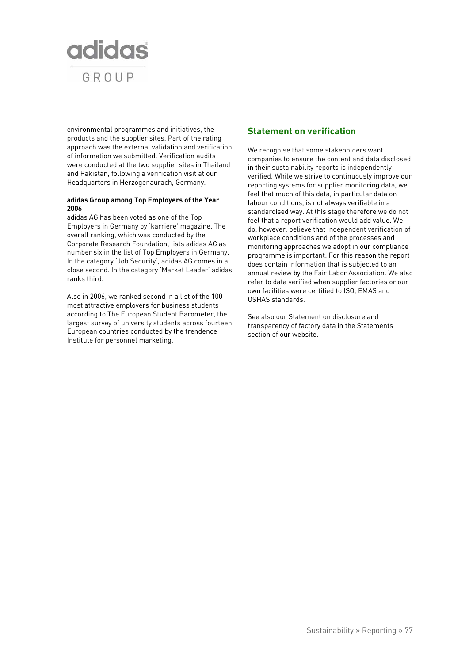

environmental programmes and initiatives, the products and the supplier sites. Part of the rating approach was the external validation and verification of information we submitted. Verification audits were conducted at the two supplier sites in Thailand and Pakistan, following a verification visit at our Headquarters in Herzogenaurach, Germany.

#### **adidas Group among Top Employers of the Year 2006**

adidas AG has been voted as one of the Top Employers in Germany by 'karriere' magazine. The overall ranking, which was conducted by the Corporate Research Foundation, lists adidas AG as number six in the list of Top Employers in Germany. In the category 'Job Security', adidas AG comes in a close second. In the category 'Market Leader' adidas ranks third.

Also in 2006, we ranked second in a list of the 100 most attractive employers for business students according to The European Student Barometer, the largest survey of university students across fourteen European countries conducted by the trendence Institute for personnel marketing.

## **Statement on verification**

We recognise that some stakeholders want companies to ensure the content and data disclosed in their sustainability reports is independently verified. While we strive to continuously improve our reporting systems for supplier monitoring data, we feel that much of this data, in particular data on labour conditions, is not always verifiable in a standardised way. At this stage therefore we do not feel that a report verification would add value. We do, however, believe that independent verification of workplace conditions and of the processes and monitoring approaches we adopt in our compliance programme is important. For this reason the report does contain information that is subjected to an annual review by the Fair Labor Association. We also refer to data verified when supplier factories or our own facilities were certified to ISO, EMAS and OSHAS standards.

See also our Statement on disclosure and transparency of factory data in the Statements section of our website.